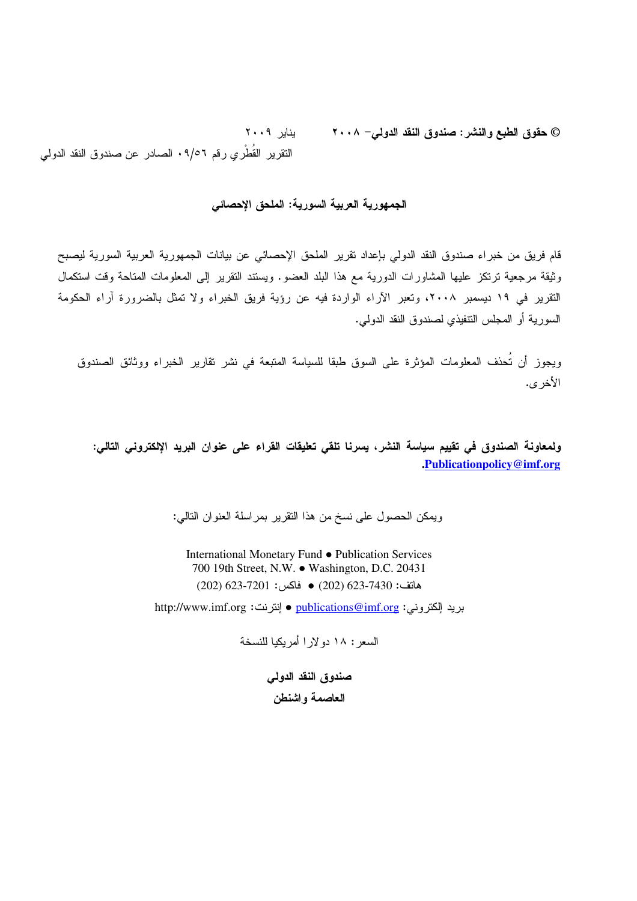بنایر ۲۰۰۹ © حقوق الطبع والنشر : صندوق النقد الدول*ي*– ۲۰۰۸ النقرير القطري رقم ٩/٥٦. الصادر عن صندوق النقد الدولي

#### الجمهورية العربية السورية: الملحق الإحصائ*ي*

قام فريق من خبراء صندوق النقد الدولي بإعداد نقرير الملحق الإحصائي عن بيانات الجمهورية العربية السورية ليصبح وثيقة مرجعية ترتكز عليها المشاورات الدورية مع هذا البلد العضو. ويستند التقرير إلى المعلومات المتاحة وقت استكمال التقرير في ١٩ ديسمبر ٢٠٠٨، وتعبر الأراء الواردة فيه عن رؤية فريق الخبراء ولا تمثّل بالضرورة أراء الحكومة السورية أو المجلس النتفيذي لصندوق النقد الدولي.

ويجوز أن تحذف المعلومات المؤثرة على السوق طبقا للسياسة المتبعة في نشر تقارير الخبراء ووثائق الصندوق الأخر ي.

ولمعاونة الصندوق في تقييم سياسة النشر، يسرنا تلقي تعليقات القراء على عنوان البريد الإلكتروني التالي: **.Publicationpolicy@imf.org**

ويمكن الحصول على نسخ من هذا النقرير بمراسلة العنوان النالي:

International Monetary Fund ● Publication Services 700 19th Street, N.W. ● Washington, D.C. 20431  $(202)$  623-7201  $\bullet$  (202)  $(202)$  623-7430  $\bullet$  (202)

بريد الكتروني: <u>publications@imf.or</u>g ● إنترنت: http://www.imf.org

السعر : ١٨ دو لار ا أمريكيا للنسخة

صندوق النقد الدولي العاصمة واشنطن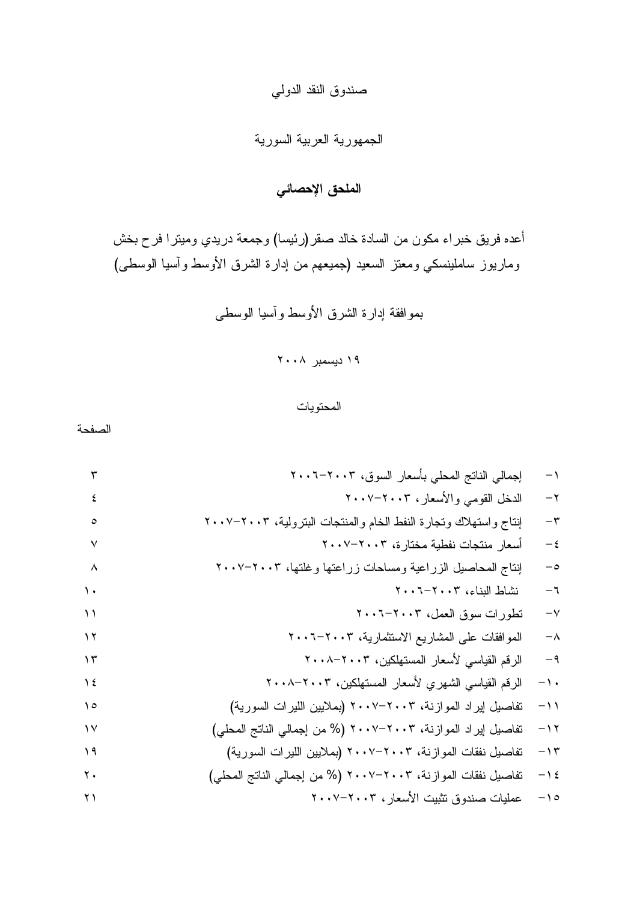## صندوق النقد الدولي

### الجمهورية العربية السورية

# الملحق الإحصائي

أعده فريق خبر اء مكون من السادة خالد صقر (رئيسا) وجمعة دريدي وميترا فرح بخش وماريوز ساملينسكي ومعتز السعيد (جميعهم من إدارة الشرق الأوسط واسيا الوسطى)

بموافقة إدارة الشرق الأوسط واسيا الوسطى

۱۹ دیسمبر ۲۰۰۸

المحتويات

الصفحة

S PS B, -,R! %# Q 9 P: U TPS B-,H 7( P TPS B+-! ( 
D = VW, X9 PS T TPS B=( +-D -,C PU ; TPS B%Y 3 #, +-3 7-# X9 P : PS B'! 
2 P :: PS B7- , 
 PT : PS B+-5,> 1-2 8% ) P; :S ;PS B-4%, -,H ,- P :U ;PS B-4%, -,H 2 ,- P: : (+-, -% --W!) TPS B+3 -9 7-D P:: :T (%# Q 9 %) TPS B+3 -9 7-D P: : (+-, -% --W!) TPS B+3 D 7-D P:S (%# Q 9 %) TPS B+3 D 7-D P:U : TPS B-,H -!5 -% P: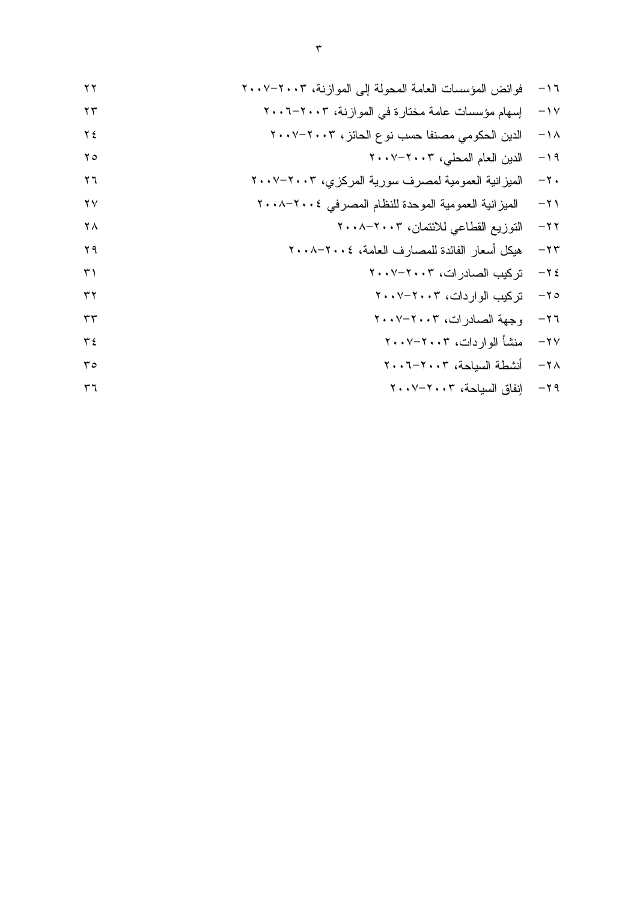TPS B+3 89 +# +- ,,? [") P: S PS B+3 ) =( + ,,? ,9 P:T U TPS B3"# \ ],# D 4# - P:; TPS B%# - - P: TPS B34 +-, F +-- +-3- P T ;PU ) ^% =# +-- +-3- P: ; ;PS B"W 
 1-3 P ;PU B+- F% ="D -,C 74-0 PS S: TPS B ]-4 PU S TPS B ]-4 P SS TPS B + P SU TPS B R2 PT S PS B+#-, +
2C P; S TPS B+#-, D9 P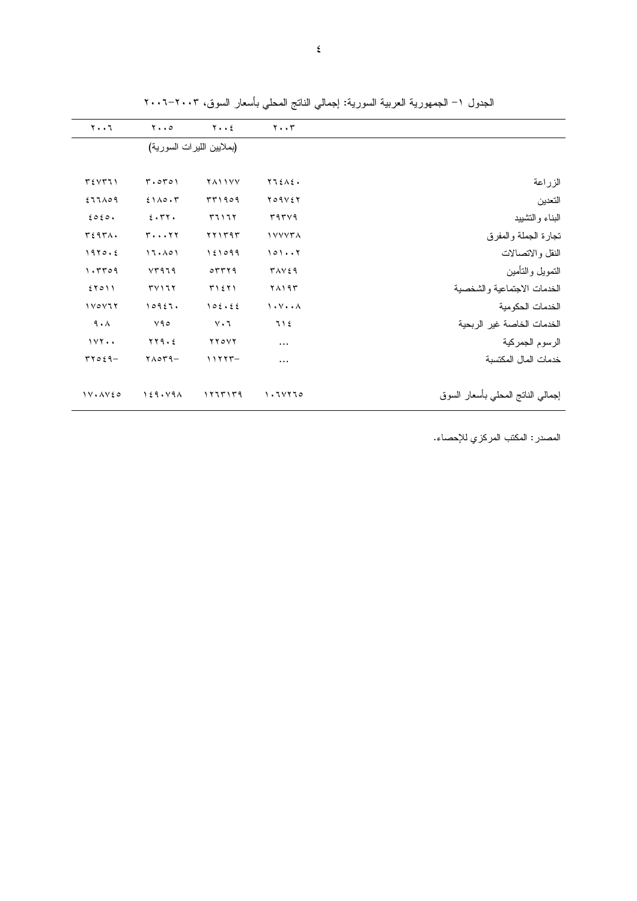|                                   | $\mathbf{y} \cdot \mathbf{y}$                     | $Y \cdot \cdot 2$                                           | $y \cdot \cdot \circ$             | ۲۰۰٦                         |
|-----------------------------------|---------------------------------------------------|-------------------------------------------------------------|-----------------------------------|------------------------------|
|                                   |                                                   |                                                             | (بملايين الليرات السورية)         |                              |
|                                   | $YI\Sigma A\Sigma$                                | <b>TAIIVY</b>                                               | T.0T01                            | T5YT1                        |
| الزراعة                           |                                                   |                                                             |                                   |                              |
| التعدين                           | Y O 9 V 2 Y                                       | 5504                                                        | 2110.7                            | $277 \wedge 09$              |
| البناء والتشييد                   | 5954                                              | 51177                                                       | 5.77.                             | 2020.                        |
| نجارة الجملة والمفرق              | <b>IVYYTA</b>                                     | YY1Y9Y                                                      | $r \cdots r$                      | T297A.                       |
| النقل والاتصالات                  | 1017                                              | 151099                                                      | 17.101                            | 1970.5                       |
| التموبل والتأمين                  | <b>TAVE9</b>                                      | $\circ$ $\mathsf{r}$ $\mathsf{r}$ $\mathsf{r}$ $\mathsf{r}$ | YY979                             | 1.7709                       |
| الخدمات الاجتماعية والشخصية       | ۲۸۱۹۳                                             | T1511                                                       | TVII                              | 57011                        |
| الخدمات الحكو مية                 | $\mathcal{N} \cdot \mathcal{N} \cdot \mathcal{N}$ | 105.55                                                      | 10957.                            | $1 \vee 0 \vee 7 \vee$       |
| الخدمات الخاصة غير الربحية        | 712                                               | $V \cdot 7$                                                 | Y90                               | 9.1                          |
| الرسوم الجمركية                   | $\cdots$                                          | $YY$ $\circ YY$                                             | $\gamma\gamma\gamma\cdot\epsilon$ | 111                          |
| خدمات المال المكتسبة              |                                                   | $11777 -$                                                   | $Y \wedge QY9 -$                  | $TTOE9-$                     |
| إجمالي النانج المحلي بأسعار السوق | 1.71170                                           | ۱۲٦٣۱٣٩                                                     | 159.49A                           | $1V \cdot \Delta V \epsilon$ |

الجدول ١– الجمهورية العربية السورية: إجمالي الناتج المحلي بأسعار السوق، ٢٠٠٢–٢٠٠٦

المصدر : المكتب المركزي للإحصاء.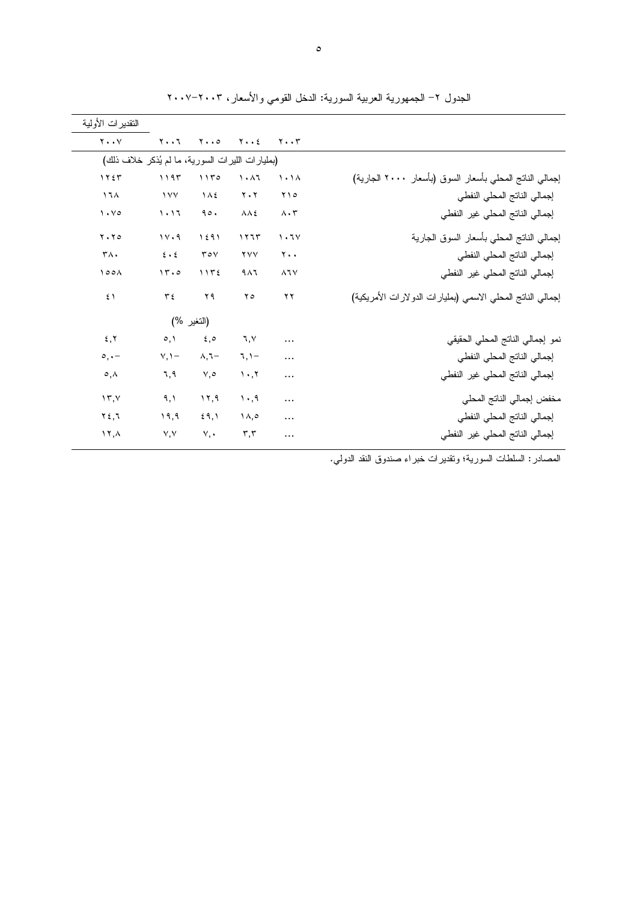|                                                            |                                     |                                 |                                     |                           | النقدير ات الأولية                               |
|------------------------------------------------------------|-------------------------------------|---------------------------------|-------------------------------------|---------------------------|--------------------------------------------------|
|                                                            | $\mathbf{Y} \cdot \cdot \mathbf{Y}$ | $Y \cdot \cdot 2$               | $\mathbf{Y} \cdot \cdot \mathbf{0}$ | $Y \cdot \cdot 7$         | $Y \cdot Y$                                      |
|                                                            |                                     |                                 |                                     |                           | (بمليارات الليرات السورية، ما لم يُذكر خلاف ذلك) |
| إجمالي الناتج المحلي بأسعار السوق (بأسعار ٢٠٠٠ الجارية)    | $\lambda$ .                         | $\lambda \cdot \lambda$         | 1150                                | 1195                      | 155                                              |
| إجمالي الناتج المحلي النفطي                                | ۲۱۰                                 | $Y \cdot Y$                     | $\Lambda$                           | $\frac{1}{2}$             | 17 <sub>A</sub>                                  |
| إجمالي الناتج المحلى غير النفطي                            | $\Lambda \cdot \tau$                | $\lambda \lambda$ ٤             | 90.                                 | 1.17                      | $\mathcal{N} \cdot \mathcal{N}$                  |
| إجمالي الناتج المحلى بأسعار السوق الجارية                  | 1.7V                                | 1117                            | 1591                                | 11.9                      | $Y \cdot Y$                                      |
| إجمالي الناتج المحلى النفطى                                | ٢٠.                                 | <b>YVV</b>                      | $\mathbf{r} \circ \mathbf{v}$       | $\epsilon \cdot \epsilon$ | $\mathsf{r}\wedge\mathsf{.}$                     |
| إجمالي الناتج المحلى غير النفطي                            | $\lambda$ $\lambda$ $\vee$          | 9 <sub>A</sub>                  | 1172                                | 15.0                      | 100 <sub>A</sub>                                 |
| إجمالي الناتج المحلي الاسمى (بمليارات الدولارات الأمريكية) | ۲۲                                  | ه ۲                             | ۲۹                                  | ع ۳                       | $5 \lambda$                                      |
|                                                            |                                     |                                 |                                     | (النغير %)                |                                                  |
| نمو إجمالي الناتج المحلي الحقيقي                           | $\cdots$                            | 7, 1                            | $\xi, \circ$                        | $\circ, \circ$            | 5, 7                                             |
| إجمالي الناتج المحلى النفطى                                | $\cdots$                            | $7,1-$                          | $\lambda, \lambda -$                | $V, \mathcal{V}$          | $\circ$ , $\cdot$ -                              |
| إجمالي الناتج المحلى غير النفطى                            | $\cdots$                            | $\mathcal{N} \cdot \mathcal{N}$ | $\vee, \circ$                       | ٦,٩                       | $\circ$ , $\wedge$                               |
| مخفض إجمالي الناتج المحلي                                  | $\cdots$                            | $\cdot$ .9                      | 17,9                                | ۹,۱                       | $\gamma$                                         |
| إجمالي الناتج المحلي النفطي                                |                                     | $\lambda, \circ$                | 59,1                                | ۱۹,۹                      | $Y \xi, I$                                       |
| إجمالي الناتج المحلى غير النفطي                            |                                     | $\mathbf{r}, \mathbf{r}$        | $V, \bullet$                        | V, V                      | $\lambda, \lambda$                               |

الجدول ٢– الجمهورية العربية السورية: الدخل القومي والأسعار، ٢٠٠٣–٢٠٠٧

المصادر : السلطات السورية؛ وتقديرات خبراء صندوق النقد الدولي.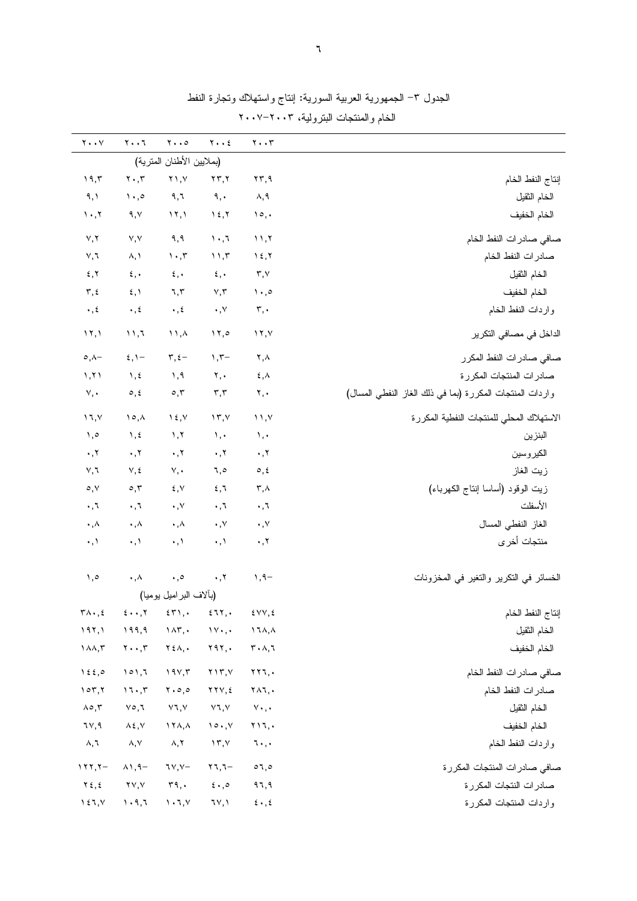| $\mathbf{Y} \bullet \bullet \mathbf{V}$        | $Y \cdot \cdot 7$                                 | $\mathbf{Y} \cdot \cdot \mathbf{0}$       | $Y \cdot \cdot 2$                              | $\mathbf{y} \cdot \mathbf{y}$                           |                                                          |
|------------------------------------------------|---------------------------------------------------|-------------------------------------------|------------------------------------------------|---------------------------------------------------------|----------------------------------------------------------|
|                                                |                                                   | (بملايين الأطنان المترية)                 |                                                |                                                         |                                                          |
| 19,5                                           | $\mathbf{Y} \cdot \mathbf{y}$                     | $Y \wedge, Y$                             | $\mathbf{Y}\mathbf{Y},\mathbf{Y}$              | $\mathbf{Y}\mathbf{Y}, \mathbf{Y}$                      | إنتاج النفط الخام                                        |
| ۹, ۱                                           | $\langle \cdot, \cdot \rangle$                    | ৭, ৷                                      | ٩,٠                                            | ۸,۹                                                     | الخام الثقيل                                             |
| $\mathcal{N}$                                  | ۹,۷                                               | $\lambda \lambda$                         | $\lambda$ {, $\lambda$                         | $\mathcal{Q}$ ,                                         | الخام الخفيف                                             |
|                                                | V, V                                              | 9,9                                       | $\lambda$ . $\lambda$                          | 11,7                                                    |                                                          |
| Y, Y<br>V, I                                   | $\lambda, \lambda$                                | $\mathcal{N} \cdot \mathcal{N}$           | 11,7                                           | $\lambda$ {, $\lambda$                                  | صافي صادرات النفط الخام<br>صادرات النفط الخام            |
|                                                |                                                   | $\epsilon, \cdot$                         |                                                |                                                         |                                                          |
| $\mathbf x$ , $\mathbf y$                      | $\mathbf{\mathfrak{c}}$ , $\mathbf{\mathfrak{c}}$ |                                           | $\mathbf{\hat{z}}$ , $\boldsymbol{\cdot}$      | $\mathbf{r},\mathbf{v}$                                 | الخام الثقيل                                             |
| $\mathbf{r}, \mathbf{t}$                       | $\xi, \lambda$                                    | ٦,٢                                       | $\vee, \vee$                                   | $\setminus \cdot , \circ$                               | الخام الخفيف                                             |
| $\boldsymbol{\cdot}$ , $\boldsymbol{\xi}$      | $\cdot$ , $\epsilon$                              | $\cdot$ , $\epsilon$                      | $\boldsymbol{\cdot}$ , $\vee$                  | $\mathbf{r},\cdot$                                      | واردات النفط الخام                                       |
| $\mathcal{N}, \mathcal{N}$                     | 11,7                                              | $\wedge$ , $\wedge$                       | 17,0                                           | $\lambda$                                               | الداخل في مصـافي التكرير                                 |
| $\circ, \wedge -$                              | $\xi, \Upsilon$                                   | $\tau, \epsilon$ -                        | $\gamma$ , $\tau-$                             | ۲,۸                                                     | صافي صادر ات النفط المكرر                                |
| 1, 71                                          | $\lambda$ , $\epsilon$                            | $\lambda$ , 9                             | Y, Y                                           | $\mathbf{\mathfrak{c}}$ , $\mathbf{\mathfrak{\lambda}}$ | صادرات المنتجات المكررة                                  |
| v,                                             | $\circ$ , $\circ$                                 | $\circ, \tau$                             | $\mathbf{r},\mathbf{r}$                        | ۲,٠                                                     | واردات المنتجات المكررة (بما في ذلك الغاز النفطي المسال) |
| $\mathcal{N}, \mathcal{N}$                     | $\lambda \circ \lambda$                           | $\lambda \xi, \gamma$                     | $\gamma$                                       | $\binom{1}{1}$                                          | الاستهلاك المحلى للمنتجات النفطية المكررة                |
| $, \circ$                                      | $\lambda, \xi$                                    | $\lambda, \lambda$                        | $\mathcal{N}, \mathcal{N}$                     | ١,٠                                                     | البنزين                                                  |
| $\boldsymbol{\cdot}$ , $\boldsymbol{\upgamma}$ | $\cdot$ , $\tau$                                  | $\cdot$ , $\cdot$                         | $\cdot$ , $\cdot$                              | $\cdot$ , $\cdot$                                       | الكير وسين                                               |
| V, I                                           | $V, \xi$                                          | $V, \bullet$                              | ٦,٥                                            | $\circ$ , $\circ$                                       | زيت الغاز                                                |
| $\circ, \vee$                                  | $\circ$ , $\mathsf{r}$                            | ٤,٧                                       | 2,7                                            | $\mathbf{r}$ , $\wedge$                                 | زيت الوقود (أساسا إنتاج الكهرباء)                        |
| $\cdot$ , $\cdot$                              | $\cdot$ , $\tau$                                  | $\cdot$ , $\vee$                          | $\cdot$ , $\cdot$                              | $\cdot$ , $\cdot$                                       | الأسفلت                                                  |
| $\boldsymbol{\cdot}$ , $\wedge$                | $\cdot, \wedge$                                   | $\cdot$ , $\wedge$                        | $\cdot$ , $\vee$                               | $\cdot$ , $\vee$                                        | الغاز النفطي المسال                                      |
| $\cdot$ , $\wedge$                             | $\cdot$ , $\lambda$                               | $\cdot, \cdot$                            | $\cdot$ , $\lambda$                            | $\cdot$ , $\tau$                                        | منتجات أخرى                                              |
| ٥, ١                                           | $\boldsymbol{\cdot}$ , $\wedge$                   | $\cdot, \circ$                            | $\boldsymbol{\cdot}$ , $\boldsymbol{\upgamma}$ | $1, 9-$                                                 | الخسائر في التكرير والتغير في المخزونات                  |
|                                                |                                                   | (بألاف البراميل بوميا)                    |                                                |                                                         |                                                          |
| $\mathbf{r}\wedge\mathbf{r},\mathbf{r}$        | $5 \cdot \cdot 7$                                 | 55,                                       | 277.                                           | E VV, E                                                 | إنتاج النفط الخام                                        |
| 197,1                                          | 199,9                                             | $\lambda \wedge \tau$ ,.                  | 11, 4                                          | $\lambda$ $\lambda$ , $\lambda$                         | الخام الثقيل                                             |
| $\lambda \lambda, \tau$                        | $\mathbf{Y} \cdot \cdot \mathbf{y}$               | $\mathbf{Y} \xi \wedge, \cdot$            | Y9Y,                                           | $\mathbf{r} \cdot \mathbf{v}, \mathbf{v}$               | الخام الخفيف                                             |
| $\lambda \xi$ ,0                               | 101,7                                             | 194,7                                     | $Y \setminus Y, Y$                             | $\mathbf{Y} \mathbf{Y} \mathbf{I}$ , $\cdot$            | صافي صادرات النفط الخام                                  |
| 107,7                                          | 17.7                                              | $\mathbf{Y} \cdot \mathbf{0}$ , 0         | $\gamma \gamma \gamma, \epsilon$               | $Y \wedge 7$ ,                                          | صادرات النفط الخام                                       |
| $\Lambda \circ, \tilde{\tau}$                  | ۷٥,٦                                              | Y7, Y                                     | ۷٦,۷                                           | $v\cdot$ , $\cdot$                                      | الخام الثقيل                                             |
| ٦٧,٩                                           | $\lambda \xi, \forall$                            | $\lambda$ $\lambda$ , $\lambda$           | $\mathcal{N} \circ \cdot \cdot \mathcal{N}$    | $Y$ $\setminus$ $\setminus$                             | الخام الخفيف                                             |
| ۸,٦                                            | $\land, \lor$                                     | $\wedge,\curlyvee$                        | $\gamma$ , $\gamma$                            | $1 \cdot$ , $\cdot$                                     | واردات النفط الخام                                       |
| $117,7-$                                       | $\wedge \wedge$ , 9 -                             | $7Y, Y-$                                  | $\mathbf{y}$                                   | 07,0                                                    | صافي صادرات المنتجات المكررة                             |
| $Y \xi, \xi$                                   | <u>۲۷,۷</u>                                       | $\mathbf{r}$ ٩,٠                          | $\epsilon \cdot 0$                             | ۹٦,٩                                                    | صادرات النتجات المكررة                                   |
| $\lambda \xi$ $\lambda$ , $\gamma$             | $\mathcal{N} \cdot \mathcal{A}, \mathcal{R}$      | $\mathcal{N}\cdot\mathcal{N},\mathcal{N}$ | ٦٧,١                                           | $\mathbf{\hat{z}}$ . , $\mathbf{\hat{z}}$               | واردات المنتجات المكررة                                  |

الجدول ٣– الجمهورية العربية السورية: إنتاج واستهلاك وتجارة النفط الخام والمنتجات البترولية، ٢٠٠٣–٢٠٠٧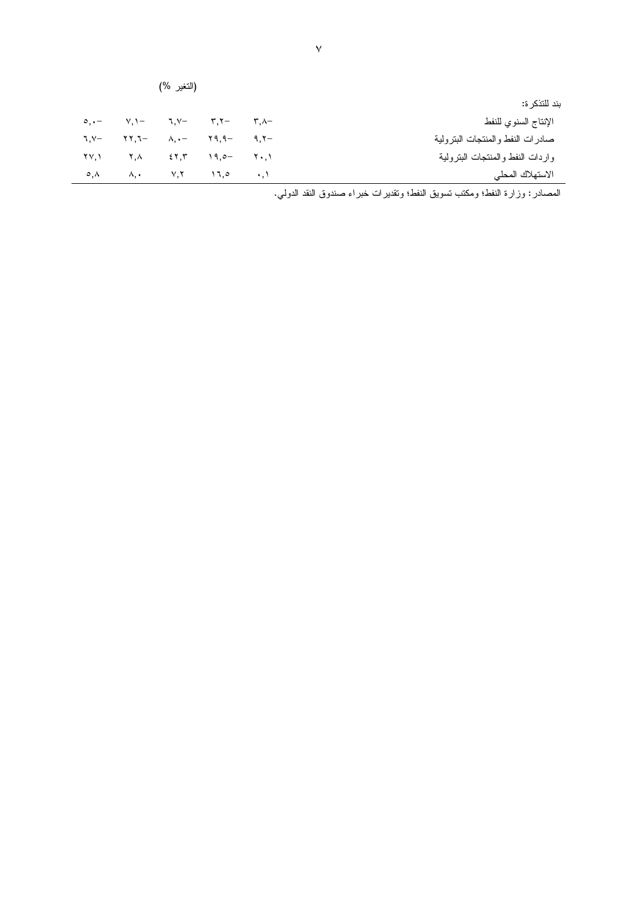|                                   | (النغير %)                  |                                                                                                                                                                                                                                                                                                                                                                                                                                                                            |             |                                            |                    |  |  |  |
|-----------------------------------|-----------------------------|----------------------------------------------------------------------------------------------------------------------------------------------------------------------------------------------------------------------------------------------------------------------------------------------------------------------------------------------------------------------------------------------------------------------------------------------------------------------------|-------------|--------------------------------------------|--------------------|--|--|--|
| بند للتذكر ة:                     |                             |                                                                                                                                                                                                                                                                                                                                                                                                                                                                            |             |                                            |                    |  |  |  |
| الإنتاج السنوي للنفط              | $\mathsf{r}$ , $\wedge$ $-$ |                                                                                                                                                                                                                                                                                                                                                                                                                                                                            | — ۳,۲ – ۳,۲ | $\circ, \cdot$ $\qquad \qquad \vee, \cdot$ |                    |  |  |  |
| صادرات النفط والمنتجات البتر ولية |                             | $\lambda_{1} \cdot - \qquad \gamma \cdot q_{1} \cdot q_{2} \qquad \gamma \cdot q_{1} \cdot \gamma_{2} \cdot q_{2} \cdot q_{3} \cdot q_{4} \cdot q_{5} \cdot q_{6} \cdot q_{7} \cdot q_{8} \cdot q_{9} \cdot q_{1} \cdot q_{1} \cdot q_{1} \cdot q_{2} \cdot q_{3} \cdot q_{4} \cdot q_{5} \cdot q_{6} \cdot q_{7} \cdot q_{8} \cdot q_{9} \cdot q_{1} \cdot q_{1} \cdot q_{1} \cdot q_{1} \cdot q_{1} \cdot q_{1} \cdot q_{1} \cdot q_{1} \cdot q_{1} \cdot q_{1} \cdot q$ |             | –۳.۲۲                                      | $\lambda$ . Y-     |  |  |  |
| واردات النفط والمنتجات البنرولية  |                             | $\begin{bmatrix} 1 & 1 & 0 \\ 0 & 1 & 1 \end{bmatrix}$                                                                                                                                                                                                                                                                                                                                                                                                                     | 55.7        | $\mathsf{Y}$ , $\wedge$                    | <u>۲۷.۱</u>        |  |  |  |
| الاستهلاك المحلي                  |                             | $V, Y \qquad 17,0 \qquad 11$                                                                                                                                                                                                                                                                                                                                                                                                                                               |             | л, .                                       | $\circ$ , $\wedge$ |  |  |  |

المصادر : وزارة النفط؛ ومكتب تسويق النفط؛ وتقديرات خبراء صندوق النقد الدولي.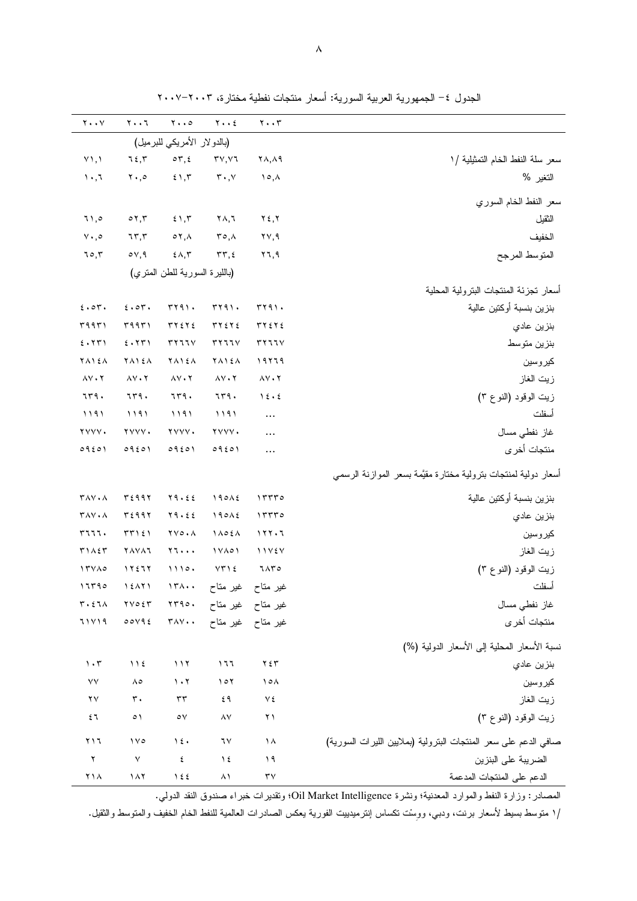| $\mathbf{y} \cdot \mathbf{y}$                       | $\mathbf{y} \cdot \mathbf{y}$       | $\mathbf{y} \cdot \mathbf{z}$            | $Y \cdot Y$                              | $\mathbf{y} \cdot \mathbf{y}$      |                                                                 |
|-----------------------------------------------------|-------------------------------------|------------------------------------------|------------------------------------------|------------------------------------|-----------------------------------------------------------------|
|                                                     |                                     | (بالدو لار الأمريكي للبرميل)             |                                          |                                    |                                                                 |
| $Y \setminus \Lambda$                               | 75.7                                | $\circ \tau, \epsilon$                   | $\mathsf{r}\vee,\mathsf{v}\mathsf{r}$    | $\uparrow \wedge, \wedge \uparrow$ | سعر سلة النفط الخام التمثيلية /١                                |
| $\cdot$ , $\tau$                                    | $\mathbf{y} \cdot \mathbf{z}$       | 51,7                                     | $\mathbf{r} \cdot \mathbf{,} \mathbf{v}$ | $\lambda \circ \lambda$            | النغير %                                                        |
|                                                     |                                     |                                          |                                          |                                    | سعر النفط الخام السوري                                          |
| ۱۱,۰                                                | $\circ$ $\mathbf{v}, \mathbf{r}$    | 51,7                                     | ۲۸,٦                                     | $Y \xi, Y$                         | الثقيل                                                          |
| $\vee \cdot, \circ$                                 | 75, 7                               | $\circ$ $\mathbf{y}, \mathbf{y}$         | $r \circ \Lambda$                        | $\mathsf{Y}\mathsf{Y}, \mathsf{Y}$ | الخفيف                                                          |
| 70,7                                                | $\circ$ $\vee$ , 9                  | ٤٨,٣                                     | $\tau\tau, \epsilon$                     | ۲٦,٩                               | المتوسط المرجح                                                  |
|                                                     |                                     | (بالليرة السورية للطن المنري)            |                                          |                                    |                                                                 |
|                                                     |                                     |                                          |                                          |                                    | أسعار نجزئة المنتجات البنرولية المحلية                          |
| 5.07.                                               | 5.07.                               | rr91.                                    | rr91.                                    | rr91.                              | بنزين بنسبة أوكتين عالية                                        |
| ۳۹۹۳۱                                               | ۳۹۹۳۱                               | $TY \xi Y \xi$                           | 5755                                     | 5755                               | بنزين عادي                                                      |
| 5.771                                               | 2.177                               | ۳۲٦٦٧                                    | rr777                                    | 57777                              | بنزين متوسط                                                     |
| <b>YA124</b>                                        | <b>TAIEA</b>                        | <b>YA12A</b>                             | <b>YA124</b>                             | ١٩٢٦٩                              | كيروسين                                                         |
| $\lambda V \cdot Y$                                 | $\Lambda V \cdot Y$                 | $\lambda V \cdot Y$                      | $\Lambda$ $\vee$ $\cdot$ $\Upsilon$      | $\lambda V \cdot Y$                | زيت الغاز                                                       |
| 759.                                                | 759.                                | 779.                                     | 7٣٩.                                     | 15.5                               | زيت الوقود (النوع ٣)                                            |
| ۱۱۹۱                                                | 1191                                | ۱۱۹۱                                     | 1191                                     | $\cdots$                           | أسفلت                                                           |
| YYYY.                                               | YYYY.                               | YYYY.                                    | YVYV.                                    | $\cdots$                           | غاز نفطي مسال                                                   |
| 09201                                               | 09201                               | 09201                                    | 09201                                    | $\cdots$                           | منتجات أخر ي                                                    |
|                                                     |                                     |                                          |                                          |                                    | أسعار دولية لمنتجات بنرولية مختارة مقيَّمة بسعر الموازنة الرسمى |
| $T\Lambda V \cdot \Lambda$                          | ۳٤٩٩٢                               | Y9.22                                    | 190A                                     | ۱۳۳۳۰                              | بنزين بنسبة أوكتين عالية                                        |
| $\mathsf{r}_{\mathsf{A}\mathsf{V}}\cdot\mathsf{A}$  | ۳٤٩٩٢                               | Y9.22                                    | 190A                                     | 17770                              | بنزين عادي                                                      |
| 5777.                                               | TT121                               | $\mathbf{Y} \mathbf{V} \circ \mathbf{A}$ | $1 \wedge 0 \leq \wedge$                 | 111.7                              | كيروسين                                                         |
| $T1\wedge5T$                                        | <b>YAYAJ</b>                        | $Y \rightarrow \bullet \bullet \bullet$  | $1 Y \wedge 0 1$                         | 11727                              | زيت الغاز                                                       |
| 17400                                               | 11577                               | 1110.                                    | $VT$ ) $\xi$                             | 7870                               | زيت الوقود (النوع ٣)                                            |
| ۱٦٣٩٥                                               | <b>۱٤۸۲۱</b>                        |                                          | غیر مناح غیر مناح ۱۳۸۰۰                  |                                    | اسفلت                                                           |
| $\mathbf{r} \cdot \mathbf{t} \mathbf{1} \mathbf{A}$ | $\gamma \vee \circ \xi \curlyvee$   |                                          | غیر متاح غیر متاح ۲۳۹۰۰                  |                                    | غاز نفطي مسال                                                   |
| 71 Y 1 9                                            | 00195                               |                                          | غیر متاح غیر متاح ۳۸۷۰۰                  |                                    | منتجات أخرى                                                     |
|                                                     |                                     |                                          |                                          |                                    | نسبة الأسعار المحلية إلى الأسعار الدولية (%)                    |
| $\cdot$ ۳                                           | $\bigwedge$ $\bigwedge$ $\bigwedge$ | 117                                      | 177                                      | $Y \xi Y$                          | بنزين عادي                                                      |
| $\vee\vee$                                          | $\wedge \circ$                      | $\mathcal{N}\cdot\mathcal{N}$            | 101                                      | ۱۰۸                                | كيروسين                                                         |
| ۲٧                                                  | $\mathbf{r}$ .                      | $\mathbf{r}\mathbf{r}$                   | ٤٩                                       | ٧٤                                 | زيت الغاز                                                       |
| ٤٦                                                  | $\circ$                             | $\circ \vee$                             | $\lambda\mathrm{V}$                      | ۲۱                                 | زيت الوقود (النوع ٣)                                            |
| ۲۱٦                                                 | $\sqrt{6}$                          | $\lambda \xi$                            | ٦٧                                       | $\lambda$                          | صافي الدعم على سعر المنتجات البترولية (بملايين الليرات السورية) |
| $\mathbf Y$                                         | $\vee$                              | ٤                                        | $\lambda$                                | ۱۹                                 | الضريبة على البنزين                                             |
| ۲۱۸                                                 | $\lambda$                           | $\frac{1}{2}$                            | ۸١                                       | $\tau$ y                           | الدعم على المنتجات المدعمة                                      |

الجدول ٤– الجمهورية العربية السورية: أسعار منتجات نفطية مختارة، ٢٠٠٣–٢٠٠٧

المصادر: وزارة النفط والموارد المعدنية؛ ونشرة Oil Market Intelligence؛ وتقديرات خبراء صندوق النقد الدولي.

/١ منوسط بسيط لأسعار برنت، ودبي، ووسْت نكساس إنترميدييت الفورية يعكس الصادرات العالمية للنفط الخام الخفيف والمتوسط والثقيل.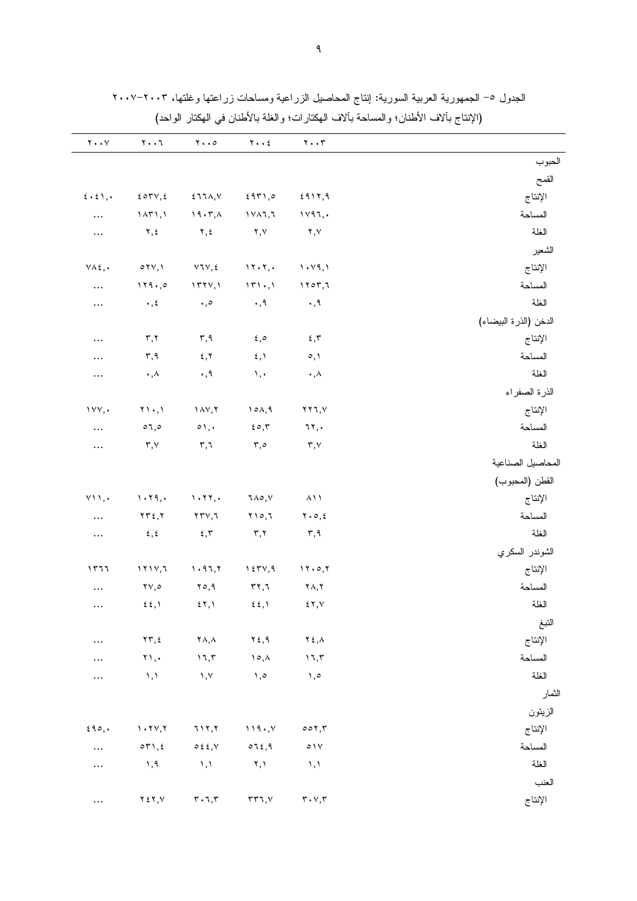|                       | $\mathbf{y} \cdot \cdot \mathbf{r}$       | $Y \cdot Y$                                    | $\mathbf{y} \cdot \cdot \mathbf{0}$     | $\mathbf{y} \cdot \cdot \mathbf{y}$ | $\mathbf{Y} \bullet \bullet \mathbf{V}$      |
|-----------------------|-------------------------------------------|------------------------------------------------|-----------------------------------------|-------------------------------------|----------------------------------------------|
| الحبوب                |                                           |                                                |                                         |                                     |                                              |
| القمح                 |                                           |                                                |                                         |                                     |                                              |
| الإنتاج               | 2917,9                                    | 5971,0                                         | 511A, V                                 | 207V,2                              | $\epsilon \cdot \epsilon \setminus \epsilon$ |
| المساحة               | 1197,                                     | 1111,7                                         | $\lambda$ 9 $\cdot$ $\tau$ , $\lambda$  | $\lambda$                           | $\cdots$                                     |
| الغلة                 | ۲,۷                                       | ۲,۷                                            | ۲, ٤                                    | ۲,٤                                 | $\ldots$                                     |
| الشعير                |                                           |                                                |                                         |                                     |                                              |
| الإنتاج               | $\langle \cdot \vee \rangle$              | $\mathcal{N} \cdot \mathcal{N}, \cdot$         | $VUV, \xi$                              | $\circ$ YV, $\prime$                | $\forall \lambda \xi, \cdot$                 |
| المساحة               | 1707,7                                    | $\mathcal{N}(\cdot, \mathcal{N})$              | 1771,1                                  | 119.0                               | $\cdots$                                     |
| الغلة                 | $\cdot$ , 9                               | $\cdot$ , 9                                    | $\cdot$ ,0                              | $\cdot$ , $\epsilon$                | $\cdots$                                     |
| الدخن (الذرة البيضاء) |                                           |                                                |                                         |                                     |                                              |
| الإنتاج               | 5,7                                       | ه, ٤                                           | $\mathsf{r}, \mathsf{q}$                | $\mathbf{r},\mathbf{r}$             | $\cdots$                                     |
| المساحة               | $\circ, \circ$                            | $\mathfrak{c}$ , $\mathfrak{h}$                | 5,7                                     | ۳,۹                                 | $\cdots$                                     |
| الغلة                 | $\cdot$ , $\wedge$                        | $\lambda$ ,                                    | $\cdot$ , 9                             | $\cdot$ , $\wedge$                  | $\ldots$                                     |
| الذرة الصفراء         |                                           |                                                |                                         |                                     |                                              |
| الإنتاج               | $\gamma \gamma \gamma$ , $\gamma$         | 10A,9                                          | $\lambda V, Y$                          | $\gamma$ ,                          | 1YY,                                         |
| المساحة               | ٦٢,٠                                      | $\epsilon \circ, r$                            | $\circ$ ),.                             | $\circ$ 7,0                         | $\cdots$                                     |
| الغلة                 | $\mathbf{r},\mathbf{v}$                   | $r, \circ$                                     | r, r                                    | $\mathsf{r},\mathsf{v}$             | $\ldots$                                     |
| المحاصيل الصناعية     |                                           |                                                |                                         |                                     |                                              |
| القطن (المحبوب)       |                                           |                                                |                                         |                                     |                                              |
| الإنتاج               | $\lambda$ ) $\lambda$                     | ٦٨٥,٧                                          | $\cdot$ $\cdot$ $\cdot$                 | $\cdot$ $\cdot$ $\cdot$             | $Y \cup \Lambda$ ,                           |
| المساحة               | $\mathbf{Y} \cdot \mathbf{0}, \mathbf{t}$ | $Y \cap o, I$                                  | $\gamma \gamma \gamma, \gamma$          | $\gamma \gamma \epsilon, \gamma$    | $\ldots$                                     |
| الغلة                 | ۳,۹                                       | ۳,۲                                            | $\epsilon$ , $\tau$                     | $\epsilon$ , $\epsilon$             | $\ldots$                                     |
| الشوندر السكري        |                                           |                                                |                                         |                                     |                                              |
| الإنتاج               | 11.0,7                                    | $\gamma$ { $\tau$ $\gamma$ , 9                 | 1.97,7                                  | 1111,7                              | ۱۳٦٦                                         |
| المساحة               | ۲۸,۲                                      | $\mathbf{r}$ ۲,٦                               | ۲٥,۹                                    | $\mathsf{Y}\mathsf{Y},\mathsf{o}$   | $\ldots$                                     |
| الغلة                 | 57, 10                                    | $\mathfrak{z}$ $\mathfrak{z}$ , $\mathfrak{y}$ | 57,1                                    | $\xi$ $\xi$ , $\eta$                | $\ldots$                                     |
| النبغ                 |                                           |                                                |                                         |                                     |                                              |
| الإنتاج               | ۲٤,٨                                      | $Y \xi, \mathcal{Y}$                           | $\mathsf{Y}\wedge,\wedge$               | $\gamma \tau, \epsilon$             | $\cdots$                                     |
| المساحة               | 17,7                                      | $\lambda \circ \lambda$                        | $\backslash$ 1, $\backslash$            | $\mathbf{Y}$ ,.                     | $\cdots$                                     |
| الغلة                 | $\lambda, \circ$                          | $\lambda, \circ$                               | $, \vee$                                | $\lambda$ , $\lambda$               | $\cdots$                                     |
| الثمار                |                                           |                                                |                                         |                                     |                                              |
| الزيتون               |                                           |                                                |                                         |                                     |                                              |
| الإنتاج               | 001,7                                     | 119.7                                          | 717,7                                   | 1.71,7                              | 590,                                         |
| المساحة               | $\circ$ ) $\lor$                          | 072,9                                          | $0 \leq \xi, V$                         | $\circ \tau \wedge, \epsilon$       | $\cdots$                                     |
| الغلة                 | $\lambda$ , $\lambda$                     | $\mathbf{Y}, \mathbf{Y}$                       | $\lambda$ , $\lambda$                   | , 9                                 | $\cdots$                                     |
| العنب                 |                                           |                                                |                                         |                                     |                                              |
| الإنتاج               | $\mathbf{r}\cdot\mathbf{v},\mathbf{r}$    | rr7, V                                         | $\mathbf{r}\cdot \mathbf{v},\mathbf{r}$ | $Y \xi Y, V$                        | $\cdots$                                     |

الجدول ٥– الجمهورية العربية السورية: إنتاج المحاصيل الزراعية ومساحات زراعتها وغلتها، ٢٠٠٣–٢٠٠٧ الإنزاح رألاف الأطنان؛ والمساحة رألافه لامكنارات؛ والغافر الأطنان في المكنار المراجز)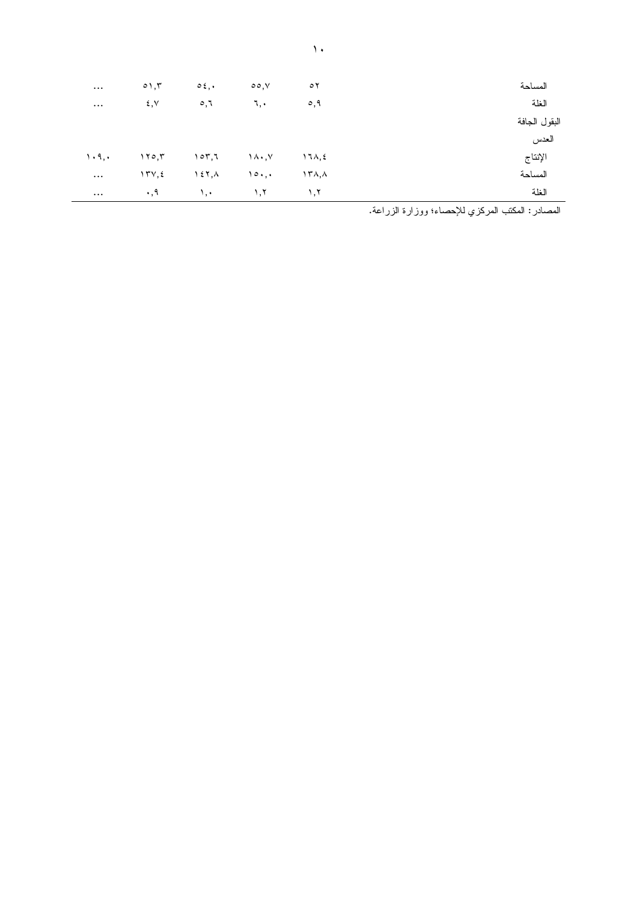| $\cdots$        | $\circ$ ), $\mathsf{r}$      | $0\,$ .                 | $\circ \circ \vee$      | $\circ$          | المساحة       |
|-----------------|------------------------------|-------------------------|-------------------------|------------------|---------------|
| $\cdots$        | ٤,٧                          | $\circ,$                | ٦,٠                     | $\circ, \circ$   | الغلة         |
|                 |                              |                         |                         |                  | البقول الجافة |
|                 |                              |                         |                         |                  | العدس         |
| $\cdot$ $\cdot$ | $\gamma \circ \gamma$        | 107,7                   | $\lambda \cdot \lambda$ | $17\lambda, \xi$ | الإنتاج       |
| $\cdots$        | $\gamma \tau \vee, \epsilon$ | $\lambda$ { $\lambda$ } | 10.                     | ۱۳۸,۸            | المساحة       |
| $\cdots$        | $\cdot$ , 9                  | $\lambda$ , $\cdot$     | $\lambda, \lambda$      | ١,٢              | الغلة         |
|                 |                              |                         |                         |                  |               |

المصادر: المكتب المركزي للإحصاء؛ ووزارة الزراعة.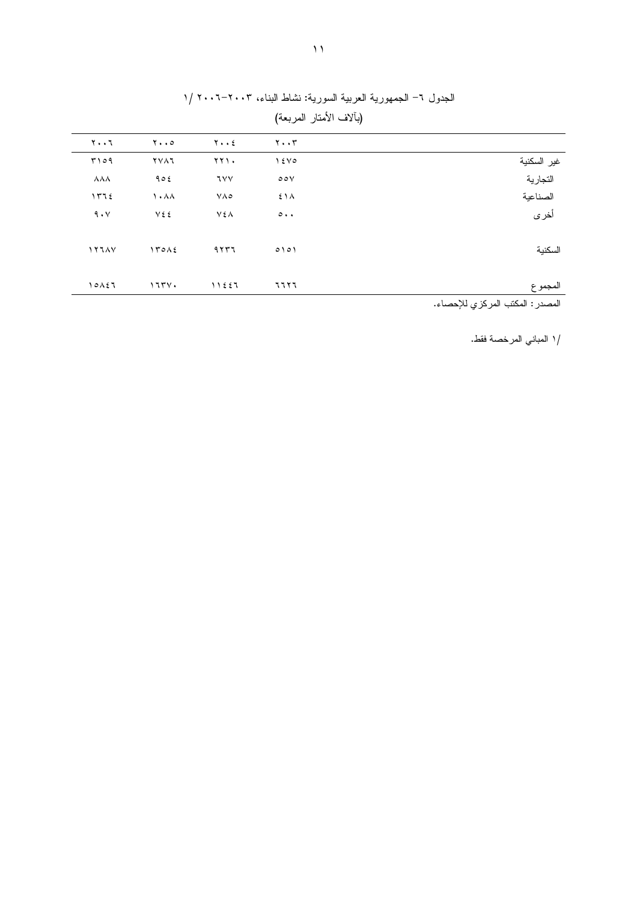|                         |                               |                   | (بألاف الأمتار المربعة)       |                                                                                                                 |
|-------------------------|-------------------------------|-------------------|-------------------------------|-----------------------------------------------------------------------------------------------------------------|
| ۲۰۰٦                    | $\mathbf{y} \cdot \mathbf{0}$ | $Y \cdot \cdot 2$ | $\mathbf{y} \cdot \mathbf{y}$ |                                                                                                                 |
| 5009                    | <b>YVAJ</b>                   | 771.              | 15V0                          | غير السكنية                                                                                                     |
| $\lambda\lambda\lambda$ | 905                           | ٦٧٧               | $\circ \circ \vee$            | التجارية                                                                                                        |
| 1772                    | $\lambda$ . $\lambda$         | $V \wedge \circ$  | 51 <sub>A</sub>               | الصناعية                                                                                                        |
| 9.4                     | V٤٤                           | V٤Λ               | $\circ \cdot \cdot$           | أخرى                                                                                                            |
| 1111                    | 170A                          | 9557              | 0101                          | السكنية                                                                                                         |
| 10157                   | 1774.                         | 11557             | 77 Y 7                        | المجموع                                                                                                         |
|                         |                               |                   |                               | the contract of the contract of the contract of the contract of the contract of the contract of the contract of |

الجدول ٦– الجمهورية العربية السورية: نشاط البناء، ٢٠٠٣–٢٠٠٦ /١

المصدر : المكتب المركزي للإحصاء.

/١ المباني المرخصة فقط.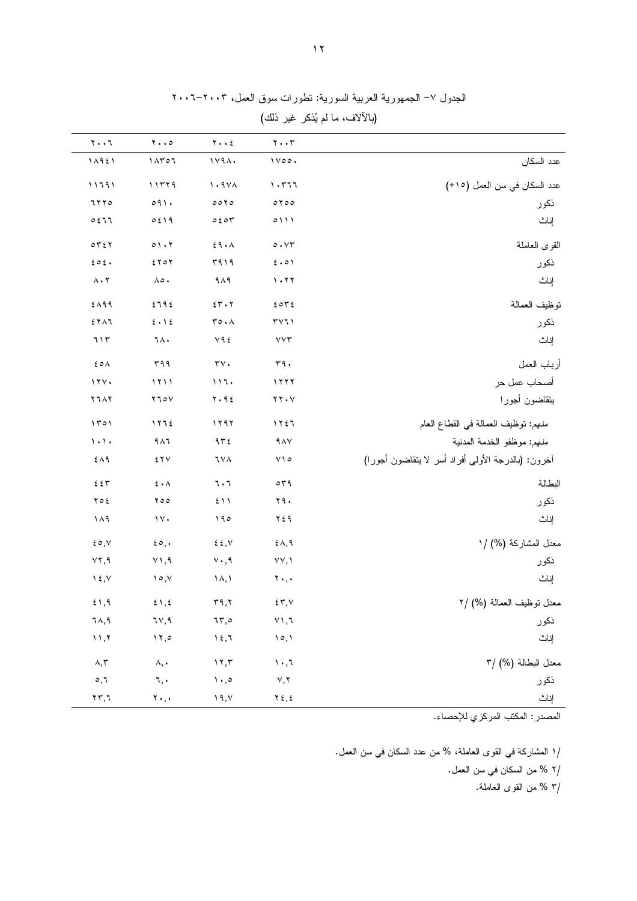|  |  | الجدول ٧– الجمهورية العربية السورية: نطورات سوق العمل، ٢٠٠٣–٢٠٠٦ |
|--|--|------------------------------------------------------------------|
|--|--|------------------------------------------------------------------|

(بالآلاف، ما لم يُذكر غير ذلك)

|                                                    | $\mathbf{y} \cdot \mathbf{y}$    | $Y \cdot \cdot 2$                 | $\mathbf{y} \cdot \cdot \mathbf{0}$                                      | $\mathbf{y} \cdot \mathbf{y}$                                 |
|----------------------------------------------------|----------------------------------|-----------------------------------|--------------------------------------------------------------------------|---------------------------------------------------------------|
| عدد السكان                                         | $1 \vee \circ \circ \cdot$       | 1794.                             | 1ATO1                                                                    | 11921                                                         |
| عدد السكان في سن العمل (١٥+)                       | $\lambda$ . ۳٦٦                  | $\lambda \cdot 9 \lambda \lambda$ | 11779                                                                    | ۱۱۶۹۱                                                         |
| ذكور                                               | $0 \times 00$                    | 0010                              | 091.                                                                     | 7770                                                          |
| إناث                                               | 0111                             | 0.504                             | 0519                                                                     | 0.517                                                         |
| القوى العاملة                                      | $\circ \cdot \vee \tau$          | 29.1                              | $0 \setminus \cdot \gamma$                                               | $\circ \tau \circ \tau$                                       |
| ذكور                                               | 5.01                             | 5919                              | $5 \times 0 \times$                                                      | 202.                                                          |
| إناث                                               | 1.77                             | $9 \wedge 9$                      | ٨٥.                                                                      | $\Lambda \cdot \Upsilon$                                      |
| نوظيف العمالة                                      | 2072                             | 55.7                              | 2792                                                                     | $2\lambda$ 99                                                 |
| ذكور                                               | $\mathsf{r}\mathsf{v}\mathsf{r}$ | ro.A                              | $\boldsymbol{\xi}\boldsymbol{\cdot}\boldsymbol{\lambda}\boldsymbol{\xi}$ | $5 Y \wedge 7$                                                |
| إناث                                               | VVT                              | $Y$ 9 $\xi$                       | ٦٨.                                                                      | 715                                                           |
| أرباب العمل                                        | $r$ ۹.                           | $\tau\mathbf{v}$ .                | ۳۹۹                                                                      | ٤٥٨                                                           |
| أصحاب عمل حر                                       | 1111                             | 117.                              | 1111                                                                     | 111.                                                          |
| يتقاضون أجورا                                      | $YY \cdot Y$                     | $Y \cdot 9\xi$                    | $Y \cup \circ Y$                                                         | ۲٦٨٢                                                          |
| منهم: نوظيف العمالة في القطاع العام                | 1157                             | 1197                              | 1175                                                                     | 1501                                                          |
| منهم: موظفو الخدمة المدنية                         | $9\,\mathrm{AV}$                 | 972                               | 911                                                                      | $\lambda$ . $\lambda$ .                                       |
| أخرون: (بالدرجة الأولى أفراد أسر لا ينقاضون أجورا) | $Y \cap o$                       | ٦٧٨                               | 5 Y V                                                                    | ٤٨٩                                                           |
| البطالة                                            | $\circ$ $\uparrow$ 9             | 7.7                               | $\mathbf{\hat{z}}\bullet\mathbf{\Lambda}$                                | $\mathbf{\acute{z}}$ $\mathbf{\acute{z}}$ $\mathbf{\Upsilon}$ |
| ذكور                                               | ۲۹۰                              | 511                               | ٥٥ ٢                                                                     | $Y \circ \xi$                                                 |
| إناث                                               | ۲٤۹                              | 190                               | $\gamma \vee \cdot$                                                      | ۱۸۹                                                           |
| معدل المشاركة (%) /١                               | $2\lambda,9$                     | $\xi \xi, V$                      | $\epsilon \circ$ ,                                                       | $\epsilon \circ, v$                                           |
| ذكور                                               | YY, Y                            | $Y \cdot 0.9$                     | $Y$ ), 9                                                                 | YY, 9                                                         |
| إناث                                               | $\mathbf{y}$ .,                  | ۱۸,۱                              | ۱۰,۷                                                                     | $\lambda \xi, \lambda$                                        |
| معدل نوظيف العمالة (%) /٢                          | 25.7                             | $\mathbf{r}$ ٩,٢                  | $\xi \setminus \xi$                                                      | 5,9                                                           |
| ذكور                                               | $\vee$ ) , $\daleth$             | 75,0                              | ٦٧,٩                                                                     | ٦٨,٩                                                          |
| إناث                                               | ۱۰,۱                             | $\gamma$ {, $\gamma$              | 17,0                                                                     | 11,7                                                          |
| معدل البطالة (%) /٣                                | $\mathcal{N} \cdot \mathcal{N}$  | 17,7                              | ۸,٠                                                                      | $\wedge,\curlyvee$                                            |
| ذكور                                               | $\vee, \vee$                     | $\mathcal{N} \cdot \mathcal{S}$   | ٦,٠                                                                      | ٥,٦                                                           |
| إناث                                               | $Y \xi, \xi$                     | ۱۹,۷ $\theta$                     | $\mathbf{Y}$ , , ,                                                       | $\mathbf{Y}\,\mathbf{Y},\mathbf{X}$                           |

المصدر : المكتب المركزي للإحصاء.

/١ المشاركة في القوى العاملة، % من عدد السكان في سن العمل. /٢ % من السكان في سن العمل. /٣ % من القوى العاملة.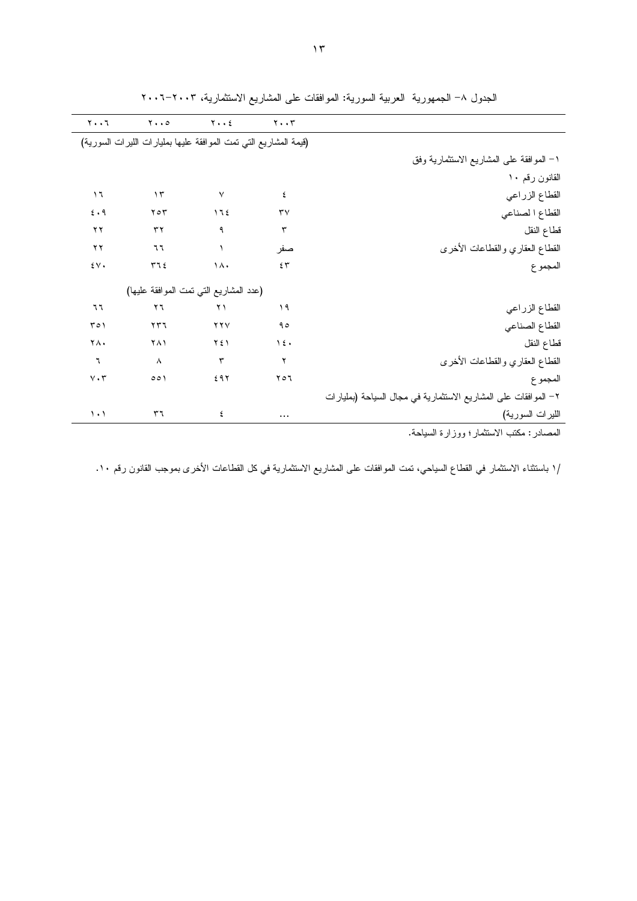|                                                                                                                | $\mathbf{Y} \cdot \cdot \mathbf{Y}$ | $Y \cdot \cdot 2$         | $\mathbf{y} \cdot \cdot \mathbf{0}$                              | $\mathbf{Y} \cdot \cdot \mathbf{V}$ |
|----------------------------------------------------------------------------------------------------------------|-------------------------------------|---------------------------|------------------------------------------------------------------|-------------------------------------|
|                                                                                                                |                                     |                           | (قيمة المشاريع التي نمت الموافقة عليها بمليارات الليرات السورية) |                                     |
| ١– الموافقة على المشاريع الاستثمارية وفق                                                                       |                                     |                           |                                                                  |                                     |
| القانون رقم ١٠                                                                                                 |                                     |                           |                                                                  |                                     |
| القطاع الزراعي                                                                                                 | ٤                                   | $\ensuremath{\mathsf{V}}$ | $\gamma$                                                         | $\overline{1}$                      |
| القطاع الصناعي                                                                                                 | $\mathsf{r}\mathsf{v}$              | 172                       | $Y \circ Y$                                                      | 5.9                                 |
| قطاع النقل                                                                                                     | $\mathbf{r}$                        | ٩                         | ٣٢                                                               | ۲۲                                  |
| القطاع العقاري والقطاعات الأخرى                                                                                | صفر                                 | $\lambda$                 | ٦٦                                                               | ۲۲                                  |
| المجموع                                                                                                        | 55                                  | $\lambda$                 | 571                                                              | $\mathfrak{z}\vee\mathfrak{z}$      |
|                                                                                                                |                                     |                           | (عدد المشاريع التي نمت الموافقة عليها)                           |                                     |
| القطاع الزراعي                                                                                                 | ۱۹                                  | $\gamma \gamma$           | ۲٦                                                               | ٦٦                                  |
| القطاع الصناعي                                                                                                 | 90                                  | YYV                       | $\gamma \tau \tau$                                               | ۲٥١                                 |
| قطاع النقل                                                                                                     | $\lambda \xi$                       | ۲٤١                       | ۲۸۱                                                              | ٢٨.                                 |
| القطاع العقاري والقطاعات الأخرى                                                                                | ۲                                   | $\mathbf r$               | $\boldsymbol{\wedge}$                                            | ٦                                   |
| المجموع                                                                                                        | ۲٥٦                                 | 297                       | 001                                                              | $\vee \cdot \curlyvee$              |
| ٢- الموافقات على المشاريع الاستثمارية في مجال السياحة (بمليارات                                                |                                     |                           |                                                                  |                                     |
| الليرات السورية)                                                                                               |                                     | ٤                         | ٣٦                                                               | $\setminus \cdot$                   |
| We are the state of the state of the state of the state of the state of the state of the state of the state of |                                     |                           |                                                                  |                                     |

الجدول ٨– الجمهورية العربية السورية: الموافقات على المشاريع الاستثمارية، ٢٠٠٣–٢٠٠٦

المصـادر : مكتب الاستثمار ؛ ووزارة السياحة.

/١ باستثناء الاستثمار في القطاع السياحي، نمت الموافقات على المشاريع الاستثمارية في كل القطاعات الأخرى بموجب القانون رقم ١٠.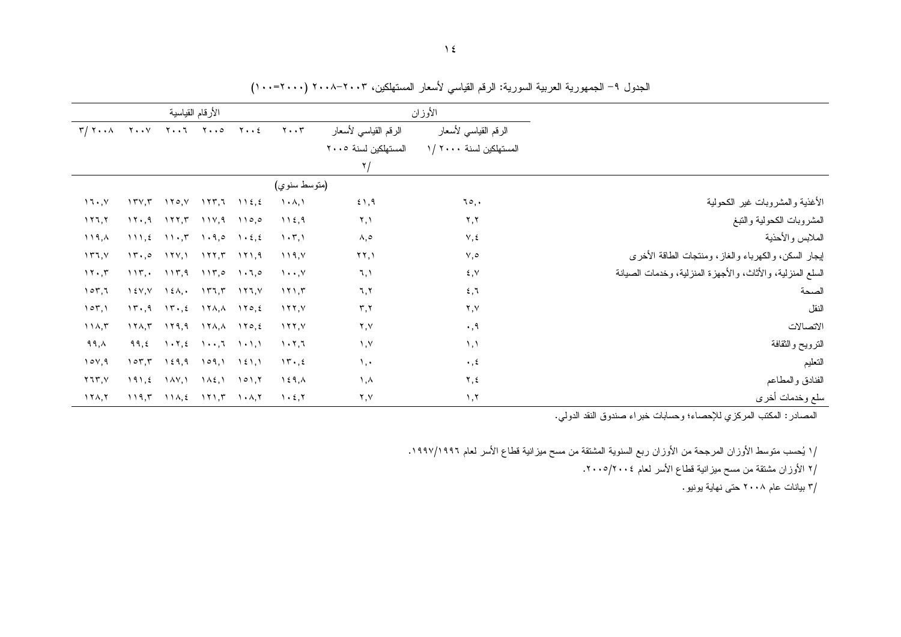|                                                            |                                                 | الأوزان                                      |                                             |  | الأرقام القياسية                      |                                                                                                                                                      |        |                                   |  |
|------------------------------------------------------------|-------------------------------------------------|----------------------------------------------|---------------------------------------------|--|---------------------------------------|------------------------------------------------------------------------------------------------------------------------------------------------------|--------|-----------------------------------|--|
|                                                            | الرقم القياسي لأسعار<br>المستهلكين لسنة ٢٠٠٠ /١ | الرقم القياسي لأسعار<br>المستهلكين لسنة ٢٠٠٥ |                                             |  |                                       |                                                                                                                                                      |        | $T/T$ $T$ $T$ $T$ $T$ $T$ $T$ $T$ |  |
|                                                            |                                                 | ۲/                                           |                                             |  |                                       |                                                                                                                                                      |        |                                   |  |
|                                                            |                                                 |                                              | (متوسط سنوي)                                |  |                                       |                                                                                                                                                      |        |                                   |  |
| الأغذية والمشروبات غير الكحولية                            | ٦٥,٠                                            | 51,9                                         | $\lambda$ . $\lambda$ , $\lambda$           |  |                                       | $17Y, T$ $170, Y$ $177, T$ $112, Z$                                                                                                                  |        | 11.7                              |  |
| المشروبات الكحولية والننبغ                                 | ۲,۲                                             | ۲,۱                                          | 112,9                                       |  |                                       | $17.9$ $177.7$ $117.9$ $110.0$                                                                                                                       |        | $\lambda$                         |  |
| الملابس والأحذية                                           | $V, \xi$                                        | ٨,٥                                          | $\langle \cdot, \tau \rangle$               |  |                                       | $111,2$ $11.7$ $1.9,0$ $1.2,2$                                                                                                                       |        | $\lambda$ , $\lambda$             |  |
| لِيجار السكن، والكهرباء والغاز، ومنتجات الطاقة الأخرى      | $\vee, \circ$                                   | $\Upsilon$ $\Upsilon$ , $\Upsilon$           | 119, Y                                      |  |                                       | $17.0$ $177.1$ $177.7$ $171.9$                                                                                                                       |        | ۱۳٦,۷ $\forall$                   |  |
| السلع المنزلية، والأثاث، والأجهزة المنزلية، وخدمات الصيانة | $\xi, \forall$                                  | $\mathcal{L}, \mathcal{L}$                   | $\mathcal{N} \cdot \cdot \cdot \mathcal{N}$ |  |                                       | $117.$ , $117.9$ $117.0$ $1.7.0$                                                                                                                     |        | 11.7                              |  |
| الصحة                                                      | 5,1                                             | 7,7                                          | 111,7                                       |  |                                       | $\begin{bmatrix} 1 & 2 & 1 \\ 2 & 1 & 1 \end{bmatrix}$ $\begin{bmatrix} 2 & 1 \\ 2 & 1 \end{bmatrix}$ $\begin{bmatrix} 2 & 1 \\ 1 & 1 \end{bmatrix}$ |        | 107,7                             |  |
| النقل                                                      | ۲,۷                                             | $\mathbf{r}, \mathbf{r}$                     | $\lambda$                                   |  |                                       | $17.4$ $17.2$ $17.1$ , $170.2$                                                                                                                       |        | 107,1                             |  |
| الاتصالات                                                  | $\cdot$ , 9                                     | ۲,۷                                          | $\lambda$                                   |  |                                       |                                                                                                                                                      |        | 11A,7                             |  |
| الترويح والثقافة                                           | $\lambda, \lambda$                              | $\lambda, \lambda$                           | 1.7.7                                       |  |                                       | $99, 2 \quad 1.7, 2 \quad 1.7, 7 \quad 1.1, 1$                                                                                                       |        | ۹۹, $\wedge$                      |  |
| التعليم                                                    | $\cdot$ , $\epsilon$                            | $\lambda$ , $\cdot$                          | 15.5                                        |  |                                       | $107,7$ $129,9$ $109,1$ $121,1$                                                                                                                      |        | 10Y,9                             |  |
| الفنادق والمطاعم                                           | ۲,٤                                             | ۱,۸                                          | $\lambda \in 9, \lambda$                    |  | $1\wedge \xi$ , $1 \circ 1$ , $\zeta$ | ۱ ۸۷, ۱                                                                                                                                              | 191, 2 | $Y$ ٦٣,٧                          |  |
| سلع وخدمات أخرى                                            | $\lambda, \lambda$                              | ۲,۷                                          | 1.5.7                                       |  |                                       | $119,7$ $11\lambda,2$ $171,7$ $1\cdot\lambda,7$                                                                                                      |        | $17\lambda,7$                     |  |

الجدول ٩– الجمهورية العربية السورية: الرقم القياسي لأسعار المستهلكين، ٢٠٠٣-٢٠٠٨ (٢٠٠٠-٢٠٠١)

المصادر : المكتب المركزي للإحصاء؛ وحسابات خبراء صندوق النقد الدولي.

/١ يُحسب متوسط الأوزان المرجحة من الأوزان ربع السنوية المشتقة من مسح ميزانية قطاع الأسر لعام ١٩٩٦/١٩٩٦.

/٢ الأوزان مشتقة من مسح ميزانية قطاع الأسر لعام ٢٠٠٥/٢٠٠٤.

/۳ بیانات عام ۲۰۰۸ حتی نهایة پونیو .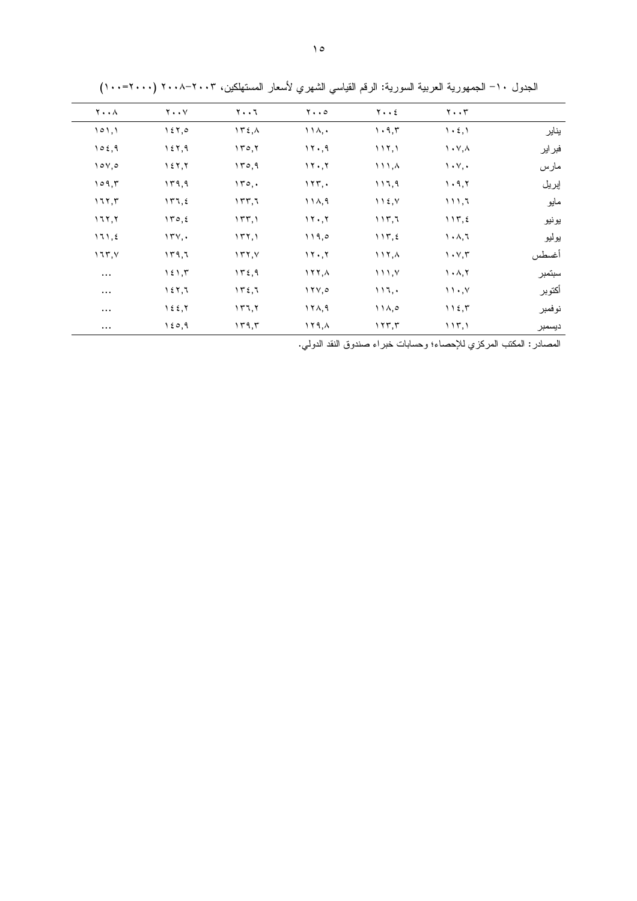|        | $\mathbf{y} \cdot \mathbf{y}$                   | $Y \cdot \cdot 2$                            | $y \cdot \cdot \circ$ | $Y \cdot \cdot 7$ | $Y \cdot Y$                     | $\mathbf{Y} \cdot \cdot \mathbf{A}$ |
|--------|-------------------------------------------------|----------------------------------------------|-----------------------|-------------------|---------------------------------|-------------------------------------|
| يناير  | $\mathcal{L} \cdot \mathcal{L}$ , $\mathcal{L}$ | $\mathcal{N} \cdot \mathcal{A}, \mathcal{K}$ | $\{\lambda, \cdot\}$  | 152,              | 157,0                           | 101,1                               |
| فبراير | $\lambda \cdot \lambda$                         | 117,1                                        | ۰۲۰٫۹                 | 150, 1            | 157,9                           | 102,9                               |
| مارس   | $\mathcal{N} \cdot \mathcal{N}$                 | $\lambda$ , $\lambda$                        | 11.7                  | 170,9             | 157,7                           | $\sqrt{2}$                          |
| إبريل  | 1.9, 7                                          | ۱۱٦,۹                                        | 177,                  | 150.              | 179,9                           | 109.5                               |
| مايو   | 111,7                                           | $\bigcup$ $\{ \bigcup$                       | 111, 9                | 157,7             | 177, 2                          | 117,7                               |
| يونيو  | 117,5                                           | 117,7                                        | 11.7                  | 157,1             | 150, 2                          | 117,7                               |
| يوليو  | $\lambda$ . $\lambda$ , $\lambda$               | 117, 2                                       | ۱۱۹,۰                 | 177,1             | $\Upsilon \Upsilon \vee \cdots$ | 111,5                               |
| أغسطس  | $\mathcal{N} \cdot \mathcal{N}, \mathcal{N}$    | $\lambda$ , $\lambda$                        | 11.7                  | $\Upsilon$        | ۱۳۹,٦                           | 177, 17                             |
| سبتمبر | $\lambda$ . $\lambda$ , $\lambda$               | 111.7                                        | $\lambda$ , $\lambda$ | 172,9             | 151,7                           | $\cdots$                            |
| أكتوبر | $\mathcal{N} \cdot \mathcal{N}$                 | 117.                                         | 17Y,0                 | 152,7             | 157,7                           | $\cdots$                            |
| نوفمبر | 115,7                                           | 11A, 0                                       | 171, 9                | 177,7             | 155,7                           | $\cdots$                            |
| ديسمبر | 117,1                                           | 157,7                                        | ۱۲۹,۸                 | 179,7             | 150,9                           | $\cdots$                            |

الجدول ١٠– الجمهورية العربية السورية: الرقم القياسي الشهري لأسعار المستهلكين، ٢٠٠٣–٢٠٠٠ (٢٠٠٠=١٠٠)

المصادر : المكتب المركزي للإحصاء؛ وحسابات خبراء صندوق النقد الدولي.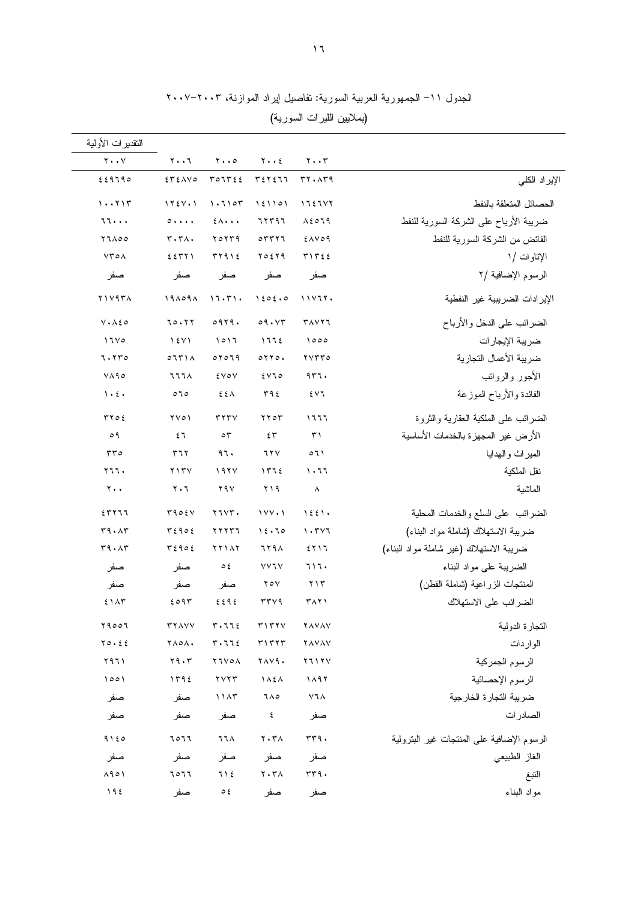| النقدير ات الأولية          |                                          |                                     |                                          |                                      |                                            |
|-----------------------------|------------------------------------------|-------------------------------------|------------------------------------------|--------------------------------------|--------------------------------------------|
| $Y \cdot Y$                 | $Y \cdot \cdot 7$                        | $\mathbf{y} \cdot \cdot \mathbf{0}$ | $y \cdot z$                              | $\mathbf{y} \cdot \mathbf{y}$        |                                            |
| 229790                      | $EY\Sigma$                               | TOTTEE                              | T57577                                   | rr.1r9                               | الإير اد الكلي                             |
| 1.711                       | $1Y5V \cdot 1$                           | 1.7107                              | 151101                                   | 1757YY                               | الحصائل المتعلقة بالنفط                    |
| 77                          | $0 + 1 + 1$                              | $2\lambda \cdot \cdot \cdot$        | 77597                                    | $\lambda$ { $\circ$ $\overline{1}$ 9 | ضريبة الأرباح على الشركة السورية للنفط     |
| 77100                       | $r \cdot r \wedge \cdot$                 | ۲۵۲۳۹                               | $\circ$ $\uparrow$ $\uparrow$ $\uparrow$ | <b>EAVO9</b>                         | الفائض من الشركة السورية للنفط             |
| $Y\mathcal{F}\circ\Lambda$  | 2571                                     | T Y 9 12                            | ٢٥٤٢٩                                    | T1722                                | الإتاوات /۱                                |
| صفر                         | صفر                                      | صفر                                 | صفر                                      | صفر                                  | الرسوم الإضافية /٢                         |
| $Y$ $Y$ $Y$ $4Y$ $\Lambda$  | 191091                                   | 17.5                                | 1505.0                                   | 11Y1Y.                               | الإير ادات الضريبية غير النفطية            |
| $V \cdot \Lambda \xi \circ$ | 70.77                                    | 0919.                               | 09.57                                    | <b>TAVYI</b>                         | الضرائب على الدخل والأرباح                 |
| 1700                        | 15Y1                                     | 1017                                | 1772                                     | 1000                                 | ضريبة الإيجارات                            |
| 7.770                       | 0771A                                    | 07079                               | $0 \times 10.$                           | ۲۷۳۳۰                                | ضريبة الأعمال التجارية                     |
| $V \wedge 90$               | ススス人                                     | 2VOV                                | 5070                                     | 977.                                 | الأجور والرواتب                            |
| $\lambda$ . $\epsilon$ .    | 070                                      | ξźΛ                                 | ۳۹٤                                      | ٤٧٦                                  | الفائدة والأرباح الموزعة                   |
| ۲۲۰٤                        | $\gamma \gamma o \gamma$                 | $rrr\gamma$                         | ۲۲۰۳                                     | ۱٦٦٦                                 | الضرائب علمي الملكية العقارية والثروة      |
| ۹ ه                         | ٤٦                                       | $\circ$ ٣                           | ٤٣                                       | $\uparrow$                           | الأرض غير المجهزة بالخدمات الأساسية        |
| ۳۳٥                         | ۳٦٢                                      | ۹٦.                                 | ٦۲۷                                      | $\circ$ 1)                           | الميراث والهدايا                           |
| ۲٦٦.                        | $Y \setminus Y$                          | 197 <sub>V</sub>                    | 1772                                     | ۱۰٦٦                                 | نقل الملكية                                |
| $\mathbf{y}$ .              | $\mathbf{y} \cdot \mathbf{y}$            | ۲۹۷                                 | ۲۱۹                                      | $\lambda$                            | الماشية                                    |
| 557777                      | 5905V                                    | 77YT.                               | $1YY \cdot 1$                            | 1551.                                | الضرائب علىى السلع والخدمات المحلية        |
| $r_1 \cdot \lambda r$       | $T\xi$ 90 $\xi$                          | 77777                               | 12.70                                    | 1.717                                | ضربية الاستهلاك (شاملة مواد البناء)        |
| r9.1r                       | 56906                                    | <b>77117</b>                        | <b>7794</b>                              | ٤٢١٦                                 | ضريبة الاستهلاك (غير شاملة مواد البناء)    |
| صفر                         | صفر                                      | $\circ$ ٤                           | <b>YYJY</b>                              | ٦١٦.                                 | الضرببة على مواد البناء                    |
| صفر                         | صفر                                      | صفر                                 | $Y \circ Y$                              | $\gamma \gamma \tau$                 | المنتجات الزراعية (شاملة القطن)            |
| 51AT                        | 2097                                     | 2292                                | rrvq                                     | ۳۸۲۱                                 | الضرائب على الاستهلاك                      |
| 29007                       | <b>TYAVV</b>                             | $r \cdot 776$                       | T177Y                                    | <b>YAYAY</b>                         | النجارة الدولية                            |
| $Y \circ . \leq \epsilon$   | <b>YA0A.</b>                             | $r \cdot 776$                       | T1777                                    | <b>YAYAY</b>                         | الواردات                                   |
| ۲۹٦۱                        | $\mathbf{Y} \mathbf{9} \cdot \mathbf{r}$ | <b>YIVOA</b>                        | <b>YAV9.</b>                             | Y11YV                                | الرسوم الجمركية                            |
| 1001                        | 1192                                     | YYYT                                | $\Lambda$ $\lambda$ $\lambda$            | ۱۸۹۲                                 | الرسوم الإحصائية                           |
| صفر                         | صفر                                      | 11AT                                | ٦٨٥                                      | ۷٦٨                                  | ضريبة التجارة الخارجية                     |
| صفر                         | صفر                                      | صفر                                 | ٤                                        | صفر                                  | الصادرات                                   |
| 9150                        | 7077                                     | <b>774</b>                          | $Y \cdot Y \wedge$                       | rrq.                                 | الرسوم الإضافية على المنتجات غير البنرولية |
| صفر                         | صفر                                      | صفر                                 | صفر                                      | صفر                                  | الغاز الطبيعي                              |
| $\Lambda$ 90)               | 7077                                     | 71 E                                | $\mathbf{Y} \cdot \mathbf{Y}$            | $rrq$ .                              | النبغ                                      |
| 195                         | صفر                                      | ع ہ                                 | صفر                                      | صفر                                  | مواد البناء                                |

الجدول ١١– الجمهورية العربية السورية: تفاصيل اپراد الموازنة، ٢٠٠٣–٢٠٠٧

(بملايين الليرات السورية)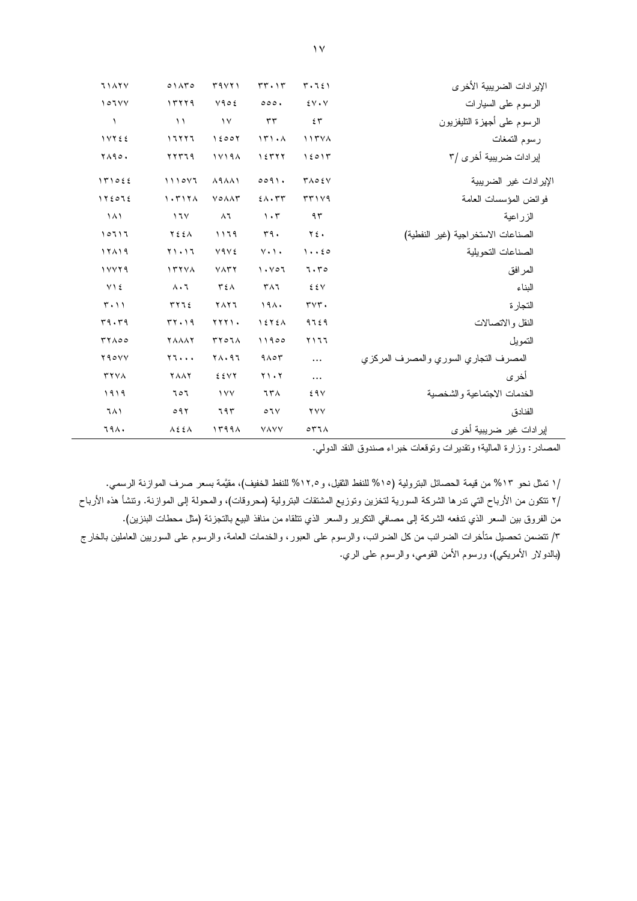| <b>7147Y</b>                  | 01ATO                     | T4VY1                           | $rr \cdot 1r$                  | $T \cdot T \xi$                          | الإير ادات الضريبية الأخر ي           |
|-------------------------------|---------------------------|---------------------------------|--------------------------------|------------------------------------------|---------------------------------------|
| 101YY                         | 17779                     | $Y90\xi$                        | 000.                           | $\mathcal{L} \vee \cdot \vee$            | الرسوم على السيارات                   |
| $\lambda$                     | $\lambda$                 | $\gamma$                        | $\tau\tau$                     | 55                                       | الرسوم على أجهزة النليفزيون           |
| <b>IVYEE</b>                  | 11111                     | 15007                           | 151.1                          | 117YA                                    | رسوم التمغات                          |
| <b>YA90.</b>                  | ۲۲۳۶۹                     | 17194                           | ۱٤٣٢٢                          | 15017                                    | إير ادات ضريبية أخرى /٣               |
| 151055                        | 1110Y1                    | $\lambda$ 9 $\lambda$ $\lambda$ | $009$ .                        | $Y \wedge Q \in V$                       | الإير ادات غير الضريبية               |
| 172072                        | 1.717 <sub>A</sub>        | VOAAT                           | $2\lambda \cdot \tau \tau$     | 57119                                    | فوائض المؤسسات العامة                 |
| $\lambda$                     | 17 <sub>V</sub>           | $\lambda$ ٦                     | $\cdot$ ۳                      | ۹۳                                       | الزراعية                              |
| 10717                         | YEEA                      | ۱۱٦٩                            | $r_1$ .                        | $Y \xi$ .                                | الصناعات الاستخر اجية (غير النفطية)   |
| 17119                         | $Y \setminus \cdot Y$     | Y۹V٤                            | $V \cdot V \cdot$              | $1 \cdot 20$                             | الصناعات التحويلية                    |
| 11179                         | 177YA                     | $V\wedge r$                     | $\lambda \cdot \nu \circ \tau$ | 7.70                                     | المرافق                               |
| $Y$ \ {                       | $\Lambda \cdot 7$         | $T \xi \wedge$                  | TAT                            | EEV                                      | البناء                                |
| $\mathbf{r} \cdot \mathbf{v}$ | 5772                      | <b>TAY7</b>                     | 191.                           | $\mathsf{r}\vee\mathsf{r}$ .             | التجارة                               |
| 79.79                         | 57.19                     | <b>TTTI.</b>                    | 1575A                          | 9729                                     | النقل والاتصالات                      |
| TYA00                         | <b>YAAAY</b>              | <b>TYOIA</b>                    | 11900                          | ۲۱٦٦                                     | التمويل                               |
| Y90YY                         | $Y$ $\cdots$              | 71.97                           | $9 \wedge 07$                  | $\cdots$                                 | المصرف النجاري السوري والمصرف المركزي |
| <b>TYVA</b>                   | <b>YAAY</b>               | EEVY                            | $Y \cup Y$                     | $\cdots$                                 | أخر ي                                 |
| ١٩١٩                          | 707                       | $\gamma$                        | <b>758</b>                     | 29V                                      | الخدمات الاجتماعية والشخصية           |
| ٦٨١                           | 097                       | ٦٩٣                             | O7V                            | <b>YYY</b>                               | الفنادق                               |
| <b>794.</b>                   | $\lambda \xi \xi \lambda$ | 1199A                           | <b>VAVV</b>                    | $\circ$ $\uparrow$ $\uparrow$ $\uparrow$ | إير ادات غير ضريبية أخر ي             |

المصادر : وزارة المالية؛ ونقديرات ونوفعات خبراء صندوق النقد الدولي.

/ا نمثل نحو ١٣% من قيمة الحصائل البترولية (١٥% للنفط الثقيل، و١٢,٥% للنفط الخفيف)، مقيَّمة بسعر صرف الموازنة الرسمي. /٢ نتكون من الأرباح التي ندرها الشركة السورية لتخزين وتوزيع المشتقات البترولية (محروقات)، والمحولة إلى الموازنة. وتتشأ هذه الأرباح من الفروق بين السعر الذي ندفعه الشركة إلى مصافي النكرير والسعر الذي نتلقاه من منافذ البيع بالنجزئة (مثل محطات البنزين). ٣/ تتضمن تحصيل متأخرات الضرائب من كل الضرائب، والرسوم على العبور، والخدمات العامة، والرسوم على السوريين العاملين بالخارج (بالدولار الأمريكي)، ورسوم الأمن القومي، والرسوم على الري.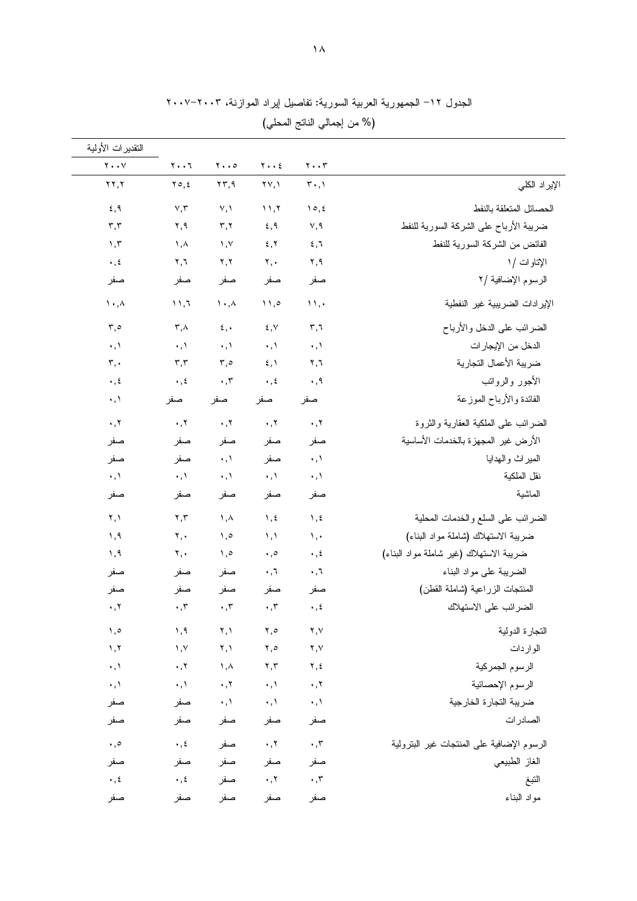| النقديرات الأولمية                        |                                           |                                                |                                                |                                                |                                               |
|-------------------------------------------|-------------------------------------------|------------------------------------------------|------------------------------------------------|------------------------------------------------|-----------------------------------------------|
| $\mathbf{Y} \bullet \bullet \mathbf{V}$   | $\mathbf{y} \cdot \mathbf{y}$             | $\mathbf{y} \cdot \mathbf{z}$                  | $y \cdot z$                                    | $\mathbf{y} \cdot \mathbf{y}$                  |                                               |
| $\mathbf{y}$                              | ۲٥,٤                                      | ۲۳,۹                                           | $\mathsf{Y}\mathsf{Y},\mathsf{Y}$              | $\mathbf{r} \cdot \mathbf{,} \mathbf{A}$       | الإير اد الكلي                                |
| 5,9                                       | $\vee, \vee$                              | Y, Y                                           | 11,7                                           | $\Delta$ , $\epsilon$                          | الحصائل المتعلقة بالنفط                       |
| $\mathbf{r},\mathbf{r}$                   | ۲,۹                                       | $\mathbf{r}, \mathbf{r}$                       | 5,9                                            | ٧,٩                                            | ضريبة الأرباح على الشركة السورية للنفط        |
| 1,7                                       | ۱,۸                                       | $, \vee$                                       | 5, 7                                           | 5,7                                            | الفائض من الشركة السورية للنفط                |
| $\boldsymbol{\cdot}$ , $\boldsymbol{\xi}$ | $\mathbf{Y}, \mathbf{I}$                  | $\mathbf{y},\mathbf{y}$                        | ۲,٠                                            | ۲,۹                                            | الإتاوات /۱                                   |
| صفر                                       | صفر                                       | صفر                                            | صفر                                            | صفر                                            | الرسوم الإضافية /٢                            |
| $\mathcal{N} \cdot \mathcal{N}$           | $\binom{1}{1}$                            | $\wedge \cdot \wedge$                          | $\setminus$ ,0                                 | $\mathcal{N}, \cdot$                           | الإير ادات الضريبية غير النفطية               |
| $\mathfrak{r}, \circ$                     | $\mathsf{r}$ , $\wedge$                   | $\epsilon, \cdot$                              | $\xi, \forall$                                 | $r, \tau$                                      | الضرائب على الدخل والأرباح                    |
| $\cdot$ , $\lambda$                       | $\cdot$ , $\lambda$                       | $\cdot$ , $\wedge$                             | $\cdot$ , $\rangle$                            | $\cdot$ , $\lambda$                            |                                               |
| ٣,٠                                       | $\mathbf{r},\mathbf{r}$                   | $\mathbf{r}, \mathbf{0}$                       | $\mathfrak{z}, \mathfrak{z}$                   | ۲,٦                                            | الدخل من الإيجار ات<br>ضريبة الأعمال التجارية |
| $\cdot$ , ź                               | $\cdot$ , $\epsilon$                      | $\boldsymbol{\cdot}$ , $\boldsymbol{\tau}$     | $\cdot$ , $\epsilon$                           | ۰,۹                                            | الأجور والرواتب                               |
| ۰٫۱                                       |                                           |                                                |                                                |                                                | الفائدة والأرباح الموزعة                      |
|                                           | صفر                                       | صفر                                            | صفر                                            | صفر                                            |                                               |
| $\cdot$ , $\mathbf{y}$                    | $\cdot$ , $\gamma$                        | $\cdot$ , $\cdot$                              | $\cdot$ , $\tau$                               | $\cdot$ , $\tau$                               | الضرائب على الملكية العقارية والثروة          |
| صفر                                       | صفر                                       | صفر                                            | صفر                                            | صفر                                            | الأرض غير المجهزة بالخدمات الأساسية           |
| صفر                                       | صفر                                       | $\cdot, \cdot$                                 | صفر                                            | $\cdot, \cdot$                                 | الميراث والهدايا                              |
| $\cdot$ , $\backslash$                    | $\cdot, \cdot$                            | $\cdot$ , \                                    | $\cdot, \cdot$                                 | $\cdot$ , $\wedge$                             | نقل الملكية                                   |
| صفر                                       | صفر                                       | صفر                                            | صفر                                            | صفر                                            | الماشية                                       |
| ۲,۱                                       | $\mathbf{r},\mathbf{r}$                   | ١, $\wedge$                                    | $\lambda$ , $\epsilon$                         | $\lambda, \xi$                                 | الضررائب على السلع والخدمات المحلية           |
| ۱,۹                                       | $\mathbf{y}, \mathbf{y}$                  | $, \circ$                                      | $\lambda, \lambda$                             | ١,٠                                            | ضريبة الاستهلاك (شاملة مواد البناء)           |
| ۱,۹                                       | ۲,٠                                       | $, \circ$                                      | $\cdot$ ,0                                     | $\cdot$ , $\epsilon$                           | ضريبة الاستهلاك (غير شاملة مواد البناء)       |
| صفر                                       | صفر                                       | صفر                                            | ۰,٦                                            | ۰,٦                                            | الضربية على مواد البناء                       |
| صفر                                       | صفر                                       | صفر                                            | صفر                                            | صفر                                            | المنتجات الزراعية (شاملة القطن)               |
| $\cdot$ , $\tau$                          | $\cdot$ , $\tau$                          | $\boldsymbol{\cdot}$ , $\boldsymbol{\tau}$     | $\cdot$ , $\tau$                               | $\cdot$ , $\epsilon$                           | الضرائب على الاستهلاك                         |
| ه, ۱                                      | 1, 9                                      | ۲, ۱                                           | ٢,٥                                            | ۲,۷                                            | التجارة الدولية                               |
| 1, 7                                      | $\lambda, \lambda$                        | ۲,۱                                            | $\mathbf{y}, \mathbf{0}$                       | ۲,۷                                            | الواردات                                      |
| $\cdot$ , $\lambda$                       | $\cdot$ , $\tau$                          | $\lambda, \lambda$                             | $\mathbf{y}, \mathbf{y}$                       | ۲,٤                                            | الرسوم الجمركية                               |
| $\cdot$ , $\wedge$                        | $\cdot$ , $\lambda$                       | $\boldsymbol{\cdot}$ , $\boldsymbol{\upgamma}$ | $\cdot, \cdot$                                 | $\cdot$ , $\cdot$                              | الرسوم الإحصائية                              |
| صفر                                       | صفر                                       | $\cdot$ , $\backslash$                         | $\cdot$ , $\lambda$                            | $\cdot$ , $\backslash$                         | ضريبة التجارة الخارجية                        |
| صفر                                       | صفر                                       | صفر                                            | صفر                                            | صفر                                            | الصادرات                                      |
| $\cdot$ ,0                                | $\boldsymbol{\cdot}$ , $\boldsymbol{\xi}$ | صفر                                            | $\boldsymbol{\cdot}$ , $\boldsymbol{\upgamma}$ | $\boldsymbol{\cdot}$ , $\boldsymbol{\uparrow}$ | الرسوم الإضافية على المنتجات غير البنرولية    |
| صفر                                       | صفر                                       | صفر                                            | صفر                                            | صفر                                            | الغاز الطبيعي                                 |
| $\ddotsc$                                 | $\cdot$ , $\xi$                           | صفر                                            | $\cdot$ , $\cdot$                              | $\boldsymbol{\cdot}$ , $\boldsymbol{\tau}$     | النبغ                                         |
| صفر                                       | صفر                                       | صفر                                            | صفر                                            | صفر                                            | مواد البناء                                   |

الجدول ١٢– الجمهورية العربية السورية: تفاصيل إيراد الموازنة، ٢٠٠٣–٢٠٠٧ (% من إجمالي الناتج المحلي)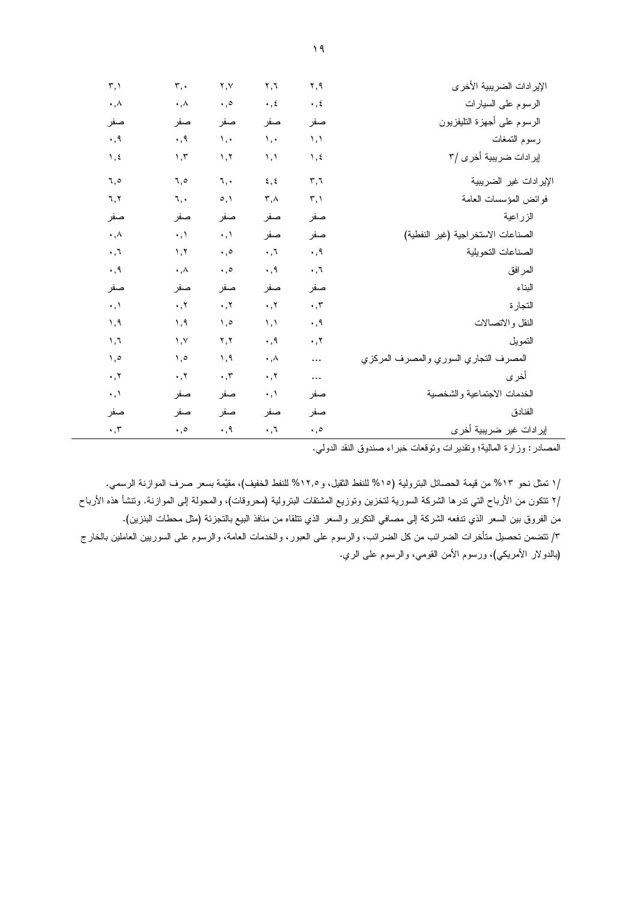| $\mathbf{r}, \mathbf{v}$ | ٣,٠                    | ۲,۷                                        | ۲,٦                  | ۲,۹                      | الإيرادات الضريبية الأخرى             |
|--------------------------|------------------------|--------------------------------------------|----------------------|--------------------------|---------------------------------------|
| ۰,۸                      | ۰,۸                    | $\cdot$ ,0                                 | $\cdot$ , $\epsilon$ | $\cdot$ , $\epsilon$     | الرسوم على السيارات                   |
| صفر                      | صفر                    | صفر                                        | صفر                  | صفر                      | الرسوم علىى أجهزة النليفزيون          |
| $\cdot$ , 9              | ۰,۹                    | ١,٠                                        | ١,٠                  | $\lambda, \lambda$       | رسوم التمغات                          |
| ۱,٤                      | 1,7                    | 1, 7                                       | ۱٫۱                  | $\lambda, \xi$           | إير ادات ضريبية أخرى /٣               |
| ٥,٦                      | ٦,٥                    | ٦.,                                        | $\xi, \xi$           | $\mathbf{r}, \mathbf{r}$ | الإيرادات غير الضريبية                |
| ٦,٢                      | ٦,٠                    | $\circ, \wedge$                            | ۳,۸                  | $\mathbf{r}, \mathbf{v}$ | فوائض المؤسسات العامة                 |
| صفر                      | صفر                    | صفر                                        | صفر                  | صفر                      | الزراعية                              |
| $\cdot$ , $\wedge$       | $\cdot$ , $\wedge$     | $\cdot$ , $\wedge$                         | صفر                  | صفر                      | الصناعات الاستخر اجية (غير النفطية)   |
| $\cdot$ , $\tau$         | $\lambda, \lambda$     | $\cdot$ ,0                                 | $\cdot$ , $\tau$     | $\cdot$ , 9              | الصناعات التحويلية                    |
| ٠,٩                      | ۰,۸                    | $\cdot$ ,0                                 | ٠,٩                  | $\cdot$ , $\tau$         | المرافق                               |
| صفر                      | صفر                    | صفر                                        | صفر                  | صفر                      | البناء                                |
| $\cdot$ , $\backslash$   | $\cdot$ , $\cdot$      | $\cdot$ , $\cdot$                          | $\cdot$ , $\cdot$    | $\cdot$ , $\tau$         | التجارة                               |
| ۹, ۱                     | ۹,۱                    | ه, ۱                                       | $\lambda, \lambda$   | ۰,۹                      | النقل والاتصالات                      |
| ۱,٦                      | $, \vee$               | ۲,۲                                        | ۰,۹                  | $\cdot$ , $\mathsf{Y}$   | النمويل                               |
| ه, ۱                     | ه, ۱                   | ۱,۹                                        | $\cdot$ , $\wedge$   | $\cdots$                 | المصرف التجاري السوري والمصرف المركزي |
| $\cdot$ , $\cdot$        | $\cdot$ , $\mathsf{Y}$ | $\boldsymbol{\cdot}$ , $\boldsymbol{\tau}$ | $\cdot$ , $\cdot$    | $\cdots$                 | أخرى                                  |
| ۰,۱                      | صفر                    | صفر                                        | ۰٫۱                  | صفر                      | الخدمات الاجتماعية والشخصية           |
| صفر                      | صفر                    | صفر                                        | صفر                  | صفر                      | الفنادق                               |
| $\cdot$ , $\tau$         | $\cdot$ ,0             | ۰,۹                                        | ٦,٠                  | $\cdot$ ,0               | إيرادات غير ضريبية أخرى               |

المصادر : وزارة المالية؛ وتقديرات وتوقعات خبراء صندوق النقد الدولي.

/ا نمثل نحو ١٣% من قيمة الحصائل البترولية (١٥% للنفط الثقيل، و١٢,٥% للنفط الخفيف)، مقيَّمة بسعر صرف الموازنة الرسمي. /٢ نتكون من الأرباح التي ندرها الشركة السورية لتخزين وتوزيع المشتقات البترولية (محروقات)، والمحولة إلى الموازنة. وتنشأ هذه الأرباح من الفروق بين السعر الذي تدفعه الشركة إلى مصافي النكرير والسعر الذي تتلقاه من منافذ البيع بالنجزئة (مثل محطات البنزين). ٣/ تتضمن تحصيل متأخرات الضرائب من كل الضرائب، والرسوم على العبور، والخدمات العامة، والرسوم على السوريين العاملين بالخارج (بالدولار الأمريكي)، ورسوم الأمن القومي، والرسوم على الري.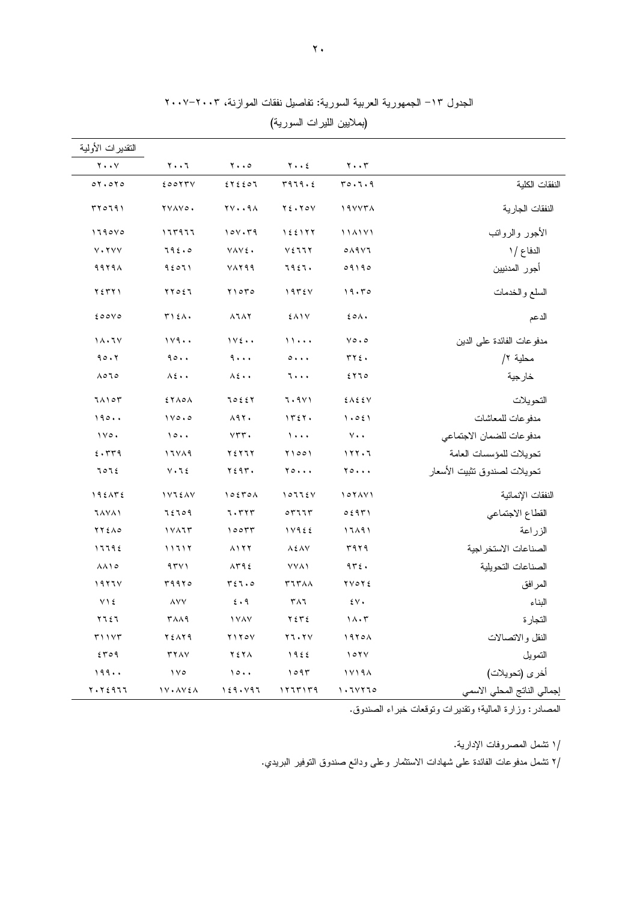| النقدير ات الأولية                  |                            |                                 |                                                |                                |                              |
|-------------------------------------|----------------------------|---------------------------------|------------------------------------------------|--------------------------------|------------------------------|
| $\mathbf{y} \cdot \cdot \mathbf{y}$ | ۲۰۰٦                       | $\mathbf{y} \cdot \mathbf{z}$   | $Y \cdot \cdot 2$                              | $\mathbf{y} \cdot \mathbf{y}$  |                              |
| 07.070                              | 20017V                     | 54550                           | r979.5                                         | 70.7.9                         | النفقات الكلية               |
| 500191                              | YVAVO.                     | <b>YV94</b>                     | $Y \xi \cdot Y \circ Y$                        | 19887A                         | النفقات الجارية              |
| 1190V0                              | 177977                     | 100.79                          | 155177                                         | 114171                         | الأجور والرواتب              |
| $V \cdot YVV$                       | 792.0                      | VAVE.                           | V5117                                          | $0$ $\wedge$ 9 $\vee$          | الدفاع / ١                   |
| $9979 \wedge$                       | 95011                      | VAY99                           | 7927.                                          | 09190                          | أجور المدنيين                |
| ۲ ٤ ٣ ٢ ١                           | ٢٢٥٤٦                      | $Y \cap \sigma Y \circ$         | 1975V                                          | 19.50                          | السلع والخدمات               |
| 200V                                | $T$ $\lambda$              | $\lambda$ 1 $\lambda$ Y         | EAIV                                           | $20 \wedge$                    | الدعم                        |
| 11.7V                               | 119.                       | $1Y\epsilon \cdot \cdot$        | 11                                             | $\vee \circ \cdot \circ$       | مدفو عات الفائدة على الدين   |
| 90.7                                | 90.                        | 9                               | $\circ \cdots$                                 | rr75.                          | محلية ٢/                     |
| ۸٥٦٥                                | $\lambda \xi \cdot \cdot$  | $\lambda \xi \cdot \cdot$       | 7                                              | ۲٦٥                            | خارجية                       |
| 71105                               | EYAOA                      | 70227                           | 7.9Y                                           | EAEEV                          | التحويلات                    |
| 190                                 | $1 \vee \circ \cdot \circ$ | $\lambda$ 97.                   | 1727.                                          | 1.051                          | مدفو عات للمعاشات            |
| $1 \vee \circ \cdot$                | 10                         | $VTT$ .                         | $\lambda$                                      | $\vee \cdot \cdot$             | مدفو عات للضمان الاجتماعي    |
| 5.579                               | 11YA9                      | 72777                           | 71001                                          | 111.7                          | تحويلات للمؤسسات العامة      |
| 707٤                                | $V \cdot 76$               | $Y \xi$ 9 $T$ .                 | $Y \circ \cdots$                               | $Y \circ \cdots$               | تحويلات لصندوق تثبيت الأسعار |
| 192172                              | <b>IVIEAV</b>              | 10570A                          | 10775V                                         | 107AY                          | النفقات الإنمائية            |
| <b>7 AVA1</b>                       | 72709                      | 7.777                           | $\circ$ $\mathsf{r}$ $\mathsf{u}$ $\mathsf{r}$ | 0.5971                         | القطاع الاجتماعي             |
| $YY \& \wedge \circ$                | 1117                       | 10077                           | 11955                                          | 17191                          | الزراعة                      |
| 11192                               | 11111                      | $\lambda$ ) $\lambda$ $\lambda$ | $\lambda \xi \lambda V$                        | ۳۹۲۹                           | الصناعات الاستخر اجية        |
| $\lambda \lambda$ \ $\circ$         | 971                        | $\lambda$ ۳۹٤                   | <b>YYA</b>                                     | 972.                           | الصناعات التحويلية           |
| 1977V                               | ۳۹۹۲۰                      | T51.0                           | <b>TITAA</b>                                   | YVOYE                          | المرافق                      |
| $Y \setminus \xi$                   | <b>AVV</b>                 | 5.9                             | $\mathsf{r}\wedge\mathsf{r}$                   | $\mathfrak{z}\vee\mathfrak{z}$ | البناء                       |
| ٢٦٤٦                                | <b>TAA9</b>                | <b>IVAY</b>                     | ۲٤٣٤                                           | $1 \wedge \cdot 7$             | التجارة                      |
| $r \wedge \vee \vee r$              | ٢٤٨٢٩                      | ۲۱۲۰۷                           | $Y \mathcal{T} \cdot Y$                        | 1970A                          | النقل والاتصالات             |
| 5709                                | <b>TYAY</b>                | ۲٤۲۸                            | 1922                                           | 107Y                           | التمويل                      |
| 199                                 | $\sqrt{6}$                 | 10                              | ۱۰۹۳                                           | 17198                          | أخرى (تحويلات)               |
| ۲۰۲٤۹٦٦                             | 1 V + A V 2 A              | 159.497                         | ١٢٦٣١٣٩                                        | ۱۰٦۷۲٦٥                        | إجمالي الناتج المحلي الاسمي  |

الجدول ١٣– الجمهورية العربية السورية: تفاصيل نفقات الموازنة، ٢٠٠٣–٢٠٠٧

(بملايين الليرات السورية)

المصادر: وزارة المالية؛ وتقديرات وتوقعات خبراء الصندوق.

/١ نتثمل المصروفات الإدارية.

/٢ تشمل مدفوعات الفائدة على شهادات الاستثمار وعلى ودائع صندوق التوفير البريدي.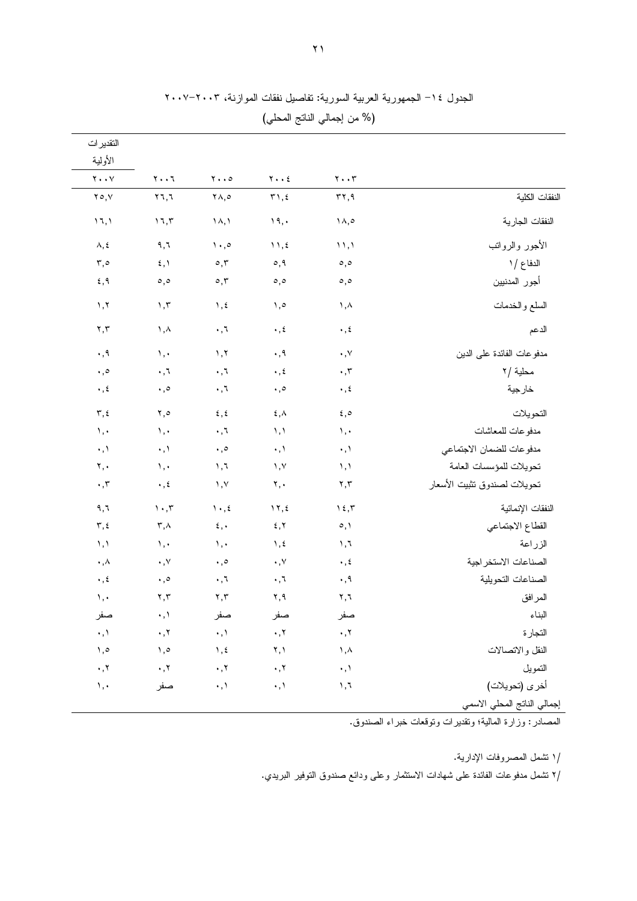|                              |                                                 |                                           |                                                |                               | التقدير ات                                     |
|------------------------------|-------------------------------------------------|-------------------------------------------|------------------------------------------------|-------------------------------|------------------------------------------------|
|                              | $\mathbf{y} \cdot \mathbf{y}$                   | $\mathbf{Y} \cdot \cdot \mathbf{E}$       | $\mathbf{y} \cdot \cdot \mathbf{0}$            | $Y \cdot \cdot 7$             | الأولية<br>$\mathbf{Y} \cdot \cdot \mathbf{Y}$ |
| النفقات الكلية               | $\mathbf{r}$                                    | $\mathbf{r}$ , $\epsilon$                 | ۲۸,٥                                           | $Y$ $7, 7$                    | $Y \circ, Y$                                   |
| النفقات الجارية              | ۱۸,٥                                            | 19,                                       | $\lambda, \lambda$                             | $\mathcal{N},\mathcal{N}$     | 11,1                                           |
| الأجور والرواتب              | $\langle \rangle$                               | $\mathcal{N}, \mathcal{L}$                | $\langle \cdot, \cdot \rangle$                 | ۹,٦                           | $\boldsymbol{\wedge}, \boldsymbol{\xi}$        |
| الدفاع / ١                   | $\circ, \circ$                                  | $\circ, \circ$                            | $\circ, \tilde{~}$                             | $\xi, \lambda$                | $\mathbf{r}, \mathbf{0}$                       |
| أجور المدنيين                | $\circ, \circ$                                  | $\circ$ , $\circ$                         | $\circ, \tau$                                  | $\circ, \circ$                | ٤,٩                                            |
| السلع والخدمات               | ۱,۸                                             | $, \circ$                                 | $\lambda$ , $\epsilon$                         | $\mathcal{N}, \mathcal{N}$    | ١,٢                                            |
| الدعم                        | $\cdot$ , $\epsilon$                            | $\boldsymbol{\cdot}$ , $\boldsymbol{\xi}$ | $\boldsymbol{\cdot}$ , $\boldsymbol{\cdot}$    | ۱,۸                           | $\mathbf{y}, \mathbf{y}$                       |
| مدفو عات الفائدة على الدين   | $\cdot$ , $\vee$                                | $\cdot$ , 9                               | $\lambda, \lambda$                             | $\mathcal{N}, \mathcal{N}$    | $\cdot$ , 9                                    |
| محلية /٢                     | $\boldsymbol{\cdot}$ , $\boldsymbol{\tau}$      | $\boldsymbol{\cdot}$ , $\boldsymbol{\xi}$ | $\cdot$ , $\tau$                               | $\cdot$ , $\bar{\cdot}$       | $\cdot$ , $\circ$                              |
| خارجية                       | $\boldsymbol{\cdot}$ , $\boldsymbol{\acute{z}}$ | $\cdot$ , $\circ$                         | $\cdot$ , $\tau$                               | $\cdot$ , $\circ$             | $\boldsymbol{\cdot}$ , $\boldsymbol{\xi}$      |
| التحويلات                    | $\varepsilon, \circ$                            | $\xi, \Lambda$                            | $\xi, \xi$                                     | ٥, ٢                          | $\mathbf{r}, \mathbf{t}$                       |
| مدفو عات للمعاشات            | $\mathcal{N}, \mathcal{N}$                      | $\lambda, \lambda$                        | $\cdot$ , $\tau$                               | $\mathcal{N}, \mathcal{N}$    | $\mathcal{N}, \mathcal{N}$                     |
| مدفو عات للضمان الاجتماعي    | $\cdot$ , $\backslash$                          | $\cdot, \cdot$                            | $\boldsymbol{\cdot}$ , $\circ$                 | $\cdot, \cdot$                | $\cdot$ , $\backslash$                         |
| تحويلات للمؤسسات العامة      | $\lambda$ , $\lambda$                           | $, \vee$                                  | $\lambda, \lambda$                             | $\lambda, \cdot$              | $\mathbf{y}, \mathbf{y}$                       |
| تحويلات لصندوق تثبيت الأسعار | ۲,۳                                             | ۲,٠                                       | $\lambda, \lambda$                             | $\cdot$ , $\xi$               | $\cdot$ , $\mathsf{r}$                         |
| النفقات الإنمائية            | $\gamma$ {, $\tau$                              | $\gamma$ , {                              | $\mathcal{N} \cdot \mathcal{L}$                | $\mathcal{N}\cdot\mathcal{N}$ | ۹,٦                                            |
| القطاع الاجتماعي             | $\circ, \circ$                                  | 5, 7                                      | $\mathbf{\hat{z}}$ , $\mathbf{\hat{z}}$        | $\mathsf{r}$ , $\wedge$       | $\mathbf{r}, \mathbf{t}$                       |
| الزراعة                      | $\mathcal{N}, \mathcal{N}$                      | $\lambda$ , $\epsilon$                    | $\lambda, \cdot$                               | $\lambda, \cdot$              | $\lambda$ , $\lambda$                          |
| الصناعات الاستخر اجية        | $\boldsymbol{\cdot}$ , $\boldsymbol{\acute{z}}$ | $\boldsymbol{\cdot}$ , $\vee$             | $\cdot$ , $\circ$                              | $\cdot$ , $\vee$              | $\boldsymbol{\cdot}$ , $\boldsymbol{\wedge}$   |
| الصناعات التحويلية           | ۰,۹                                             | ۰,٦                                       | $\cdot$ , $\tau$                               | $\cdot$ , $\circ$             | $\cdot$ , ź                                    |
| المرافق                      | $\mathbf{y}, \mathbf{y}$                        | ۲,۹                                       | $\mathbf{Y},\mathbf{Y}$                        | $\mathbf{y}, \mathbf{y}$      | $\backslash$ , $\cdot$                         |
| البناء                       | صفر                                             | صفر                                       | صفر                                            | $\cdot$ , \                   | صفر                                            |
| التجارة                      | $\cdot$ , $\cdot$                               | $\cdot$ , $\cdot$                         | $\cdot, \cdot$                                 | $\cdot$ , $\tau$              | $\cdot, \cdot$                                 |
| النقل والاتصالات             | $\lambda$ , $\lambda$                           | Y, Y                                      | $\lambda$ , $\epsilon$                         | $\lambda, \circ$              | ه, ۱                                           |
| التمويل                      | $\cdot, \cdot$                                  | $\cdot$ , $\cdot$                         | $\boldsymbol{\cdot}$ , $\boldsymbol{\upgamma}$ | $\cdot$ , $\tau$              | $\boldsymbol{\cdot}$ , $\boldsymbol{\upgamma}$ |
| أخرى (تحويلات)               | 1,7                                             | $\cdot$ , $\backslash$                    | $\cdot$ , $\backslash$                         | صفر                           | $\mathcal{N}, \mathcal{N}$                     |

الجدول ١٤– الجمهورية العربية السورية: تفاصيل نفقات الموازنة، ٢٠٠٣–٢٠٠٧

المصادر : وزارة المالية؛ وتقديرات ونوقعات خبراء الصندوق.

/ا نشمل المصروفات الإدارية.

/٢ نتثىمل مدفوعات الفائدة على شهادات الاستثمار وعلى ودائع صندوق التوفير البريدي.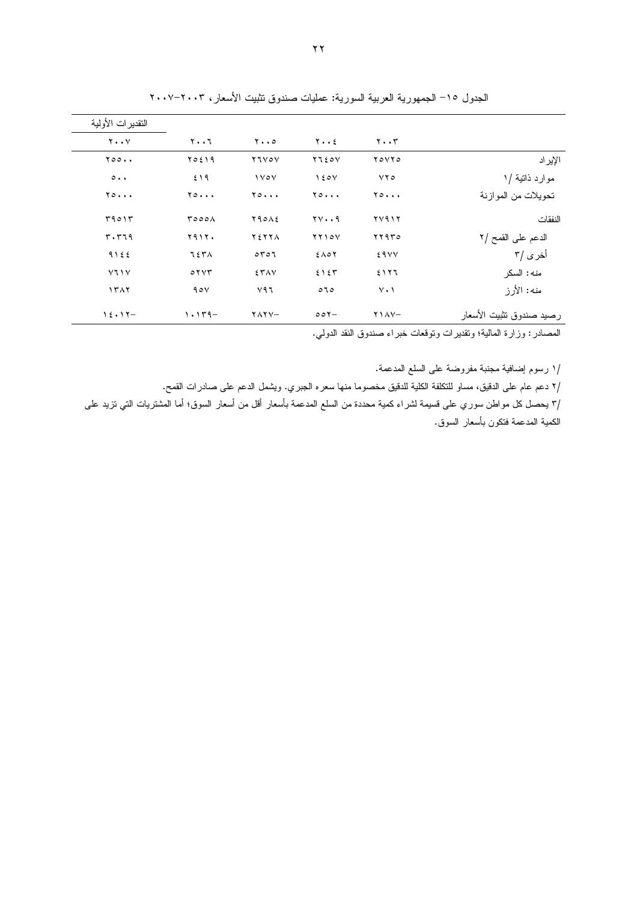|                          |                               |                     |                                    |                       | النقدير ات الأولمية         |
|--------------------------|-------------------------------|---------------------|------------------------------------|-----------------------|-----------------------------|
|                          | $\mathbf{y} \cdot \mathbf{y}$ | $y \cdot z$         | $y \cdot \cdot \circ$              | ۲۰۰٦                  | $Y \cdot Y$                 |
| الإير اد                 | YoYYo                         | $Y \cup \Sigma o V$ | <b>YIVOV</b>                       | ۲۵٤۱۹                 | $Y \circ \circ \cdot \cdot$ |
| موارد ذاتية /١           | YYQ                           | 150V                | $\sqrt{2V}$                        | ٤١٩                   | $\circ \cdot \cdot$         |
| تحويلات من المو از نة    | 70                            | $Y \circ \cdots$    | $Y \circ \cdots$                   | $Y \circ \cdots$      | $Y \circ \cdots$            |
| النفقات                  | ۲۷۹۱۲                         | $YY \cdot .9$       | $Y \uparrow \circ \wedge \epsilon$ | roooA                 | 59015                       |
| الدعم على القمح /٢       | ۲۲۹۳۰                         | YYY0V               | <b>YEYYA</b>                       | ۲۹۱۲۰                 | $r \cdot r 19$              |
| أخرى /۳                  | <b>EAVY</b>                   | $5\wedge0$          | 0707                               | てきぜん                  | 9155                        |
| منه: السكر               | 5177                          | 2157                | <b>ETAV</b>                        | $\circ$ $\vee$ $\vee$ | Y1Y                         |
| منه: الأرز               | $Y \cdot Y$                   | 070                 | $V$ ٩٦                             | 90V                   | 1517                        |
| رصيد صندوق نثبيت الأسعار | $Y$ \ $\Lambda$ $V-$          | $00Y -$             | $YAYY -$                           | $1.149-$              | $15.17-$                    |

الجدول ١٥– الجمهورية العربية السورية: عمليات صندوق نثبيت الأسعار، ٢٠٠٣–٢٠٠٧

المصادر : وزارة المالية؛ ونقديرات ونوقعات خبراء صندوق النقد الدولي.

/ا رسوم إضافية مجنبة مفروضة على السلع المدعمة.

/٢ دعم عام على الدقيق، مساو للنكلفة الكلية للدقيق مخصوما منها سعره الجبري. ويشمل الدعم على صادرات القمح.

/٣ يحصل كل مواطن سوري على قسيمة لشراء كمية محددة من السلع المدعمة بأسعار أقل من أسعار السوق؛ أما المشتريات التي نزيد على الكمية المدعمة فتكون بأسعار السوق.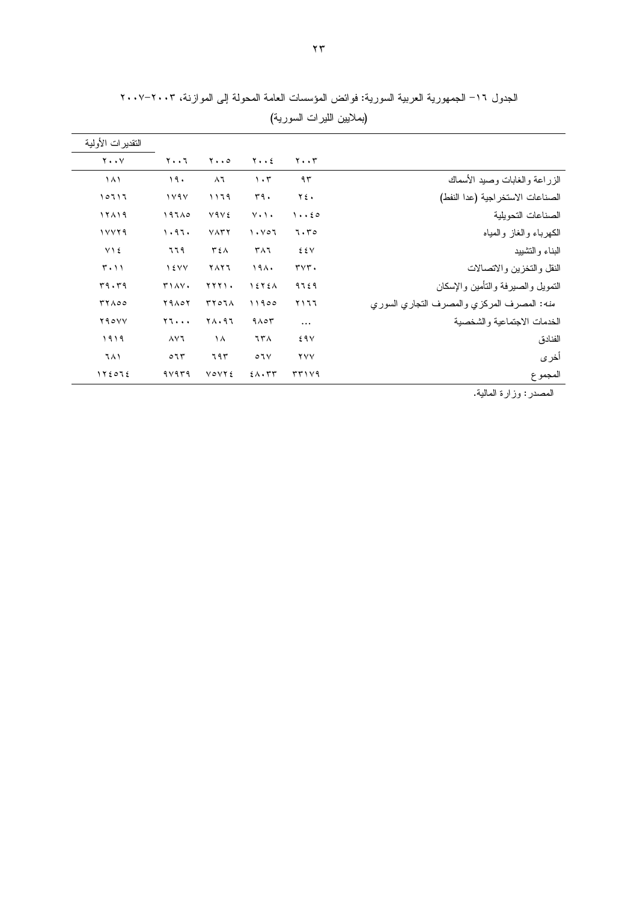|                                            |                                      |                                |                                     |                   | النقدير ات الأولية |
|--------------------------------------------|--------------------------------------|--------------------------------|-------------------------------------|-------------------|--------------------|
|                                            | $\mathbf{y} \cdot \mathbf{y}$        | $y \cdot z$                    | $\mathbf{y} \cdot \cdot \mathbf{0}$ | $Y \cdot \cdot 7$ | $Y \cdot Y$        |
| الزراعة والغابات وصبد الأسماك              | ۹۳                                   | $\cdot$ ۳                      | $\lambda$ ٦                         | 19.               | ۱۸۱                |
| الصناعات الاستخر اجية (عدا النفط)          | ٢٤.                                  | 54.                            | ۱۱٦۹                                | 1191              | ۱۰٦۱٦              |
| الصناعات التحويلية                         | 1.60                                 | $V \cdot V \cdot$              | Y۹V٤                                | 197A0             | 17119              |
| الكهرباء والغاز والمياه                    | 7.70                                 | $\lambda \cdot \nu \circ \tau$ | $V\Lambda T$                        | 1.97.             | 11179              |
| البناء و التشبيد                           | EEV                                  | ۳۸٦                            | ٣٤٨                                 | ٦٦٩               | V 1 ٤              |
| النقل والتخزين والاتصالات                  | $\mathbf{r} \mathbf{v} \mathbf{r}$ . | ۱۹۸۰                           | ۲۸۲٦                                | $\frac{1}{2}$     | $T \cdot 11$       |
| التمويل والصيرفة والتأمين والإسكان         | 9729                                 | 1575A                          | <b>TTTI.</b>                        | T1AY.             | 59.59              |
| منه: المصرف المركزي والمصرف التجاري السوري | ۲۱٦٦                                 | 11900                          | <b>TYOIA</b>                        | <b>79107</b>      | <b>TYA00</b>       |
| الخدمات الاجتماعية والشخصية                | $\cdots$                             | $9 \wedge 07$                  | $Y \wedge \cdot 97$                 | Y1                | Y90YY              |
| الفنادق                                    | 29V                                  | ٦٣٨                            | $\lambda$                           | ۸۷٦               | ١٩١٩               |
| أخرى                                       | <b>YYY</b>                           | $\circ$ 1 $\vee$               | ٦٩٣                                 | $\circ$ 77        | ٦٨١                |
| المجموع                                    | 5714                                 | $2 \wedge \cdot \tau \tau$     | <b>VOVYE</b>                        | 9 v 9 r 9         | 1Y E O I E         |

الجدول ١٦– الجمهورية العربية السورية: فوائض المؤسسات العامة المحولة إلى الموازنة، ٢٠٠٣–٢٠٠٧ (بملايين الليرات السورية)

المصدر : وزارة المالية.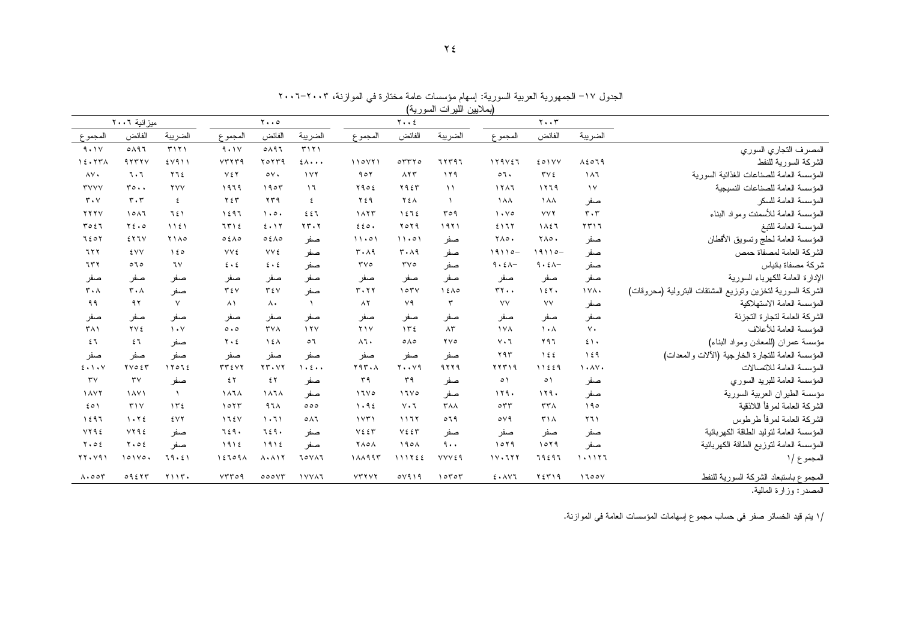| (بملايين الليرات السورية)     |                                |                         |                     |                           |                              |                              |                                 |              |                     |                               |                                    |                                                           |
|-------------------------------|--------------------------------|-------------------------|---------------------|---------------------------|------------------------------|------------------------------|---------------------------------|--------------|---------------------|-------------------------------|------------------------------------|-----------------------------------------------------------|
|                               | ميزانية ٢٠٠٦                   |                         |                     | $Y \cdot \cdot \circ$     |                              |                              | $Y \cdot Y$                     |              |                     | $\mathbf{y} \cdot \mathbf{y}$ |                                    |                                                           |
| المجموع                       | الفائض                         | الضريبة                 | المجموع             | الفائض                    | الضريبة                      | المجموع                      | الفائض                          | الضريبة      | المجموع             | الفائض                        | الضريبة                            |                                                           |
| 9.1V                          | 0197                           | T171                    | 9.1V                | 0A97                      | T171                         |                              |                                 |              |                     |                               |                                    | المصرف التجاري السوري                                     |
| 15.577                        | 41111                          | 5111                    | VTTT9               | $Y_0 Y Y_9$               | $2\lambda \cdot \cdot \cdot$ | 110Y                         | 07770                           | 77797        | 119157              | EOIVY                         | $\lambda$ { $\circ$ $79$           | الشركة السورية للنفط                                      |
| AV.                           | ٦.٦                            | Y12                     | YEY                 | $\circ v.$                | $\gamma$                     | 901                          | $\Lambda$ $\Upsilon$ $\Upsilon$ | 119          | $\circ$ 1.          | $\mathbf{r} \vee \mathbf{r}$  | $\lambda \lambda$                  | المؤسسة العامة للصناعات الغذائية السورية                  |
| <b>TVVV</b>                   | $r \circ \cdot \cdot$          | <b>YVV</b>              | 1979                | 1905                      | $\mathcal{L}$                | Y902                         | Y955                            | $\lambda$    | 1111                | 1779                          | $\gamma$                           | المؤسسة العامة للصناعات النسيجية                          |
| $r \cdot v$                   | $\mathbf{r} \cdot \mathbf{r}$  | ٤                       | ۲٤٣                 | ۲۳۹                       | ٤                            | $Y \xi$ ٩                    | YEA                             | $\lambda$    | <b>1 A A</b>        | <b>1 A A</b>                  | صفر                                | المؤسسة العامة للسكر                                      |
| YYYV                          | 1011                           | 751                     | 1597                | $\cdot \circ \cdot$       | 557                          | 1117                         | 1575                            | roq          | $\cdot \cdot \cdot$ | <b>VVY</b>                    | $\mathbf{r} \cdot \mathbf{r}$      | المؤسسة العامة للأسمنت ومواد البناء                       |
| 7051                          | $Y\xi \cdot \varphi$           | 1151                    | 7512                | 2.17                      | rr.7                         | 220.                         | $Y_0Y_1$                        | 1971         | 5177                | 1827                          | 551                                | المؤسسة العامة للنبغ                                      |
| 7207                          | 511V                           | <b>Y140</b>             | 0.5A0               | 0.5A0                     | صفر                          | 11.01                        | 11.01                           | صفر          | ۲۸٥.                | <b>YA0.</b>                   | صفر                                | المؤسسة العامة لحلج ونسويق الأقطان                        |
| 777                           | <b>٤VV</b>                     | 150                     | <b>VV٤</b>          | <b>YY</b> ٤               | صفر                          | $r \cdot \lambda q$          | $\mathbf{r} \cdot \mathbf{A}$   | صفر          | $19110 -$           | $19110 -$                     | صفر                                | الشركة العامة لمصفاة حمص                                  |
| ٦٣٢                           | 070                            | ٦V                      | $2 \cdot 2$         | $\epsilon \cdot \epsilon$ | صفر                          | $\mathbf{r} \vee \mathbf{0}$ | $\mathbf{r} \vee \mathbf{c}$    | صفر          | $9.5 -$             | $9.5 -$                       | صفر                                | شركة مصفاة بانياس                                         |
| صفر                           | صفر                            | صفر                     | صفر                 | صفر                       | صفر                          | صفر                          | صفر                             | صفر          | صفر                 | صفر                           | صفر                                | الإدارة العامة للكهرباء السورية                           |
| $\mathbf{r} \cdot \mathbf{A}$ | $r \cdot \lambda$              | صفر                     | $T \in V$           | $T \xi V$                 | صفر                          | $r \cdot r \tau$             | 105V                            | 15A0         | $rr \cdot$          | 157.                          | IVA.                               | الشركة السورية لتخزين ونوزيع المشتقات البترولية (محروقات) |
| ۹۹                            | ۹۲ $\,$                        | $\sqrt{}$               | $\lambda$           | $\Lambda$                 | $\lambda$                    | $\lambda$ ٢                  | $V \mathcal{A}$                 | ٣            | VV                  | VV                            | صفر                                | المؤسسة العامة الاستهلاكبة                                |
| صفر                           | صفر                            | صفر                     | صفر                 | صفر                       | صفر                          | صفر                          | صفر                             | صفر          | صفر                 | صفر                           | صفر                                | الشركة العامة لتجارة التجزئة                              |
| $T\Lambda$                    | <b>YVE</b>                     | $\lambda \cdot \lambda$ | $\circ \cdot \circ$ | $\mathbf{r} \vee \wedge$  | $\lambda$                    | Y                            | $\gamma \tau$                   | $\Lambda$ ۳  | <b>IVA</b>          | $\lambda$                     | $V \cdot$                          | المؤسسة العامة للأعلاف                                    |
| 51                            | 57                             | صفر                     | $Y \cdot 2$         | $\lambda$ 2 $\Lambda$     | $\circ$                      | ٨٦.                          | $0 \wedge 0$                    | YVQ          | $V \cdot 7$         | ۲۹٦                           | 5.1.                               | مؤسسة عمران (للمعادن ومواد البناء)                        |
| صفر                           | صفر                            | صفر                     | صفر                 | صفر                       | صفر                          | صفر                          | صفر                             | صفر          | ۲۹۳                 | $\lambda \xi$                 | 159                                | المؤسسة العامة للتجارة الخارجية (الألات والمعدات)         |
| $2 \cdot 1 \cdot V$           | $Y \vee Q \in Y$               | 11012                   | $rr \epsilon VY$    | rr.VT                     | $\cdot$ $\cdot$ $\cdot$      | Y4Y.A                        | $Y \cdot Y9$                    | 9779         | ۲۲۳۱۹               | 11229                         | $\lambda \cdot \lambda \vee \cdot$ | المؤسسة العامة للاتصالات                                  |
| $\mathsf{r}\mathsf{v}$        | $\mathsf{r}\mathsf{v}$         | صفر                     | $5 \,$              | ٤٢                        | صفر                          | ۳۹                           | $r$ ۹                           | صفر          | ٥١                  | $\circ$                       | صفر                                | المؤسسة العامة للبريد السوري                              |
| <b>1AVY</b>                   | <b>1 AV1</b>                   | $\lambda$               | 1878                | 1878                      | صفر                          | 1110                         | 1700                            | صفر          | 119.                | 119.                          | صفر                                | مؤسسة الطيران العربية السورية                             |
| 201                           | $\mathbf{r} \wedge \mathbf{v}$ | 152                     | 1077                | $97\lambda$               | 000                          | 1.92                         | $V \cdot 7$                     | <b>TAA</b>   | $\circ$ $\tau\tau$  | $\tau\tau\wedge$              | 190                                | الشركة العامة لمرفأ اللاذقية                              |
| 1597                          | 1.72                           | ٤٧٢                     | 175Y                | 1.71                      | 0 <sub>A</sub>               | 1571                         | 1177                            | 019          | $\circ \vee \circ$  | $T\Lambda$                    | 511                                | الشركة العامة لمرفأ طرطوس                                 |
| YY92                          | YY92                           | صفر                     | 729.                | ٦٤٩.                      | صفر                          | $V$ { $\zeta$ $\Upsilon$     | $V$ ٤٤٣                         | صفر          | صفر                 | صفر                           | صفر                                | المؤسسة العامة لتوليد الطاقة الكهربائية                   |
| $Y \cdot 02$                  | $Y \cdot 02$                   | صفر                     | 1912                | 1912                      | صفر                          | <b>YAOA</b>                  | 190 <sub>A</sub>                | 9.1          | 1049                | 1019                          | صفر                                | المؤسسة العامة لتوزيع الطاقة الكهربائية                   |
| $YY \cdot Y9$                 | $101$ Yo.                      | 79.51                   | 12709A              | $\lambda$ . $\lambda$     | <b>IOVAI</b>                 | 111995                       | 111755                          | <b>VVVE9</b> | 11.777              | 79297                         | 1.1177                             | المجموع /١                                                |

 $\Lambda$ ,00 $\tau$ 

 $O(157T - T)$ 

VTT09 000VT IVVAT

 $YYYYY$ 

 $0 \vee 919$   $10 \vee 07$ 

 $£ \cdot \triangle V$ ٦

۲ ٤ ٣ ١ ٩

 $1700Y$ 

الجدول ١٧– الجمهورية العربية السورية: إسهام مؤسسات عامة مختارة في الموازنة، ٢٠٠٣–٢٠٠٦

المجموع باستبعاد الشركة السورية للنفط<br>المصدر : وزارة المالية.

/١ يتم قيد الخسائر صفر في حساب مجموع إسهامات المؤسسات العامة في الموازنة.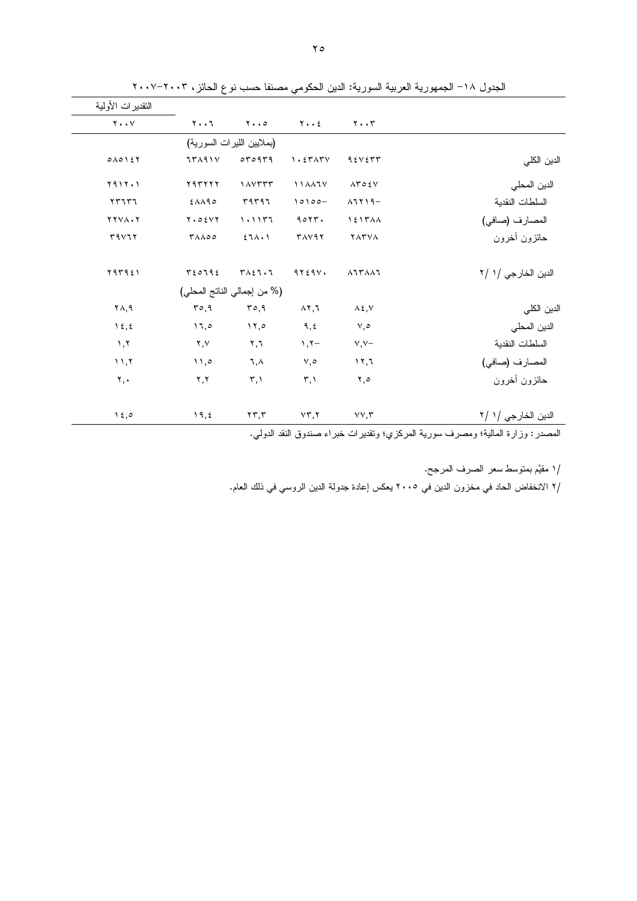| النقدير ات الأولية      |                      |                             |                                       |                                           |                       |
|-------------------------|----------------------|-----------------------------|---------------------------------------|-------------------------------------------|-----------------------|
| $Y \cdot \cdot Y$       | $Y \cdot \cdot 7$    | $Y \cdot \cdot \circ$       | $Y \cdot Y$                           | $Y \cdot Y$                               |                       |
|                         |                      | (بملايين الليرات السورية)   |                                       |                                           |                       |
| $0 \wedge 0$ $1 \leq 7$ | 75191V               | 070979                      | $\eta$ . $\epsilon$ r $\Lambda$ r $V$ | 95Y577                                    | الدين الكلي           |
| $Y 9 1 Y \cdot Y$       | <b>YATTYY</b>        | $\lambda$                   | 114477                                | $\Lambda \Upsilon \circ \xi V$            | الدين المحلي          |
| $YY1Y1$                 | $£\lambda\lambda$ ۹٥ | $r$ $q$ $r$ $q$ $r$ $q$ $r$ | $10100 -$                             | $\lambda$ 1219-                           | السلطات النقدية       |
| $Y Y V \wedge \cdot Y$  | $Y \cdot 0 \leq YY$  | 1.1177                      | 9017.                                 | $\lambda$ { $\lambda$ $\lambda$ $\lambda$ | المصارف (صافى)        |
| r9V17                   | <b>TAA00</b>         | 27A.1                       | <b>TAVAY</b>                          | <b>YATVA</b>                              | حائزون أخرون          |
| ٢٩٣٩٤١                  | T20792               | $T \wedge \xi$ l.l          | 9Y59V.                                | <b>AITAAI</b>                             | الدين الخارجي /١ /٢   |
|                         |                      | (% من إجمالي الناتج المحلي) |                                       |                                           |                       |
| ۲۸,۹                    | ro, 9                | ro, 9                       | $\lambda$ $\lambda$ , $\lambda$       | $\lambda \xi, \forall$                    | الدين الكلى           |
| $\lambda \xi, \xi$      | 11,0                 | $\lambda \lambda, \circ$    | 9, 5                                  | $\vee, \circ$                             | الدين المحلي          |
| $\lambda, \lambda$      | ۲,۷                  | $\mathbf{y}, \mathbf{y}$    | $\lambda, \lambda -$                  | $Y, Y-$                                   | السلطات النقدية       |
| 11,7                    | $\setminus$          | ٦,٨                         | ٧,٥                                   | 11,7                                      | المصارف (صافي)        |
| ۲,٠                     | Y, Y                 | $\mathbf{r}, \mathbf{v}$    | $\mathbf{r}, \mathbf{v}$              | ٥, ٢                                      | حائزون أخرون          |
| $\lambda \xi, \circ$    | 19, 2                | $\mathbf{y} \mathbf{y}$     | $Y\mathsf{r},\mathsf{Y}$              | $VV, \tilde{V}$                           | الدين الخار جي / ١ /٢ |

الجدول ١٨– الجمهورية العربية السورية: الدين الحكومي مصنفا حسب نوع الحائز، ٢٠٠٣–٢٠٠٧

المصدر : وزارة المالية؛ ومصرف سورية المركزي؛ وتقديرات خبراء صندوق النقد الدولي.

/١ مقيَّم بمنوسط سعر الصرف المرجح.

/٢ الانخفاض الحاد في مخزون الدين في ٢٠٠٥ يعكس إعادة جدولة الدين الروسي في ذلك العام.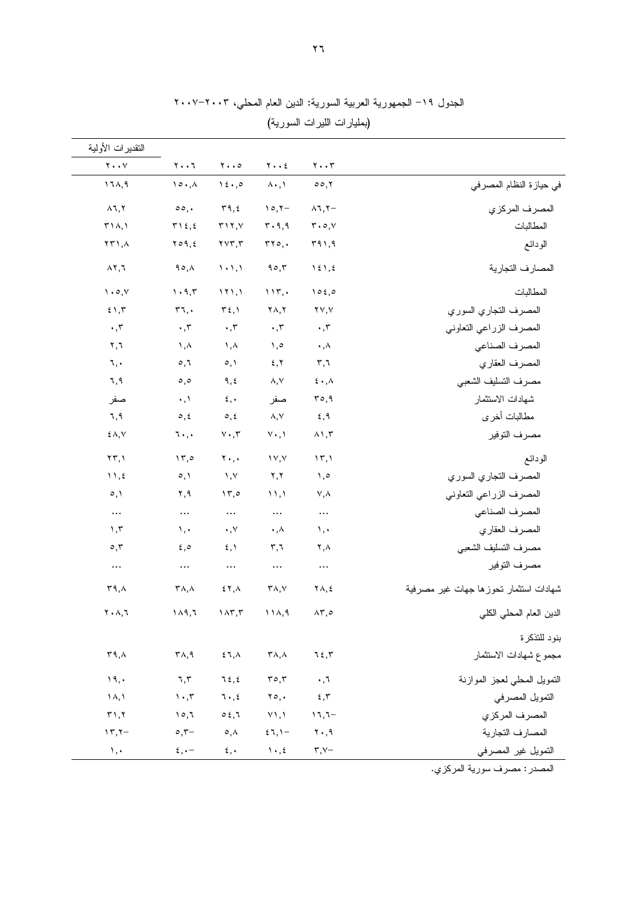|                                       |                                     |                                         |                                                   |                                              | التقديرات الأولية                            |
|---------------------------------------|-------------------------------------|-----------------------------------------|---------------------------------------------------|----------------------------------------------|----------------------------------------------|
|                                       | $\mathbf{y} \cdot \mathbf{y}$       | $\mathbf{Y} \bullet \bullet \mathbf{E}$ | $\mathbf{y} \cdot \cdot \mathbf{0}$               | $Y \cdot \cdot 7$                            | $\mathbf{Y} \bullet \bullet \mathbf{V}$      |
| في حيازة النظام المصرفي               | 00,7                                | $\lambda \cdot , \lambda$               | $\lambda \xi \cdot 0$                             | $\lambda \circ \cdot \lambda$                | ۱٦٨,٩                                        |
| المصرف المركزي                        | $\lambda$ 1, Y-                     | $\eta \circ \zeta -$                    | $\mathbf{r}$ 9, ٤                                 | $\circ \circ$ ,.                             | $\land$ 1, 1                                 |
| المطالبات                             | $r \cdot \circ, v$                  | $r \cdot q, q$                          | $\uparrow \uparrow \uparrow, \vee$                | $T \setminus \xi, \xi$                       | $T \setminus \wedge, \vee$                   |
| الودائع                               | 591,9                               | rr0,                                    | $\gamma \gamma \gamma$                            | $Y \circ 9, 5$                               | $\Upsilon \Upsilon$ ), $\Lambda$             |
| المصارف التجارية                      | $\lambda \xi \lambda, \xi$          | 90,7                                    | $\langle \cdot, \cdot \rangle$                    | ۹٥,٨                                         | $\wedge$ r, $\overline{\wedge}$              |
| المطالبات                             | 105,0                               | 115.                                    | 111,1                                             | $\mathcal{N} \cdot \mathcal{A}, \mathcal{K}$ | $\mathcal{N} \cdot \mathcal{O}, \mathcal{N}$ |
| المصرف النجاري السوري                 | $\mathbf{Y} \mathbf{V}, \mathbf{V}$ | $\mathbf{Y} \wedge, \mathbf{Y}$         | $\mathbf{r}$ $\epsilon$ , $\mathbf{v}$            | $r_{1}$ .                                    | $\xi$ ) ,<br>$\overline{\gamma}$             |
| المصرف الزراعى التعاونى               | $\cdot$ , $\mathsf{r}$              | $\cdot$ , $\mathsf{r}$                  | $\boldsymbol{\cdot}$ , $\boldsymbol{\tau}$        | $\boldsymbol{\cdot}$ , $\boldsymbol{\tau}$   | $\cdot$ , $\mathbf{r}$                       |
| المصرف الصناعي                        | $\boldsymbol{\cdot}$ , $\wedge$     | $\lambda, \circ$                        | $\lambda, \lambda$                                | ۱,۸                                          | $\mathbf{y}, \mathbf{y}$                     |
| المصرف العقاري                        | $\mathbf{r}, \mathbf{r}$            | $\mathbf x$ , $\mathbf y$               | $\circ, \wedge$                                   | $\circ$ , $\uparrow$                         | ٦,٠                                          |
| مصرف التسليف الشعبى                   | $\mathbf{\hat{z}}$ . $\lambda$      | $\land, \lor$                           | ٩,٤                                               | $\circ$ , $\circ$                            | ٦,٩                                          |
| شهادات الاستثمار                      | ro, 9                               | صفر                                     | $\mathbf{\mathfrak{c}}$ , $\mathbf{\mathfrak{c}}$ | $\cdot$ , $\lambda$                          | صفر                                          |
| مطالبات أخرى                          | 5,9                                 | $\land, \lor$                           | $\circ$ , $\circ$                                 | $\circ$ , $\circ$                            | ٦,٩                                          |
| مصرف التوفير                          | $\wedge \wedge, \curlyvee$          | $\vee \cdot, \vee$                      | $\vee\cdot\,,\vee$                                | $\mathcal{L}$ .,                             | $\xi \wedge, \vee$                           |
| الودائع                               | $\langle \uparrow, \rangle$         | $\gamma \gamma$                         | $\mathbf{Y}$                                      | $\gamma$                                     | $\Upsilon \Upsilon, \Upsilon$                |
| المصرف التجاري السوري                 | $\lambda, \circ$                    | ۲,۲                                     | $\lambda, \lambda$                                | $\circ, \circ$                               | $\mathcal{N}, \mathcal{L}$                   |
| المصرف الزراعي التعاوني               | ٧,٨                                 | $\langle \rangle$                       | 15,0                                              | ۲,۹                                          | $\circ, \circ$                               |
| المصرف الصناعي                        | $\cdots$                            | $\cdots$                                | $\cdots$                                          | $\ldots$                                     | $\cdots$                                     |
| المصرف العقاري                        | $\lambda, \cdot$                    | $\boldsymbol{\cdot}$ , $\wedge$         | $\cdot$ , $\vee$                                  | $\lambda, \cdot$                             | $\mathcal{N}, \mathcal{N}$                   |
| مصرف التسليف الشعبى                   | ۲,۸                                 | ٣,٦                                     | $\mathfrak{c}$ , $\mathfrak{h}$                   | $\epsilon, \circ$                            | $\circ, \tau$                                |
| مصرف التوفير                          | $\cdots$                            | $\ldots$                                | $\cdots$                                          | $\cdots$                                     | $\cdots$                                     |
| شهادات استثمار تحوزها جهات غير مصرفية | $\forall \Lambda, \xi$              | $\mathbf{r} \wedge, \vee$               | 51, 4                                             | $\mathbf{r} \wedge, \wedge$                  | 47.4                                         |
| الدين العام المحلي الكلي              | $\Lambda$ $\Gamma, \circ$           |                                         | $1\wedge 9,7$ $1\wedge 7,7$ $11\wedge 9$          |                                              | $Y \cdot \Lambda, \Lambda$                   |
| بنود للتذكرة                          |                                     |                                         |                                                   |                                              |                                              |
| مجموع شهادات الاستثمار                | 75,7                                | $\mathsf{r}_{\mathsf{A},\mathsf{A}}$    | $\mathop{\mathsf{Z}}\nolimits$ , $\wedge$         | $\mathsf{r}_\wedge,\mathsf{q}$               | ۳۹,۸                                         |
| النمويل المحلى لعجز الموازنة          | $\cdot$ , $\tau$                    | $r \circ r$                             | 75, 5                                             | ٦,٣                                          | 19,                                          |
| التمويل المصرفى                       | 5,7                                 | $\mathbf{y} \circ \mathbf{y}$           | ٦.,٤                                              | $\mathcal{N} \cdot \mathcal{N}$              | $\lambda, \lambda$                           |
| المصرف المركزي                        | $17,7-$                             | $Y \setminus \Lambda$                   | 0.5,7                                             | 10,7                                         | $\uparrow$ 1, $\uparrow$                     |
| المصارف التجارية                      | $\mathsf{Y} \cdot \mathsf{A}$       | $57,1-$                                 | $\circ$ , $\wedge$                                | $\circ$ , $\tau-$                            | $\gamma$ , $\gamma -$                        |
| التمويل غير المصرفي                   | $\mathbf{r}$ , $\mathbf{v}$ -       | $\mathcal{N} \cdot \mathcal{K}$         | $\epsilon, \cdot$                                 | $\epsilon, \cdot -$                          | $\lambda, \cdot$                             |

الجدول ١٩– الجمهورية العربية السورية: الدين العام المحلي، ٢٠٠٣–٢٠٠٧ (بمليارات الليرات السورية)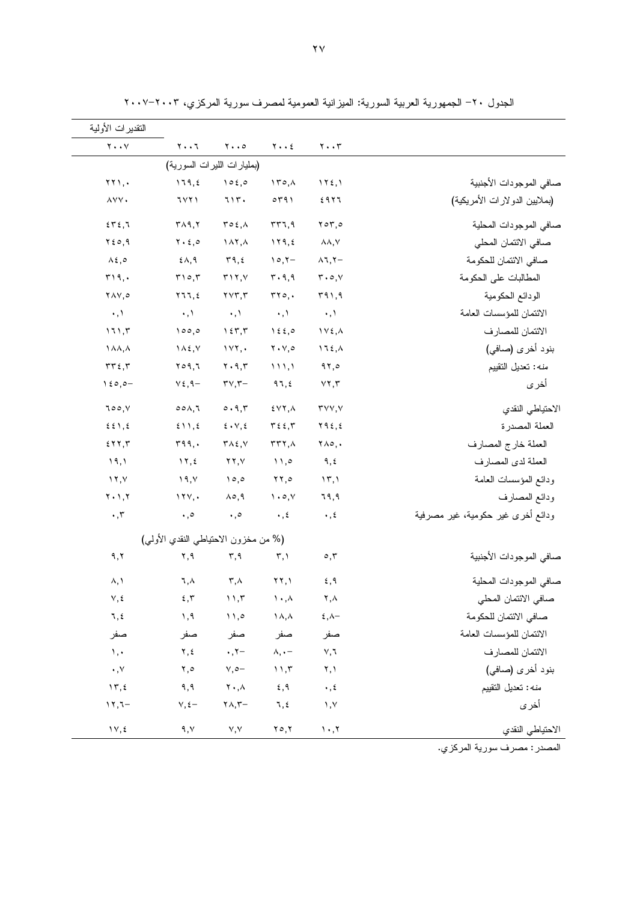| التقدير ات الأولية                         |                                            |                                           |                                              |                                 |                                   |
|--------------------------------------------|--------------------------------------------|-------------------------------------------|----------------------------------------------|---------------------------------|-----------------------------------|
| $Y \cdot Y$                                | $Y \cdot \cdot 7$                          | $\mathbf{y} \cdot \cdot \mathbf{0}$       | $Y \cdot Y$                                  | $\mathbf{y} \cdot \mathbf{y}$   |                                   |
|                                            |                                            | (بمليارات الليرات السورية)                |                                              |                                 |                                   |
| $\gamma \gamma$ ,.                         | 179, 2                                     | 102,0                                     | $\gamma \uparrow \circ \phi$                 | 112,1                           | صافى الموجودات الأجنبية           |
| AVV.                                       | <b>7771</b>                                | 717.                                      | 0491                                         | ٤٩٢٦                            | (بملايين الدولارات الأمريكية)     |
| 575,7                                      | $\mathsf{r}_{\wedge}\mathsf{q},\mathsf{r}$ | $\mathbf{r} \circ \mathbf{f}, \mathbf{A}$ | rr7,9                                        | $Y \circ Y, \circ$              | صافى الموجودات المحلية            |
| $Y \circ \circ, 9$                         | $Y \cdot \xi$ ,0                           | $\lambda x, \lambda$                      | 119,5                                        | $\lambda\lambda, \forall$       | صافى الائتمان المحلي              |
| $\lambda \xi, \circ$                       | $2\lambda,9$                               | ۳۹,٤                                      | $10, 7-$                                     | $\lambda$ 1, Y $-$              | صافي الائتمان للحكومة             |
| T19,                                       | $\Gamma \cap \circ, \Gamma$                | $T \setminus Y, Y$                        | $\mathbf{r} \cdot \mathbf{q}$ , 9            | $r \cdot o, v$                  | المطالبات على الحكومة             |
| YAY,o                                      | Y11, 2                                     | $\gamma \vee \gamma, \gamma$              | rr0.                                         | 591,9                           | الودائع الحكومية                  |
| $\cdot, \cdot$                             | $\cdot$ , $\lambda$                        | $\langle \cdot, \cdot \rangle$            | $\cdot, \cdot$                               | $\cdot, \cdot$                  | الائتمان للمؤسسات العامة          |
| 111,7                                      | 100,0                                      | $\gamma$ { $\tau$ , $\tau$                | $1\epsilon$ , $\circ$                        | $\gamma \vee \epsilon, \Delta$  | الائتمان للمصارف                  |
| 1 A A , A                                  | $\bigwedge$ {, $\bigvee$                   | 1YY,                                      | $Y \cdot Y, \circ$                           | 115.1                           | بنود أخرى (صافى)                  |
| $\tau\tau\epsilon$ , $\tau$                | $Y \circ 9,7$                              | $\mathbf{Y} \cdot \mathbf{9}, \mathbf{r}$ | 111,1                                        | 97,0                            | <i>منه</i> : تعديل التقييم        |
| $\lambda \xi \circ \rho$                   | $\vee \xi$ , q $-$                         | $\mathbf{r} \vee, \mathbf{r} -$           | 97, 2                                        | YY, Y                           | أخرى                              |
| 700, V                                     | $\circ \circ \wedge, \vee$                 | 0.9,7                                     | $5YY, \Lambda$                               | $\mathsf{r}\vee\vee,\vee$       | الاحتياطي النقدي                  |
| $\S$ $\S$ $\setminus$ $\S$                 | 511,5                                      | $\epsilon \cdot v, \epsilon$              | $\mathbf{r}$ $\epsilon$ $\mathbf{r}$         | Y92, 2                          | العملة المصدرة                    |
| 577,7                                      | 599,                                       | $T \wedge \xi, V$                         | $rr7, \lambda$                               | $\forall \wedge \circ$ ,.       | العملة خارج المصارف               |
| 19,1                                       | $\gamma$ , $\zeta$                         | $\mathbf{Y} \mathbf{Y}, \mathbf{Y}$       | $\mathcal{N}, \mathcal{O}$                   | ۹,٤                             | العملة لدى المصارف                |
| $\lambda$ , $\lambda$                      | 19, 1                                      | 10,0                                      | $\mathbf{Y} \mathbf{Y}, \mathbf{0}$          | $\langle \uparrow, \rangle$     | ودائع المؤسسات العامة             |
| $Y \cdot Y, Y$                             | 111,                                       | $\lambda \circ, 9$                        | $\mathcal{N} \cdot \mathcal{O}, \mathcal{N}$ | ٦٩,٩                            | ودائع المصارف                     |
| $\boldsymbol{\cdot}$ , $\boldsymbol{\tau}$ | $\cdot$ ,0                                 | $\boldsymbol{\cdot}$ , $\circ$            | $\cdot$ , $\xi$                              | $\cdot$ , $\epsilon$            | ودائع أخرى غير حكومية، غير مصرفية |
|                                            | (% من مخزون الاحتياطي النقدي الأولى)       |                                           |                                              |                                 |                                   |
| ۹,۲                                        | ۲,۹                                        | ۳,۹                                       | $\mathbf{r}, \mathbf{v}$                     | $\circ, \tau$                   | صافى الموجودات الأجنبية           |
| ۸, ۱                                       | ٦,٨                                        | $\mathbf{r}, \mathbf{v}$                  | $\gamma \gamma, \gamma$                      | 5,9                             | صافى الموجودات المحلية            |
| $\vee$ , $\operatorname{\mathsf{f}}$       | $\mathbf x$ , $\mathbf y$                  | 11,7                                      | $\mathcal{N} \cdot \mathcal{N}$              | ۲,۸                             | صافى الائتمان المحلي              |
| $\mathcal{L}, \mathcal{L}$                 | 1, 9                                       | $\cup$ , $\circ$                          | $\lambda, \lambda$                           | $\xi$ ,<br>$\wedge -$           | صافى الائتمان للحكومة             |
| صفر                                        | صفر                                        | صفر                                       | صفر                                          | صفر                             | الائتمان للمؤسسات العامة          |
| $\lambda, \cdot$                           | ۲,٤                                        | $\cdot$ , $\cdot$ -                       | $\lambda, \cdot -$                           | $\vee, \vee$                    | الائتمان للمصارف                  |
| $\boldsymbol{\cdot}$ , $\vee$              | $\mathbf{y}, \mathbf{0}$                   | $\vee, \circ -$                           | 11,7                                         | ۲, ۱                            | بنود أخرى (صافى)                  |
| 15, 2                                      | ۹,۹                                        | $\mathbf{Y}$ . , $\mathbf{A}$             | 5,9                                          | $\ddotsc$                       | <i>منه</i> : تعديل التقييم        |
| $17,7-$                                    | $V, \xi -$                                 | $\mathbf{Y} \wedge, \mathbf{Y} -$         | ٦,٤                                          | $\,$ , $\vee$                   | أخرى                              |
| $\gamma \gamma, \xi$                       | ۹,۷                                        | $\vee, \vee$                              | ۲٥,۲                                         | $\mathcal{N} \cdot \mathcal{N}$ | الاحتياطي النقدي                  |

الجدول ٢٠- الجمهورية العربية السورية: الميزانية العمومية لمصرف سورية المركزي، ٢٠٠٣–٢٠٠٧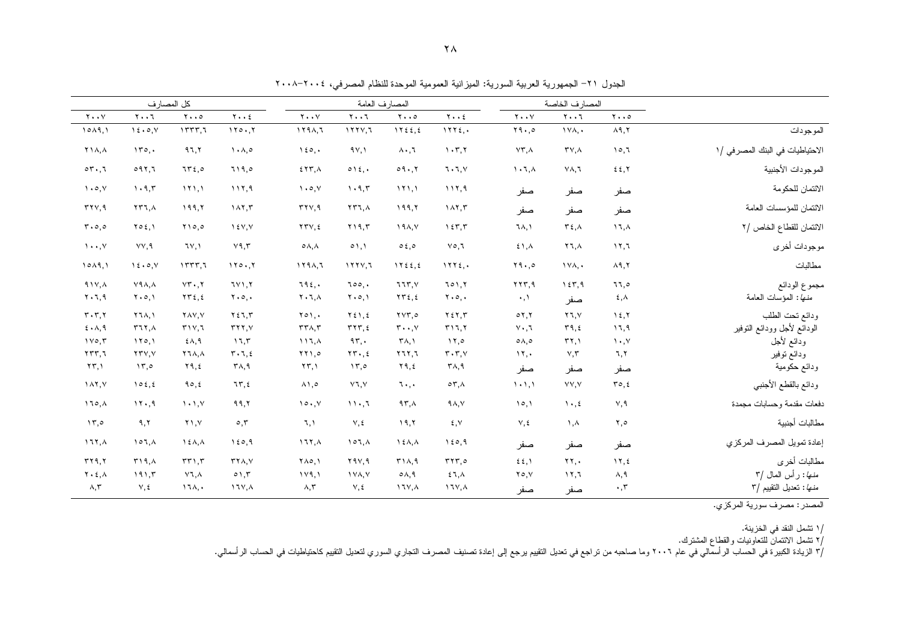| الجدول ٢١– الجمهورية العربية السورية: الميزانية العمومية الموحدة للنظام المصرفي، ٢٠٠٤–٢٠٠٨ |  |  |  |  |
|--------------------------------------------------------------------------------------------|--|--|--|--|
|--------------------------------------------------------------------------------------------|--|--|--|--|

|                                  |                                            | المصارف الخاصة                  |                       | المصارف العامة                               |                                     |                                                | كل المصار ف                                  |                                      |                                     |                               |                                                |
|----------------------------------|--------------------------------------------|---------------------------------|-----------------------|----------------------------------------------|-------------------------------------|------------------------------------------------|----------------------------------------------|--------------------------------------|-------------------------------------|-------------------------------|------------------------------------------------|
|                                  | $\mathbf{y} \cdot \cdot \mathbf{0}$        | $Y \cdot \cdot 7$               | $Y \cdot Y$           | $Y \cdot Y$                                  | $\mathbf{y} \cdot \cdot \mathbf{0}$ | $Y \cdot \cdot 7$                              | $Y \cdot Y$                                  | $Y \cdot \cdot 2$                    | $\mathbf{y} \cdot \cdot \mathbf{0}$ | $Y \cdot \cdot 7$             | $Y \cdot Y$                                    |
| الموجودات                        | $\lambda$ ٩,٢                              | $1Y\Lambda$ ,                   | Y9.0                  | 1172.                                        | 1125.5                              | 1111.7                                         | 1191.7                                       | 110.7                                | 1557.7                              | 15.0, V                       | 1019.1                                         |
| الاحتياطيات في البنك المصر في /١ | 10,1                                       | $TV, \Lambda$                   | $VT, \Lambda$         | 1.77                                         | $\lambda \cdot 7$                   | 4V,1                                           | 150.                                         | $\Lambda$ , $\Lambda$ , $\circ$      | 97,7                                | 150.                          | <b>Y14,4</b>                                   |
| الموجودات الأجنبية               | 22,7                                       | $Y\Lambda, I$                   | $\lambda$ , $\lambda$ | 7.7.7                                        | 09.7                                | 015.                                           | $557, \lambda$                               | 719.0                                | 7560                                | 091,7                         | 07.7                                           |
| الائتمان للحكومة                 | صفر                                        | صفر                             | صفر                   | 117,9                                        | 111,1                               | 1.9.7                                          | $\mathcal{N} \cdot \mathcal{O}, \mathcal{N}$ | 117,9                                | 111.1                               | 1.9.5                         | $\mathcal{N} \cdot \mathcal{O}, \mathcal{N}$   |
| الائتمان للمؤسسات العامة         | صفر                                        | صفر                             | صفر                   | 117.5                                        | ۱۹۹,۲                               | $\mathbf{Y} \mathbf{Y} \mathbf{I}, \mathbf{A}$ | rrv, q                                       | 147.7                                | 199,7                               | $\tau\tau\tau$ , $\lambda$    | rrv, q                                         |
| الائتمان للقطاع الخاص /٢         | $17, \lambda$                              | $T\epsilon$ , $\Lambda$         | ٦٨,١                  | 157.7                                        | 19A, V                              | $Y$ $Y$ $Y$ $Y$                                | YYY, 2                                       | Y,Y,Y                                | $Y \cap o, o$                       | $Y \circ \xi, Y$              | $r \cdot o$ , $o$                              |
| موجودات أخرى                     | $\lambda \lambda, \lambda$                 | ۲٦,٨                            | 51,                   | $V \circ 7$                                  | 0.50                                | 01,1                                           | $\circ \wedge, \wedge$                       | Y9,7                                 | 7Y, Y                               | VV, 9                         | $\mathcal{N} \cdot \cdot \cdot \mathcal{N}$    |
| مطالبات                          | $\lambda$ ٩,٢                              | $1VA$ ,                         | Y9.0                  | 1172.                                        | 1Y55,5                              | 1111.7                                         | 1191,7                                       | 110.7                                | 1557,7                              | 15.0, V                       | 1019,1                                         |
| مجموع الودائع                    | ٦٦,٥                                       | 157,9                           | YYY,9                 | 701.7                                        | 777, 1                              | $\text{loc.}$                                  | 792.                                         | 7Y1.7                                | $VT \cdot, Y$                       | $Y4\Lambda, \Lambda$          | $41Y, \lambda$                                 |
| منها: المؤسات العامة             | ٤,٨                                        | صفر                             | $\cdot, \cdot$        | $\mathbf{Y} \cdot \mathbf{0}$ ,              | $\tau\tau\epsilon, \epsilon$        | $\mathbf{Y} \cdot \mathbf{0}, \mathbf{V}$      | $Y \cdot 7, \Lambda$                         | $\mathbf{y} \cdot \mathbf{0}$ ,      | $\gamma \gamma \epsilon, \epsilon$  | $\mathbf{Y} \cdot \mathbf{0}$ | $Y \cdot 7,9$                                  |
| ودائع ننحت الطلب                 | $\lambda \xi, \overline{\lambda}$          | Y7. V                           | 07.7                  | Y E Y, T                                     | $\gamma \gamma \gamma$ ,0           | $Y \xi$ ), $\xi$                               | $Y \circ Y$                                  | ۲٤٦,٣                                | Y AV, V                             | Y7A.1                         | $\mathbf{r} \cdot \mathbf{r} \cdot \mathbf{r}$ |
| الودائع لأجل وودائع النوفير      | 17,9                                       | 49.5                            | $V \cdot T$           | T17,7                                        | $\mathbf{r} \cdot \cdot \mathbf{v}$ | $rrr, \epsilon$                                | $TT\Lambda, T$                               | YYY, V                               | T1V,7                               | 577.1                         | 5.1, 9                                         |
| ودائع لأجل                       | $\mathcal{N} \cdot \mathcal{N}$            | $\mathbf{r}$                    | $0 \wedge 0$          | $\lambda$                                    | $\mathsf{r}_{\Lambda,1}$            | 95.                                            | 117,                                         | 17.7                                 | $£ \wedge, \Upsilon$                | 170,1                         | 110,7                                          |
| ودائع توفير                      | ٦,٢                                        | $Y, \tau$                       | 11.4                  | $\mathbf{r} \cdot \mathbf{r}$ , $\mathbf{v}$ | Y1Y,7                               | $\mathbf{Y} \mathbf{Y} \cdot \mathbf{z}$       | $\mathbf{Y} \mathbf{Y}$                      | $T \cdot 7, 2$                       | <b>Y 1 A, A</b>                     | YYY, Y                        | 5577,7                                         |
| ودائع حكومية                     | صفر                                        | صفر                             | صفر                   | $\mathsf{r}_{\mathsf{A},\mathsf{q}}$         | ۲۹,٤                                | $\lambda \nabla, \circ$                        | $\Upsilon \Upsilon, \Upsilon$                | $\mathsf{r}_{\mathsf{A},\mathsf{q}}$ | ۲۹,٤                                | $\mathcal{N}, \mathcal{O}$    | $\Upsilon \Upsilon, \Upsilon$                  |
| ودائع بالقطع الأجنبي             | $\mathbf{r} \circ \mathbf{r}$              | YY, Y                           | $1 - 1.1$             | $\circ \tau$ , $\wedge$                      | 7.7.                                | ٧٦,٧                                           | $\lambda$ ), $\circ$                         | 75.5                                 | 90, 2                               | 102, 2                        | $\lambda$                                      |
| دفعات مقدمة وحسابات مجمدة        | ٧,٩                                        | $\mathcal{N} \cdot \mathcal{N}$ | 10,1                  | 9A, V                                        | 97.1                                | 11.7                                           | 10.7                                         | 99,7                                 | $\mathcal{N} \cdot \mathcal{N}$     | 11.9                          | $170, \lambda$                                 |
| مطالبات أجنبية                   | ٢,٥                                        | $\lambda, \lambda$              | $V, \xi$              | ٤,٧                                          | 19,7                                | $V, \xi$                                       | 7,1                                          | $\circ$ , $\mathsf{r}$               | ۲۱,۷                                | ۹,۲                           | 15.0                                           |
| إعادة تمويل المصرف المركزى       | صفر                                        | صفر                             | صفر                   | 150,9                                        | $\lambda \in \Lambda, \Lambda$      | 107.1                                          | 177.1                                        | 150.9                                | $\lambda$ { $\lambda$ , $\lambda$   | 107.1                         | 177.1                                          |
| مطالبات أخرى                     | $\gamma$                                   | YY.                             | 22.1                  | rrr,o                                        | T1A.9                               | Y9V,9                                          | $Y \wedge Q$                                 | $YY\Lambda, Y$                       | TT1.7                               | T19.1                         | rr9.7                                          |
| منها: رأس المال /٣               | ۸,۹                                        | 117.7                           | $Y \circ Y$           | 57.1                                         | $0A$ , 9                            | IVA.V                                          | 119.1                                        | 0.1.7                                | $V$ ٦.Α                             | 191.5                         | $Y \cdot \xi, \Lambda$                         |
| منها: تحديل التقييم /٣           | $\boldsymbol{\cdot}$ , $\boldsymbol{\tau}$ | صفر                             | صفر                   | $17Y, \Lambda$                               | $17Y, \lambda$                      | ٧,٤                                            | $\wedge$ , $\vee$                            | $\lambda$ $\lambda$                  | $17\lambda, \cdot$                  | $V, \xi$                      | $\wedge, \vee$                                 |

/١ تشمل النقد في الخزينة.<br>/٢ تشمل الائتمان للتعاونيات والقطاع المشترك.<br>/٣ الزيادة الكبيرة في الحساب الرأسمالي في عام ٢٠٠٦ وما صاحبه من نراجع في تعديل التقيين المصري التحرين التعليم التقليم كاحتياطيات في الحساب الرأسمالي.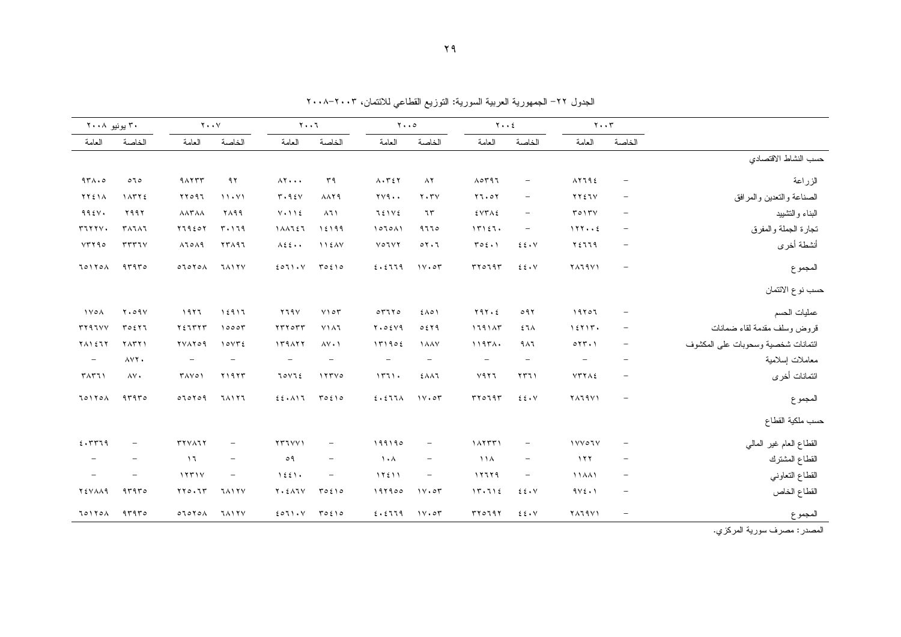الجدول ٢٢– الجمهورية العربية السورية: النوزيع القطاعي للائتمان، ٢٠٠٣–٢٠٠٨

|                                    |                                 | $Y \cdot Y$              |                          | $Y \cdot Y$              |                          | $Y \cdot \cdot \circ$      |                           | $Y \cdot \cdot 7$                  |                          | $Y \cdot Y$              |                          | ۳۰ يونيو ۲۰۰۸            |
|------------------------------------|---------------------------------|--------------------------|--------------------------|--------------------------|--------------------------|----------------------------|---------------------------|------------------------------------|--------------------------|--------------------------|--------------------------|--------------------------|
|                                    | الخاصة                          | العامة                   | الخاصة                   | العامة                   | الخاصة                   | العامة                     | الخاصة                    | العامة                             | الخاصة                   | العامة                   | الخاصة                   | العامة                   |
| حسب النشاط الاقتصادى               |                                 |                          |                          |                          |                          |                            |                           |                                    |                          |                          |                          |                          |
| الزراعة                            | $\overline{\phantom{a}}$        | $\lambda$ YJ9 $\epsilon$ | $\overline{\phantom{m}}$ | $\Lambda$ orq $\tau$     | $\lambda$ $\zeta$        | $\Lambda \cdot \tau \in Y$ | ٣٩                        | $\Lambda$ $\ldots$                 | ۹۲                       | 41177                    | 070                      | 971.0                    |
| الصناعة والتعدين والمرافق          | $\hspace{0.1mm}-\hspace{0.1mm}$ | <b>TYEIV</b>             | $\equiv$                 | 11.01                    | $Y \cdot Y$              | $\gamma \gamma$ ۹          | <b>AAT9</b>               | T.95V                              | 11.41                    | YY097                    | 11772                    | <b>TTEIA</b>             |
| البناء والنشييد                    | $\overline{\phantom{m}}$        | T017V                    | $\overline{\phantom{m}}$ | $5YY \wedge 5$           | ٦٣                       | 72172                      | $\lambda$ $\lambda$       | $V \cdot 11$                       | ۲۸۹۹                     | <b>AATAA</b>             | ۲۹۹۲                     | 995V.                    |
| نجارة الجملة والمفرق               | $\hspace{0.1mm}-\hspace{0.1mm}$ | 177                      | $\equiv$                 | 15157.                   | 9770                     | 1070A1                     | 12199                     | 111157                             | 5.179                    | Y1920Y                   | <b>TAJAJ</b>             | 571777.                  |
| أنشطة أخرى                         | $\overline{\phantom{a}}$        | ۲٤٦٦٩                    | 22.4V                    | $\Gamma$ 0 { $\cdot$ )   | 01.7                     | <b>VOLVY</b>               | 11EAV                     | $\lambda \xi \xi \cdot \cdot$      | <b>٢٣٨٩٦</b>             | $\lambda$ lo $\lambda$ 9 | $rrr\tau v$              | YYY90                    |
| المجموع                            | $\overline{\phantom{a}}$        | <b>TALAYY</b>            | $E \cdot V$              | rr0797                   | 11.07                    | 2.2779                     | 70210                     | 2071. V                            | <b>7117V</b>             | 07070A                   | 47970                    | 701701                   |
| حسب نوع الائتمان                   |                                 |                          |                          |                          |                          |                            |                           |                                    |                          |                          |                          |                          |
| عمليات الحسم                       | $\overline{\phantom{a}}$        | 19707                    | 091                      | Y9Y.5                    | $2\wedge$                | 07770                      | $Y \cap \sigma \tau$      | Y79V                               | 15917                    | 1977                     | Y.09V                    | $1 \vee \circ \wedge$    |
| قروض وسلف مقدمة لقاء ضمانات        | $\overline{\phantom{a}}$        | 15717.                   | $57\lambda$              | 1191AT                   | 0.549                    | Y.05Y9                     | $Y$ ) $\wedge$ 1          | 5500                               | 10007                    | <b>YEZTYT</b>            | T0517                    | <b>TY97VV</b>            |
| ائتمانات شخصية وسحوبات على المكشوف | $\equiv$                        | 017.1                    | 9 <sub>1</sub>           | 1197                     | <b>1 A A Y</b>           | 151902                     | $\Lambda V \cdot \Lambda$ | 119117                             | $10YT\xi$                | <b>TVATO9</b>            | <b>TATT1</b>             | $Y \wedge Y \in TY$      |
| معاملات اسلامية                    | $\overline{\phantom{m}}$        | $\overline{\phantom{m}}$ | $\overline{\phantom{m}}$ | $\overline{\phantom{m}}$ | $\overline{\phantom{a}}$ | $\overline{\phantom{m}}$   | $\overline{\phantom{m}}$  | $\overline{\phantom{m}}$           | $\overline{\phantom{m}}$ | $\overline{\phantom{a}}$ | AVY.                     | $\overline{\phantom{m}}$ |
| ائتمانات أخرى                      | $\qquad \qquad -$               | <b>VTTAE</b>             | YY1                      | Y977                     | <b>EAAT</b>              | 11711.                     | 17770                     | JOVIE                              | <b>TI977</b>             | ۳۸۷٥۱                    | AV.                      | TAT1                     |
| المجموع                            | $\overline{\phantom{m}}$        | <b>TALAYY</b>            | $E \cdot V$              | rr0797                   | 11.05                    | 5.577                      | 70210                     | 22.11                              | <b>JAITI</b>             | 070709                   | 47970                    | TOITOA                   |
| حسب ملكية القطاع                   |                                 |                          |                          |                          |                          |                            |                           |                                    |                          |                          |                          |                          |
| القطاع العام غير المالي            | $\overline{\phantom{a}}$        | <b>IVYOIV</b>            | $\overline{\phantom{m}}$ | 1117771                  | $\equiv$                 | 199190                     | $\overline{\phantom{m}}$  | <b>TTIVVI</b>                      | $\overline{\phantom{m}}$ | <b>TYVAIY</b>            | $\overline{\phantom{m}}$ | 5.5779                   |
| القطاع المشترك                     | $\hspace{0.1mm}-\hspace{0.1mm}$ | $\gamma \gamma \gamma$   | $\overline{\phantom{m}}$ | $\lambda$                | $\overline{\phantom{m}}$ | $\lambda$                  | $\overline{\phantom{m}}$  | 09                                 | $\overline{\phantom{m}}$ | $\mathcal{L}$            | $\overline{\phantom{m}}$ | $\overline{\phantom{m}}$ |
| القطاع التعاوني                    | $\overline{\phantom{a}}$        | 11441                    | $\overline{\phantom{m}}$ | 11119                    | $\overline{\phantom{m}}$ | 15511                      | $\overline{\phantom{m}}$  | 1551.                              | $\overline{\phantom{m}}$ | 11771Y                   | $\overline{\phantom{m}}$ | $\overline{\phantom{m}}$ |
| القطاع الخاص                       | $\hspace{0.1mm}-\hspace{0.1mm}$ | $9V_{\epsilon} \cdot Y$  | $E \cdot V$              | 11.712                   | 11.07                    | 197900                     | 70210                     | $Y \cdot \Sigma \wedge \Upsilon V$ | <b>JAITY</b>             | YY0.77                   | 44440                    | <b>YEVAA9</b>            |
| المجموع                            | $\overline{\phantom{a}}$        | <b>TATAVI</b>            | $E \cdot V$              | 500197                   | 11.05                    | 2.5779                     | T0510                     | $E O I \cup V$                     | <b>JAITY</b>             | 07070A                   | 41970                    | TOITOA                   |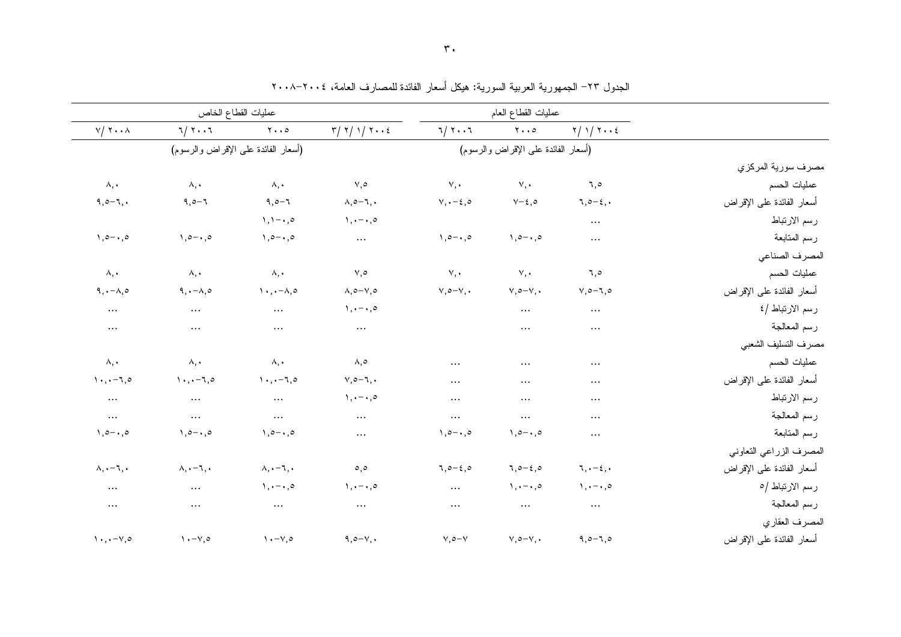|                           |                                 | عمليات القطاع العام                 |                       |                                            |                                         | عمليات القطاع الخاص                 |                                                                     |
|---------------------------|---------------------------------|-------------------------------------|-----------------------|--------------------------------------------|-----------------------------------------|-------------------------------------|---------------------------------------------------------------------|
|                           | $Y/Y$ $Y \cdot Z$               | $Y \cdot \cdot \circ$               | $7 / 7 \cdot .7$      | $\tau / \tau / \tau / \tau \cdot \epsilon$ | $\mathbf{y} \cdot \cdot \mathbf{0}$     | 7/77                                | $V / Y \cdot \cdot \wedge$                                          |
|                           |                                 | (أسعار الفائدة على الإقراض والرسوم) |                       |                                            |                                         | (أسعار الفائدة على الإقراض والرسوم) |                                                                     |
| مصرف سورية المركزي        |                                 |                                     |                       |                                            |                                         |                                     |                                                                     |
| عمليات الحسم              | ٦,٥                             | $V, \cdot$                          | V,                    | $\vee, \circ$                              | $\lambda, \cdot$                        | $\lambda, \cdot$                    | $\wedge$ ,                                                          |
| أسعار الفائدة على الإقراض | $7, 0 - 2, 0$                   | $V - \xi$ , $\circ$                 | $V, \cdot-\xi, \circ$ | $\lambda, \circ -\lambda, \cdot$           | $9,0-7$                                 | $9,0 - 7$                           | $9,0-7,$                                                            |
| رسم الارتباط              | $\ldots$                        |                                     |                       | $\lambda, \cdot - \cdot, \circ$            | $\lambda, \lambda - \cdot, \circ$       |                                     |                                                                     |
| رسم المتابعة              | $\cdots$                        | $1, 0 - 1, 0$                       | $1, 0 - 1, 0$         | $\cdots$                                   | $1, 0 - 1, 0$                           | $1, 0 - 1, 0$                       | $1, 0 - 1, 0$                                                       |
| المصرف الصناعي            |                                 |                                     |                       |                                            |                                         |                                     |                                                                     |
| عمليات الحسم              | ٦,٥                             | V,                                  | $\vee$ , $\cdot$      | $\vee, \circ$                              | $\lambda, \cdot$                        | $\lambda, \cdot$                    | $\lambda, \cdot$                                                    |
| أسعار الفائدة على الإقراض | $V, o-1, o$                     | $V, \circ -V, \bullet$              | $v, \circ -v, \cdot$  | $\lambda, \circ -\vee, \circ$              | $\lambda \cdot, \cdot - \lambda, \circ$ | $9, -\lambda, 0$                    | $9, -\lambda, 0$                                                    |
| رسم الارتباط /٤           | $\cdots$                        | $\cdots$                            |                       | $\lambda, \cdot - \cdot, \circ$            | $\cdots$                                | $\cdots$                            | $\cdots$                                                            |
| رسم المعالجة              | $\cdots$                        | $\cdots$                            |                       | $\cdots$                                   | $\cdots$                                | $\cdots$                            | $\cdots$                                                            |
| مصرف التسليف الشعبى       |                                 |                                     |                       |                                            |                                         |                                     |                                                                     |
| عمليات الحسم              | $\cdots$                        | $\cdots$                            | $\cdots$              | $\wedge, \circ$                            | $\lambda, \cdot$                        | $\wedge$ , .                        | ۸,٠                                                                 |
| أسعار الفائدة على الإقراض | $\cdots$                        |                                     | $\cdots$              | $V, \circ -7, \bullet$                     | $1 \cdot 1 - 7.0$                       | $\lambda \cdot \lambda - 7, \circ$  | $\cdot, \cdot - \cdot, \circ$                                       |
| رسم الارتباط              | $\cdots$                        | .                                   | $\cdots$              | $\lambda, \cdot - \cdot, \circ$            | $\cdots$                                | $\cdots$                            | $\cdots$                                                            |
| رسم المعالجة              | $\cdots$                        | $\cdots$                            | $\cdots$              | $\cdots$                                   | $\cdots$                                | $\cdots$                            | $\ldots$                                                            |
| رسم المتابعة              | $\cdots$                        | $1, 0 - 1, 0$                       | $1, 0 - 1, 0$         | $\cdots$                                   | $1, 0 - 1, 0$                           | $1, 0 - 1, 0$                       | $1, 0 - 1, 0$                                                       |
| المصرف الزراعي التعاوني   |                                 |                                     |                       |                                            |                                         |                                     |                                                                     |
| أسعار الفائدة على الإقراض | $\pi, \cdot-\epsilon, \cdot$    | $7,0-\xi,0$                         | $7,0-5,0$             | $\circ$ , $\circ$                          | $\lambda, \cdot -\lambda, \cdot$        | $\lambda, \cdot -\lambda, \cdot$    | $\lambda, \cdot -\lambda, \cdot$                                    |
| رسم الارتباط /٥           | $\lambda, \cdot - \cdot, \circ$ | $\lambda, \cdot - \cdot, \circ$     | $\cdots$              | $\lambda, \cdot - \cdot, \circ$            | $\lambda, \cdot - \cdot, \circ$         | $\cdots$                            | $\cdots$                                                            |
| رسم المعالجة              | $\cdots$                        | $\cdots$                            | $\cdots$              | $\cdots$                                   | $\sim$ $\sim$                           | $\cdots$                            | $\cdots$                                                            |
| المصرف العقاري            |                                 |                                     |                       |                                            |                                         |                                     |                                                                     |
| أسعار الفائدة على الإقراض | $9,0 - 7,0$                     | $V, \circ -V, \bullet$              | $\vee, \circ -\vee$   | $9,0-\gamma,$                              | $\lambda - \nu, \circ$                  | $\lambda \cdot -\vee, \circ$        | $\mathcal{N} \cdot \mathcal{N} \cdot \mathcal{N} \cdot \mathcal{N}$ |

الجدول ٢٣– الجمهورية العربية السورية: هيكل أسعار الفائدة للمصارف العامة، ٢٠٠٤–٢٠٠٨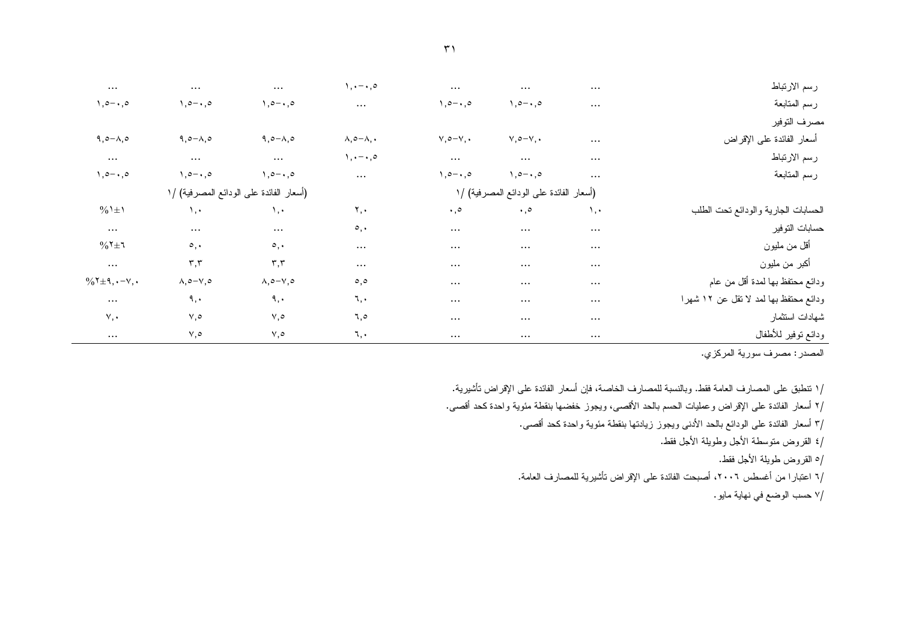| رسم الارتباط                          | $\cdots$ | $\cdots$                                | $\cdots$                       | $\lambda, \cdot - \cdot, \circ$  | $\cdots$                                | $\cdots$                      | $\ldots$                                   |
|---------------------------------------|----------|-----------------------------------------|--------------------------------|----------------------------------|-----------------------------------------|-------------------------------|--------------------------------------------|
| رسم المتابعة                          | $\cdots$ | $\lambda, \circ -\cdot, \circ$          | $\lambda, \circ -\cdot, \circ$ | $\cdots$                         | $1, 0 - 1, 0$                           | $1, 0 - 1, 0$                 | $1, 0 - 1, 0$                              |
| ىصرف التوفير                          |          |                                         |                                |                                  |                                         |                               |                                            |
| أسعار الفائدة على الإقراض             | $\cdots$ | $V, \circ -V, \cdot$                    | $V, \circ -V, \cdot$           | $\lambda, \circ -\lambda, \cdot$ | $9,0-\lambda,0$                         | $9,0-\Lambda,0$               | $9,0-\lambda,0$                            |
| رسم الارتباط                          | $\cdots$ | $\cdots$                                | $\cdots$                       | $\lambda, \cdot - \cdot, \circ$  | $\cdots$                                | $\cdots$                      | $\cdots$                                   |
| رسم المتابعة                          | $\cdots$ | $1, 0 - 1, 0$                           | $1, 0 - 1, 0$                  | $\cdots$                         | $1, 0 - 1, 0$                           | $1, 0 - 1, 0$                 | $1, 0 - 1, 0$                              |
|                                       |          | (أسعار الفائدة على الودائع المصرفية) /١ |                                |                                  | (أسعار الفائدة على الودائع المصرفية) /١ |                               |                                            |
| لحسابات الجارية والودائع نحت الطلب    | ۰,۰      | $\cdot$ ,0                              | $\cdot$ ,0                     | ۲,۰                              | $\lambda$ .                             | $\lambda$ , $\cdot$           | $\frac{0}{0}$ $\pm$ $\frac{1}{0}$          |
| مسابات النوفير                        | $\cdots$ | $\cdots$                                | $\cdots$                       | $\circ$ ,                        | $\ldots$                                | $\cdots$                      | $\cdots$                                   |
| أقل من مليون                          | $\cdots$ | $\cdots$                                | $\cdots$                       | $\cdots$                         | $\circ$ ,                               | $\circ$ ,                     | $\%$ ٢ $\pm$ ٦                             |
| أكبر من مليون                         | $\cdots$ | $\cdots$                                | $\cdots$                       | $\cdots$                         | $\mathbf{r},\mathbf{r}$                 | $\mathbf{r},\mathbf{r}$       | $\cdots$                                   |
| ردائع محتفظ بها لمدة أقل من عام       | $\cdots$ | $\cdots$                                | $\cdots$                       | $\circ, \circ$                   | $\wedge, \circ -\vee, \circ$            | $\lambda, \circ -\vee, \circ$ | $\%$ ٢ $\pm$ ٩, $\cdot$ - $\vee$ , $\cdot$ |
| ردائع محتفظ بها لمد لا نقل عن ١٢ شهرا | $\cdots$ | $\cdots$                                | $\cdots$                       | ٦,٠                              | ٩,٠                                     | ٩,٠                           | $\cdots$                                   |
| ثىهادات استثمار                       | $\cdots$ | $\cdots$                                | $\cdots$                       | ٦,٥                              | $V, \circ$                              | $V, \circ$                    | $\vee, \cdot$                              |
| ردائع توفير للأطفال                   | $\cdots$ | $\cdots$                                | $\cdots$                       | ٦,٠                              | ٥,٧                                     | ٧,٥                           | $\ldots$                                   |

/١ تنطبق على المصارف العامة فقط. وبالنسبة للمصارف الخاصة، فإن أسعار الفائدة على الإقراض تأشيرية.

/٢ أسعار الفائدة على الإقراض وعمليات الحسم بالحد الأقصىي، ويجوز خفضها بنقطة مئوية واحدة كحد أقصىي.

/٣ أسعار الفائدة على الودائع بالحد الأدنى ويجوز زيادتها بنقطة مئوية واحدة كحد أقصى.

/٤ القروض منوسطة الأجل وطويلة الأجل فقط.

/٥ القروض طويلة الأجل فقط.

/٦ اعتبارا من أغسطس ٢٠٠٦، أصبحت الفائدة على الإقراض تأشيرية للمصارف العامة.

/٧ حسب الوضع في نهاية مايو .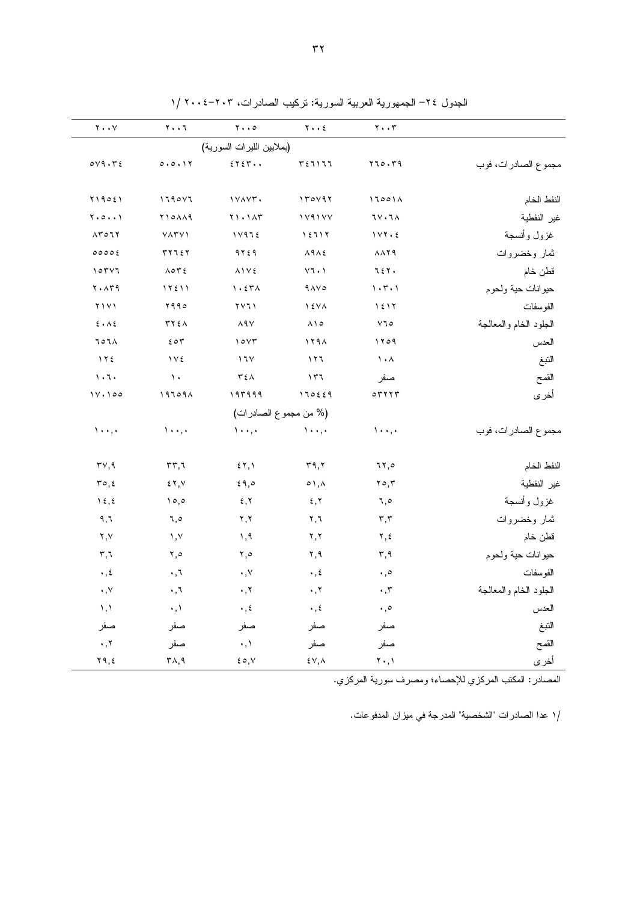| $\mathbf{Y} \bullet \bullet \mathbf{Y}$<br>$Y \cdot \cdot 7$<br>$Y \cdot Y$<br>$\mathbf{y} \cdot \cdot \mathbf{y}$<br>$\mathbf{y} \cdot \cdot \mathbf{0}$<br>(بملايين الليرات السورية)<br>$0 \vee 9 \cdot 72$<br>5757.<br>0.0.11<br>$r_{5}$ $\sim$ $r_{1}$<br>170.79<br>مجموع الصادرات، فوب<br>$Y \setminus 905$<br>1790Y7<br>IVAVT.<br>170197<br>17001A<br>النفط الخام<br>$Y \cdot 0 \cdot \cdot Y$<br><b>710119</b><br>$Y \cup Y$<br>179177<br><b>77.74</b><br>غير النفطية<br>غزول وأنسجة<br>$\Lambda \Upsilon \circ \Upsilon \Upsilon$<br>11975<br><b>VATY</b><br>15717<br>$1YY \cdot 2$<br>577257<br>$9$ $\forall$ $\leq$ $9$<br>$\lambda$ 9 $\lambda$ ٤<br><b>AAT9</b><br>00006<br>ثمار وخضروات<br>$\vee\uparrow\star\uparrow$<br>107Y1<br>$\Lambda$ or $\epsilon$<br>$\lambda$ \ $\vee$ {<br>727.<br>قطن خام<br>$Y \cdot \Lambda Y9$<br>$\eta$ . $\epsilon \tau \Lambda$<br>1.5.1<br>حيوانات حية ولحوم<br>11511<br>$9\AA$<br>Y<br>۹۹۰ م<br>$\gamma \gamma \gamma$<br>$\lambda$ { $\lambda$ $\lambda$<br>1517<br>الفوسفات<br>$\mathbf{\acute{z}}$ . $\mathbf{\Lambda} \, \mathbf{\acute{z}}$<br>$\lambda$ ٩٧<br>$Y$ ٦٥<br>الجلود الخام والمعالجة<br>۳۲٤٨<br>$\lambda \setminus \circ$<br>٦٥٦٨<br>207<br>10YT<br>119A<br>۱۲۰۹<br>العدس<br>$\lambda \cdot \lambda$<br>172<br>$\gamma$<br>۱٦۷<br>۱۲٦<br>النبغ<br>$\lambda \cdot 7$<br>$\lambda$<br>$\mathbf{r} \circ \mathbf{A}$<br>القمح<br>177<br>صفر<br>11.100<br>$19709 \wedge$<br>$197999$<br>170229<br>$\circ$ $\mathsf{r}$ $\mathsf{r}$ $\mathsf{r}$<br>أخرى<br>(% من مجموع الصادرات)<br>$\lambda \cdot \cdot, \cdot$<br>$\lambda \cdot \cdot$ , $\cdot$<br>$\mathcal{N} \leftrightarrow \mathcal{N}$<br>$\lambda$ .,.<br>$\lambda$ .,. |
|--------------------------------------------------------------------------------------------------------------------------------------------------------------------------------------------------------------------------------------------------------------------------------------------------------------------------------------------------------------------------------------------------------------------------------------------------------------------------------------------------------------------------------------------------------------------------------------------------------------------------------------------------------------------------------------------------------------------------------------------------------------------------------------------------------------------------------------------------------------------------------------------------------------------------------------------------------------------------------------------------------------------------------------------------------------------------------------------------------------------------------------------------------------------------------------------------------------------------------------------------------------------------------------------------------------------------------------------------------------------------------------------------------------------------------------------------------------------------------------------------------------------------------------------------------------------------------------------------------------------------------------------------------------------------------------------------|
|                                                                                                                                                                                                                                                                                                                                                                                                                                                                                                                                                                                                                                                                                                                                                                                                                                                                                                                                                                                                                                                                                                                                                                                                                                                                                                                                                                                                                                                                                                                                                                                                                                                                                                  |
|                                                                                                                                                                                                                                                                                                                                                                                                                                                                                                                                                                                                                                                                                                                                                                                                                                                                                                                                                                                                                                                                                                                                                                                                                                                                                                                                                                                                                                                                                                                                                                                                                                                                                                  |
|                                                                                                                                                                                                                                                                                                                                                                                                                                                                                                                                                                                                                                                                                                                                                                                                                                                                                                                                                                                                                                                                                                                                                                                                                                                                                                                                                                                                                                                                                                                                                                                                                                                                                                  |
|                                                                                                                                                                                                                                                                                                                                                                                                                                                                                                                                                                                                                                                                                                                                                                                                                                                                                                                                                                                                                                                                                                                                                                                                                                                                                                                                                                                                                                                                                                                                                                                                                                                                                                  |
|                                                                                                                                                                                                                                                                                                                                                                                                                                                                                                                                                                                                                                                                                                                                                                                                                                                                                                                                                                                                                                                                                                                                                                                                                                                                                                                                                                                                                                                                                                                                                                                                                                                                                                  |
|                                                                                                                                                                                                                                                                                                                                                                                                                                                                                                                                                                                                                                                                                                                                                                                                                                                                                                                                                                                                                                                                                                                                                                                                                                                                                                                                                                                                                                                                                                                                                                                                                                                                                                  |
|                                                                                                                                                                                                                                                                                                                                                                                                                                                                                                                                                                                                                                                                                                                                                                                                                                                                                                                                                                                                                                                                                                                                                                                                                                                                                                                                                                                                                                                                                                                                                                                                                                                                                                  |
|                                                                                                                                                                                                                                                                                                                                                                                                                                                                                                                                                                                                                                                                                                                                                                                                                                                                                                                                                                                                                                                                                                                                                                                                                                                                                                                                                                                                                                                                                                                                                                                                                                                                                                  |
|                                                                                                                                                                                                                                                                                                                                                                                                                                                                                                                                                                                                                                                                                                                                                                                                                                                                                                                                                                                                                                                                                                                                                                                                                                                                                                                                                                                                                                                                                                                                                                                                                                                                                                  |
|                                                                                                                                                                                                                                                                                                                                                                                                                                                                                                                                                                                                                                                                                                                                                                                                                                                                                                                                                                                                                                                                                                                                                                                                                                                                                                                                                                                                                                                                                                                                                                                                                                                                                                  |
|                                                                                                                                                                                                                                                                                                                                                                                                                                                                                                                                                                                                                                                                                                                                                                                                                                                                                                                                                                                                                                                                                                                                                                                                                                                                                                                                                                                                                                                                                                                                                                                                                                                                                                  |
|                                                                                                                                                                                                                                                                                                                                                                                                                                                                                                                                                                                                                                                                                                                                                                                                                                                                                                                                                                                                                                                                                                                                                                                                                                                                                                                                                                                                                                                                                                                                                                                                                                                                                                  |
|                                                                                                                                                                                                                                                                                                                                                                                                                                                                                                                                                                                                                                                                                                                                                                                                                                                                                                                                                                                                                                                                                                                                                                                                                                                                                                                                                                                                                                                                                                                                                                                                                                                                                                  |
|                                                                                                                                                                                                                                                                                                                                                                                                                                                                                                                                                                                                                                                                                                                                                                                                                                                                                                                                                                                                                                                                                                                                                                                                                                                                                                                                                                                                                                                                                                                                                                                                                                                                                                  |
|                                                                                                                                                                                                                                                                                                                                                                                                                                                                                                                                                                                                                                                                                                                                                                                                                                                                                                                                                                                                                                                                                                                                                                                                                                                                                                                                                                                                                                                                                                                                                                                                                                                                                                  |
|                                                                                                                                                                                                                                                                                                                                                                                                                                                                                                                                                                                                                                                                                                                                                                                                                                                                                                                                                                                                                                                                                                                                                                                                                                                                                                                                                                                                                                                                                                                                                                                                                                                                                                  |
|                                                                                                                                                                                                                                                                                                                                                                                                                                                                                                                                                                                                                                                                                                                                                                                                                                                                                                                                                                                                                                                                                                                                                                                                                                                                                                                                                                                                                                                                                                                                                                                                                                                                                                  |
| مجموع الصادرات، فوب                                                                                                                                                                                                                                                                                                                                                                                                                                                                                                                                                                                                                                                                                                                                                                                                                                                                                                                                                                                                                                                                                                                                                                                                                                                                                                                                                                                                                                                                                                                                                                                                                                                                              |
| 5, 1<br>$\mathbf{r}$ ٩,٢<br>النفط الخام<br>$\mathsf{r}\vee,\mathsf{q}$<br>rr,7<br>7۲,٥                                                                                                                                                                                                                                                                                                                                                                                                                                                                                                                                                                                                                                                                                                                                                                                                                                                                                                                                                                                                                                                                                                                                                                                                                                                                                                                                                                                                                                                                                                                                                                                                           |
| غير النفطية<br>ro, 2<br>57, 7<br>69,0<br>$\circ$ \ , $\wedge$<br>۲٥,۳                                                                                                                                                                                                                                                                                                                                                                                                                                                                                                                                                                                                                                                                                                                                                                                                                                                                                                                                                                                                                                                                                                                                                                                                                                                                                                                                                                                                                                                                                                                                                                                                                            |
| غزول وأنسجة<br>$\lambda \xi, \xi$<br>5,7<br>10,0<br>5, 7<br>٦,٥                                                                                                                                                                                                                                                                                                                                                                                                                                                                                                                                                                                                                                                                                                                                                                                                                                                                                                                                                                                                                                                                                                                                                                                                                                                                                                                                                                                                                                                                                                                                                                                                                                  |
| ۹,٦<br>Y, Y<br>ثمار وخضروات<br>$\mathbf{Y}, \mathbf{I}$<br>$\mathbf{r},\mathbf{r}$<br>٦,٥                                                                                                                                                                                                                                                                                                                                                                                                                                                                                                                                                                                                                                                                                                                                                                                                                                                                                                                                                                                                                                                                                                                                                                                                                                                                                                                                                                                                                                                                                                                                                                                                        |
| ۲,۷<br>1, 9<br>$\lambda, \lambda$<br>Y, Y<br>۲,٤<br>قطن خام                                                                                                                                                                                                                                                                                                                                                                                                                                                                                                                                                                                                                                                                                                                                                                                                                                                                                                                                                                                                                                                                                                                                                                                                                                                                                                                                                                                                                                                                                                                                                                                                                                      |
| $\mathbf{r}, \mathbf{r}$<br>حيوانات حية ولحوم<br>٥, ٢<br>٥, ٢<br>۲,۹<br>$\mathbf{r}, \mathbf{q}$                                                                                                                                                                                                                                                                                                                                                                                                                                                                                                                                                                                                                                                                                                                                                                                                                                                                                                                                                                                                                                                                                                                                                                                                                                                                                                                                                                                                                                                                                                                                                                                                 |
| $\boldsymbol{\cdot}$ , $\boldsymbol{\acute{z}}$<br>$\cdot$ , $\tau$<br>الفوسفات<br>$\boldsymbol{\cdot}$ , $\vee$<br>$\cdot$ , $\xi$<br>$\boldsymbol{\cdot}$ , $\circ$                                                                                                                                                                                                                                                                                                                                                                                                                                                                                                                                                                                                                                                                                                                                                                                                                                                                                                                                                                                                                                                                                                                                                                                                                                                                                                                                                                                                                                                                                                                            |
| $\boldsymbol{\cdot}$ , $\vee$<br>۰,٦<br>$\boldsymbol{\cdot}$ , $\boldsymbol{\upgamma}$<br>$\cdot$ , $\tau$<br>الجلود الخام والمعالجة<br>$\cdot$ , $\mathsf{r}$                                                                                                                                                                                                                                                                                                                                                                                                                                                                                                                                                                                                                                                                                                                                                                                                                                                                                                                                                                                                                                                                                                                                                                                                                                                                                                                                                                                                                                                                                                                                   |
| $\backslash$ , $\backslash$<br>$\cdot$ , $\backslash$<br>$\boldsymbol{\cdot}$ , $\boldsymbol{\xi}$<br>$\boldsymbol{\cdot}$ , $\boldsymbol{\xi}$<br>العدس<br>$\boldsymbol{\cdot}$ , $\circ$                                                                                                                                                                                                                                                                                                                                                                                                                                                                                                                                                                                                                                                                                                                                                                                                                                                                                                                                                                                                                                                                                                                                                                                                                                                                                                                                                                                                                                                                                                       |
| النبغ<br>صفر<br>صفر<br>صفر<br>صفر<br>صفر                                                                                                                                                                                                                                                                                                                                                                                                                                                                                                                                                                                                                                                                                                                                                                                                                                                                                                                                                                                                                                                                                                                                                                                                                                                                                                                                                                                                                                                                                                                                                                                                                                                         |
| القمح<br>۰,۲<br>$\cdot$ , $\backslash$<br>صفر<br>صفر<br>صفر                                                                                                                                                                                                                                                                                                                                                                                                                                                                                                                                                                                                                                                                                                                                                                                                                                                                                                                                                                                                                                                                                                                                                                                                                                                                                                                                                                                                                                                                                                                                                                                                                                      |
| أخرى<br>$Y$ ۹,٤<br>$\mathsf{r}_\wedge,\mathsf{q}$<br>$\mathfrak{c} \circ, \vee$<br>$\mathbf{Y} \bullet \mathbf{,} \mathbf{Y}$<br>$\mathop{\mathsf{t}} \mathop{\mathsf{v}}\nolimits, \mathop{\mathsf{A}}\nolimits$                                                                                                                                                                                                                                                                                                                                                                                                                                                                                                                                                                                                                                                                                                                                                                                                                                                                                                                                                                                                                                                                                                                                                                                                                                                                                                                                                                                                                                                                                |

الجدول ٢٤– الجمهورية العربية السورية: تركيب الصادرات، ٢٠٣-٢٠٠٤ /١

المصادر : المكتب المركزي للإحصاء؛ ومصرف سورية المركزي.

/١ عدا الصادرات "الشخصية" المدرجة في ميزان المدفوعات.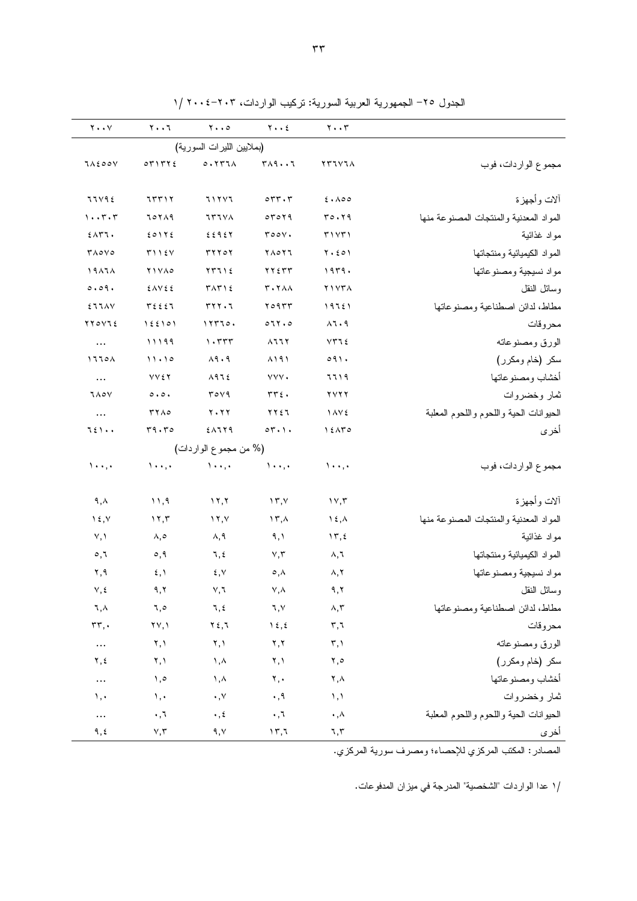|                                         | $\mathbf{y} \cdot \mathbf{y}$ | $Y \cdot \cdot 2$                      | $\mathbf{y} \cdot \cdot \mathbf{0}$ | ۲۰۰٦                            | $\mathbf{y} \cdot \cdot \mathbf{y}$ |
|-----------------------------------------|-------------------------------|----------------------------------------|-------------------------------------|---------------------------------|-------------------------------------|
|                                         |                               |                                        | (بملايين الليرات السورية)           |                                 |                                     |
| مجموع الواردات، فوب                     | YTIVIA                        | $T \wedge 9 \cdots 7$                  | 0.1177                              | OTITYE                          | <b>JAEOOV</b>                       |
| ألات وأجهزة                             | 2.100                         | $\circ \tau \tau \cdot \tau$           | 71777                               | 75517                           | 77V9E                               |
| المواد المعدنية والمنتجات المصنوعة منها | $r \circ .79$                 | 07079                                  | <b>TATA</b>                         | 70719                           | $1 \cdot \cdot 7 \cdot 7$           |
| مواد غذائية                             | T1YT1                         | roov.                                  | 22927                               | 20112                           | $EAT$ .                             |
| المواد الكيميائية ومنتجاتها             | $Y \cdot 201$                 | ٢٨٥٢٦                                  | <b>٣٢٢٥٢</b>                        | T115V                           | $T\wedge\circ\vee\circ$             |
| مواد نسيجية ومصنوعاتها                  | 1979.                         | $\gamma \gamma \epsilon \gamma \gamma$ | $YY112$                             | <b>YIVA0</b>                    | 19171                               |
| وسائل النقل                             | Y1YYA                         | <b>T. 7 AA</b>                         | TAT12                               | EAVEE                           | 0.09.                               |
| مطاط، لدائن اصطناعية ومصنوعاتها         | 19751                         | ۲۰۹۳۳                                  | rrr.7                               | $T\Sigma$                       | EJJAV                               |
| محروقات                                 | $\lambda$ 7 . 9               | 071.0                                  | 117720.                             | 155101                          | YYOVIE                              |
| الورق ومصنوعاته                         | $VT1\xi$                      | $\lambda$ 11Y                          | $\cdot$ $\tau\tau\tau$              | 11199                           | $\cdots$                            |
| سكر (خام ومكرر)                         | 091.                          | $\lambda$ $\lambda$ $\lambda$          | $\lambda$ 9.9                       | 11.10                           | 1770A                               |
| أخشاب ومصنو عاتها                       | ٦٦١٩                          | YYY.                                   | $\lambda$ 97 $\xi$                  | <b>VVEY</b>                     | $\ldots$                            |
| ثمار وخضروات                            | $\gamma \gamma \gamma \gamma$ | $rrf$ .                                | $r$ over                            | $\circ \cdot \circ \cdot$       | <b>JAOY</b>                         |
| الحيوانات الحية واللحوم واللحوم المعلبة | 1 AVE                         | ٢٢٤٦                                   | $Y \cdot YY$                        | <b>TYA0</b>                     | $\cdots$                            |
| أخرى                                    | 15ATO                         | $\circ \tau \cdot \cdot$               | EAIT9                               | r9.50                           | 751.                                |
|                                         |                               |                                        | (% من مجموع الواردات)               |                                 |                                     |
| مجموع الواردات، فوب                     | $\cdots$                      | $\lambda$ .,                           | $\lambda \cdot \cdot \cdot$         | $\lambda \cdot \cdot, \cdot$    | $1 \cdot \cdot$ , $\cdot$           |
| ألات وأجهزة                             | $\gamma \gamma, \gamma$       | $\Upsilon, \Upsilon$                   | 17,7                                | 11,9                            | ۹,۸                                 |
| المواد المعدنية والمنتجات المصنوعة منها | $\lambda \xi, \lambda$        | ۱۳,۸                                   | $\lambda$ , $\lambda$               | 11,7                            | $\lambda$ {, $\lambda$              |
| مواد غذائية                             | $\gamma$ , $\zeta$            | ۹,۱                                    | ۸,۹                                 | ۸,٥                             | Y, Y                                |
| المواد الكيميائية ومنتجاتها             | ۸,٦                           | $\vee, \vee$                           | ٦,٤                                 | $\circ, \circ$                  | $\circ, \circ$                      |
| مواد نسيجية ومصنوعاتها                  | ۸,۲                           | $\circ$ , $\wedge$                     | ٤,٧                                 | $\mathfrak{c}$ , $\mathfrak{h}$ | ۲,۹                                 |
| وسائل النقل                             | ۹.۲                           | Y,A                                    | ٧,٦                                 | ۹,۲                             | ٧,٤                                 |
| مطاط، لدائن اصطناعية ومصنوعاتها         | ላ,٣                           | ٦,٧                                    | ٦,٤                                 | ٦,٥                             | ٦,٨                                 |
| محروقات                                 | $r, \tau$                     | $\lambda \xi, \xi$                     | $\gamma$ {, $\gamma$                | ۲۷,۱                            | $rr,$ .                             |
| الورق ومصنوعاته                         | $\mathbf{r}, \mathbf{v}$      | $\mathbf{y}, \mathbf{y}$               | ۲,۱                                 | ۲,۱                             | $\cdots$                            |
| سكر (خام ومكرر)                         | ۲,٥                           | ۲,۱                                    | $\lambda, \lambda$                  | ۲,۱                             | ۲,٤                                 |
| أخشاب ومصنوعاتها                        | ۲,۸                           | $\mathbf{y}, \mathbf{y}$               | ۸, ۱                                | ۰,٥                             | $\cdots$                            |
| ثمار وخضروات                            | $\lambda, \lambda$            | $\boldsymbol{\cdot}$ , 9               | $\cdot$ , $\vee$                    | $\lambda, \cdot$                | ١,٠                                 |
| الحيوانات الحية واللحوم واللحوم المعلبة | $\cdot$ , $\wedge$            | $\cdot$ , $\mathbf 7$                  | $\cdot$ , $\epsilon$                | $\cdot$ , $\bar{\cdot}$         | $\cdots$                            |
| أخرى                                    | 7,7                           | ۶۳,٦                                   | ۹,۷                                 | $\vee, \curlyvee$               | ٩,٤                                 |

الجدول ٢٥- الجمهورية العربية السورية: تركيب الواردات، ٢٠٣-٢٠٠٤ /١

المصادر : المكتب المركزي للإحصاء؛ ومصرف سورية المركزي.

/١ عدا الواردات "الشخصية" المدرجة في ميزان المدفوعات.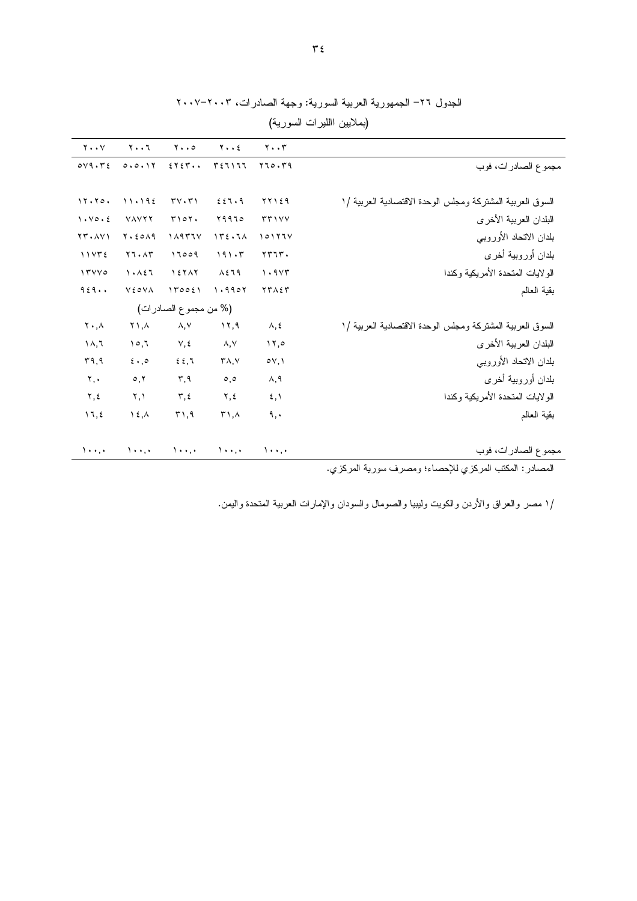| $Y \cdot Y$                   | $Y \cdot \cdot 7$               | $y \cdot 0$                 | $y \cdot z$                          | $\mathbf{y} \cdot \mathbf{y}$ |                                                           |
|-------------------------------|---------------------------------|-----------------------------|--------------------------------------|-------------------------------|-----------------------------------------------------------|
| $OVA \cdot r \epsilon$        | 0.0.11                          | 2Y5Y                        | ٣٤٦١٦٦                               | Y10.79                        | مجموع الصادرات، فوب                                       |
|                               |                                 |                             |                                      |                               |                                                           |
| 11.70.                        | 11.192                          | $TV \cdot T$                | 221.9                                | 77129                         | السوق العربية المشتركة ومجلس الوحدة الاقتصادية العربية /١ |
| 1.40.5                        | <b>VAVYY</b>                    | T101.                       | ۲۹۹٦٥                                | rr1YY                         | البلدان العربية الأخرى                                    |
| $YY \cdot \Lambda Y$          | Y.50A9                          | 11177V                      | 172.71                               | 10177V                        | بلدان الاتحاد الأوروبي                                    |
| 11Y72                         | $Y \mathcal{T} \cdot \Lambda Y$ | 17009                       | 191.5                                | 55.77                         | بلدان أوروبية أخرى                                        |
| 17YV0                         | 1.151                           | 157AY                       | $\lambda$ { $\lambda$ 9              | 1.9YT                         | الولايات المتحدة الأمريكية وكندا                          |
| 9.59                          | <b>VEOVA</b>                    | 170021                      | 1.9907                               | <b>TTAET</b>                  | بقية العالم                                               |
|                               |                                 | (% من مجموع الصادرات)       |                                      |                               |                                                           |
| $\mathbf{Y} \cdot \mathbf{A}$ | $Y \Lambda, \Lambda$            | $\lambda, \vee$             | 17,9                                 | $\lambda, \xi$                | السوق العربية المشتركة ومجلس الوحدة الاقتصادية العربية /١ |
| $\Lambda, \Lambda$            | 10,7                            | $V, \xi$                    | $\wedge, \vee$                       | 11,0                          | البلدان العربية الأخرى                                    |
| ۳۹,۹                          | $5 \cdot 20$                    | 22,7                        | $\mathsf{r}_{\mathsf{A},\mathsf{V}}$ | $\circ \vee, \vee$            | بلدان الاتحاد الأوروبي                                    |
| $\mathbf{y}, \mathbf{y}$      | $\circ, \vee$                   | $\mathbf{r}, \mathbf{q}$    | $\circ, \circ$                       | ۸,۹                           | بلدان أوروبية أخرى                                        |
| $\Upsilon, \Sigma$            | ۲,۱                             | ۲,٤                         | ۲,٤                                  | $\mathfrak{z}, \mathfrak{z}$  | الولايات المتحدة الأمريكية وكندا                          |
| 17, 2                         | $\lambda$ { , $\lambda$         | 51,9                        | 51, 4                                | ٩,٠                           | بقية العالم                                               |
|                               |                                 |                             |                                      |                               |                                                           |
| $\lambda \cdot \cdot \cdot$   | $\lambda \cdot \cdot \cdot$     | $\lambda \cdot \cdot \cdot$ | $\lambda$                            | $\lambda \cdot \cdot \cdot$   | مجموع الصادرات، فوب                                       |
|                               |                                 |                             |                                      |                               | $\sim$ $\frac{1}{2}$                                      |

## الجدول ٢٦- الجمهورية العربية السورية: وجهة الصادرات، ٢٠٠٣-٢٠٠٧

(بملايين االليرات السورية)

المصادر : المكتب المركزي للإحصاء؛ ومصرف سورية المركزي.

/١ مصر والعراق والأردن والكويت وليبيا والصومال والسودان والإمارات العربية المتحدة واليمن.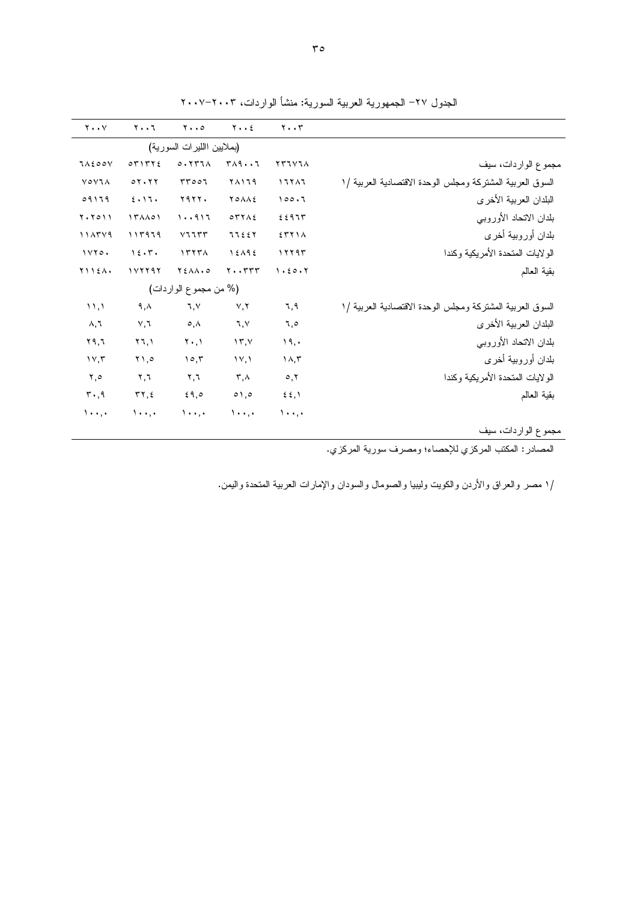| $Y \cdot Y$         | $Y \cdot \cdot 7$        | $y \cdot 0$                              | $Y \cdot \cdot 2$       | $\mathbf{y} \cdot \mathbf{y}$ |                                                           |
|---------------------|--------------------------|------------------------------------------|-------------------------|-------------------------------|-----------------------------------------------------------|
|                     |                          |                                          |                         |                               |                                                           |
|                     |                          | (بملايين االليرات السورية)               |                         |                               |                                                           |
| <b>JAE00V</b>       | OTITYE                   | 0.1177A                                  | $T\wedge 9 \cdots 7$    | <b>YTIVIA</b>                 | مجموع الواردات، سيف                                       |
| <b>VOVIA</b>        | 07.77                    | rr007                                    | 71179                   | 17717                         | السوق العربية المشتركة ومجلس الوحدة الاقتصادية العربية /١ |
| 09119               | 2.17.                    | <b>Y977.</b>                             | YOAAE                   | 100.7                         | البلدان العربية الأخرى                                    |
| $Y \cdot Y \circ Y$ | $\Upsilon$               | 1.011                                    | OTYAE                   | 2297                          | بلدان الاتحاد الأوروبي                                    |
| 114549              | 111979                   | V1157                                    | 77227                   | 5511A                         | بلدان أوروبية أخرى                                        |
| 1YY0.               | 15.7.                    | 1577A                                    | 15195                   | ١٢٢٩٣                         | الو لايات المتحدة الأمريكية وكندا                         |
| $Y \cup Y \in A$    | 111197                   | $Y \n\t\leq \lambda \wedge \cdot \circ$  | $Y \cdot Y Y Y$         | 1.50.7                        | بقية العالم                                               |
|                     |                          | (% من مجموع الواردات)                    |                         |                               |                                                           |
| $\langle \rangle$   | ۹,۸                      | 7, 1                                     | Y, Y                    | ٦,٩                           | السوق العربية المشتركة ومجلس الوحدة الاقتصادية العربية /١ |
| ۸,٦                 | V,7                      | $\circ$ , $\wedge$                       | ٦,٧                     | ٦,٥                           | البلدان العربية الأخرى                                    |
| ۲۹,٦                | ۲٦,۱                     | $\mathbf{Y} \cdot \mathbf{,} \mathbf{Y}$ | $\gamma$ , $\gamma$     | ۱۹,۰                          | بلدان الاتحاد الأوروبي                                    |
| $\gamma \vee, \tau$ | ۰٫۵ ۲                    | 10,7                                     | $\Upsilon$              | $\Lambda, \tau$               | بلدان أوروبية أخرى                                        |
| ۲,٥                 | $\mathbf{y}, \mathbf{y}$ | $\mathbf{Y}, \mathbf{Y}$                 | $\mathsf{r}$ , $\wedge$ | $\circ, \vee$                 | الولايات المتحدة الأمريكية وكندا                          |
| $\mathsf{r}$ ., 9   | $\tau\gamma, \epsilon$   | 59,0                                     | $\circ$ ,0              | $\S$ $\S$ , $\S$              | بقية العالم                                               |
| $\lambda$           | $\lambda$                | $\lambda$                                | $\lambda$               | $\lambda$                     |                                                           |
|                     |                          |                                          |                         |                               | مجموع الواردات، سيف                                       |

الجدول ٢٧– الجمهورية العربية السورية: منشأ الواردات، ٢٠٠٣–٢٠٠٧

المصادر : المكتب المركزي للإحصاء؛ ومصرف سورية المركزي.

/١ مصر والعراق والأردن والكويت وليبيا والصومال والسودان والإمارات العربية المتحدة واليمن.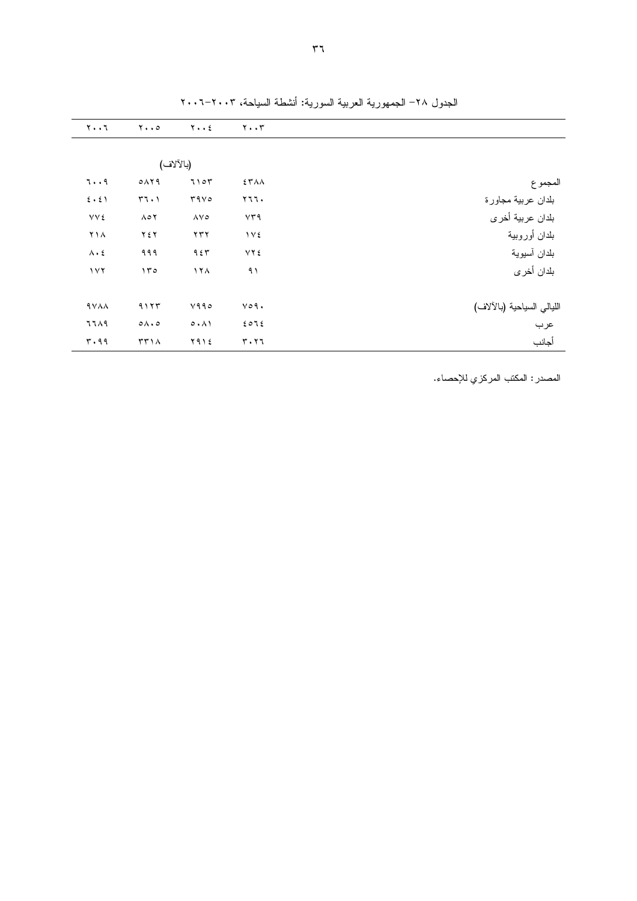|                            | $\mathbf{y} \cdot \mathbf{y}$ | $y \cdot z$              | $y \cdot \cdot \circ$    | $Y \cdot \cdot 7$   |
|----------------------------|-------------------------------|--------------------------|--------------------------|---------------------|
|                            |                               |                          |                          |                     |
|                            |                               |                          | (بالآلاف)                |                     |
| المجموع                    | <b>ETAA</b>                   | 7107                     | 0 <sub>1</sub> < 9       | 79                  |
| بلدان عربية مجاورة         | ۲٦٦٠                          | 4400                     | 57.1                     | $2 \cdot 21$        |
| بلدان عربية أخرى           | VT9                           | $\Lambda$ $\vee$ $\circ$ | $\Lambda \circ \Upsilon$ | <b>VVE</b>          |
| بلدان أوروبية              | $\gamma \vee \epsilon$        | $\gamma \gamma \gamma$   | ۲٤٢                      | ۲۱۸                 |
| بلدان آسيوية               | <b>VYE</b>                    | 957                      | ۹۹۹                      | $\Lambda \cdot \xi$ |
| بلدان أخرى                 | ۹۱                            | ۱۲۸                      | ۱۳۰                      | 117                 |
|                            |                               |                          |                          |                     |
| الليالي السياحية (بالآلاف) | $V \circ 9$ .                 | Y990                     | 9117                     | <b>AVAA</b>         |
| عرب                        | 2012                          | 0.11                     | $0 \wedge 0$             | 7719                |
| أجانب                      | ۳۰۲٦                          | ۲۹۱٤                     | TT1A                     | ۳.۹۹                |

الجدول ٢٨– الجمهورية العربية السورية: أنشطة السياحة، ٢٠٠٣–٢٠٠٦

المصدر : المكتب المركزي للإحصاء.